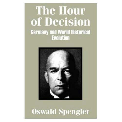# **The Hour** of Decision **Germany and World Historical<br>Evolution**



## **Oswald Spengler**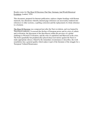Readers notes for The Hour Of Decision: Part One: Germany And World Historical Evolution, London, 1934:

This document, prepared for Internet publication, replaces chapter headings with Roman numerals, has alterations whereby internal page references are necessarily rendered into references to other sections, a spelling correction and the replacement of a body reference to a footnote.

The Hour Of Decision was composed just after the Nazi revolution, and was banned by Third Reich authority. It assessed the decline of European power and its crisis of culture and civilization, the placement of the then-Russia within the province of a global challenge to Western Civilization, and the roles of capitalism and Marxism in the crisis. The book (guardedly but prophetically) placed deep reservations against the Nazis to make appropriate choices. Dated by the immediate circumstances it describes, the work nonetheless has a general quality which makes it part of the literature of the struggle for a 'European' Cultural Renaissance.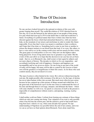## The Hour Of Decision Introduction

No one can have looked forward to the national revolution of this year with greater longing than myself. The sordid Revolution of 1918 I detested from its first day, for it was the betrayal by the inferior part of our people of that strong, live part which had risen up in 1914 in the belief that it could and would have a future. Everything of a political nature that I have written since then has been directed against the forces which had entrenched themselves, with our enemies' help, on the mountain of our misery and misfortune in order to render this future impossible. Every line that I wrote was meant to contribute to their overthrow, and I hope that it has done so. Something *had* to come in one form or another to release the deepest instincts in our blood from that load, if we were, like others, to have a voice and to *act* in the coming world-crises and not merely be their victim. The great game of world politics is not over. Only now are the highest stakes being played for. Every living nation must rise to greatness or go under. But the events of this year allow us to hope that the decision in our case has not yet been made - that we, as in Bismarck's day, shall sooner or later again be subjects and not mere objects of history. The decades in which we live are stupendous - and accordingly terrifying and void of happiness. Greatness and happiness are incompatible and we are given no choice. No one living in any part of the world of today will be happy, but many will be able to control by the exercise of their own will the greatness or insignificance of their life-course. As for those who seek comfort merely, they do not deserve to exist.

The man of action is often limited in his vision. He is driven without knowing the real aim. He might possibly offer resistance if he did see it, for the logic of destiny has never taken human wishes into account. But much more often he goes astray because he has conjured up a false picture of things around and within him. It is the great task of the historical *expert* (in the true sense) to understand the facts of his time and through them to envisage, interpret, and delineate the future - which will come whether we will or no. An epoch so conscious of itself as the present is impossible of comprehension without creative, anticipating, warning, *leading* criticism.

I shall neither scold nor flatter. I refrain from forming any estimate of those things which are only just coming into being. True valuation of an event is only possible when it has become the remote past, and the *definitive* good or bad results have long been facts: which is to say, when some decades have passed. No ripe understanding of Napoleon was possible before the end of last century, and even we can as yet have no final opinion about Bismarck. Facts alone stand firm,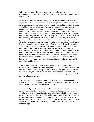judgments waver and change. In sum, a great event has no need of a contemporary estimate. History itself will judge it when its contemporaries are no longer living.

So much, however, can be said already: the national revolution of 1933 was a mighty phenomenon and will remain such in the eyes of the future by reason of the elemental, super-personal force with which it came and the spiritual discipline with which it was carried through. Here was something Prussian through and through, just as was the uprising of 1914, which transformed souls in one moment. The German "dreamers" stood up with a calm imposing naturalness to open a way into the future. But all the more must those who took part realize that this was no victory, for opponents were lacking. The force of the rising was such that everything that had been or was still active was swept away in it. It was a promise of *future* victories that have yet to be won by hard fighting, and merely cleared the ground for these. The leaders bear the full responsibility therefor, and it is for them to know, or to learn, the significance of it all. The task is fraught with immense dangers, and its sphere lies not within the boundaries of Germany but beyond, in the realm of wars and catastrophes where world politics alone speak. Germany is, more than any other country, bound up with the fate of all the others. Less than any can it be directed as though it were a thing unto itself. And, moreover, it is not the first national revolution that has taken place here - there have been Cromwell and Mirabeau - but it is the first to occur in a politically helpless and very dangerously situated land, and this fact enhances incalculably the difficulty of its tasks.

These tasks are, one and all, only just emerging, are barely grasped and not solved. It is no time or occasion for transports of triumph. Woe betide those who mistake mobilization for victory! A movement has just begun; it has not reached its goal, and the great problems of our time have been in no wise altered by it. They concern not Germany alone, but the whole world, and are problems not of a few years, but of a century.

The danger with enthusiasts is that they envisage the situation as too simple. Enthusiasm is out of keeping with goals that lie generations ahead. And yet it is with these that the actual decisions of history begin.

The seizure of power took place in a confused whirl of strength and weakness. I see with misgiving that it continues to be noisily celebrated from day to day. It were better to save our enthusiasm for a day of real and definitive results - that is to say, of successes in *foreign politics*, which alone matter. When these have been achieved the men of the moment, who took the first step, may all be dead - or even forgotten and scorned, until at some point posterity recalls their significance. History is not sentimental, and it will go ill with any man who takes himself sentimentally!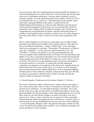In any movement with such a beginning there are many possible developments of which the participants are not often fully aware. The movement may become rigid from excess of principles and theories; it may go under in political, social, or economic anarchy, or it may double back upon itself in futility. In Paris in 1793 it was definitely felt "*que ça changerait*." The intoxication of the moment, which often ruins coming possibilities at the outset, is usually followed by disillusionment and uncertainty as to the next step. Elements come into power which regard the enjoyment of that power as an event in itself and would fain perpetuate a state of things which is tenable for moments only. Sound ideas are exaggerated into self-glorification by fanatics, and that which held promise of greatness in the beginning ends in tragedy or comedy. Let us face these dangers in good time, and soberly, so that we may be wiser than many a generation in the past.

But if a stable foundation is to be laid for a great future, one on which coming generations may build, ancient tradition must continue effective. That which we have in our blood by inheritance - namely, wordless ideas - is the only thing which gives permanence to our future. "Prussianism" (*Preußentum*), as I called it years ago, is important - it is this, precisely, that has just been *tested* - but "Socialism," of whatever description, is not. We need educating up to the *Prussian* standard, which manifested itself in 1870 and 1914 and still sleeps in the depths of our soul as a permanent potentiality. It is to be reached only through the living example and moral self-discipline of a ruling class, not by a flow of words or by force. The service of an idea demands mastery of ourselves and readiness for inward sacrifices to conviction. To confuse this with the intellectual compulsion of a program is to be ignorant of the whole issue. And this brings me back to the book: *Prussianism and Socialism*, [1] in which, in 1919, I began to point out this moral necessity without which there can be no permanent building. All other nations of the world have inherited a character from their *past*. We had no educative past and have therefore still to awaken, develop, and train the character which lies dormant in our blood.

#### (1. Oswald Spengler, *Preußentum und Sozialismus*, Munich: C. H. Beck.)

The work of which this volume is the first part is written with the same object. I do as I have always done. That is, I offer no wish-picture of the future, still less a program for its realization - as is the fashion amongst us Germans - but a clear picture of the facts as they are and will be. I see further than others. I see not only great possibilities but also great dangers, their origin and perhaps the way to avoid them. And if no one else has the courage to see and to tell what it is he sees, I mean to do so. I have a *right* to criticism since by means of it I have repeatedly demonstrated that which *must* happen because it will *happen*. A decisive series of facts has been set in train. Nothing that has once become a fact can be withdrawn - we are all thereafter obliged to walk in the particular direction, whether we will or not. It would be short-sighted and cowardly to say no. What the individual will not do, that History will do with him.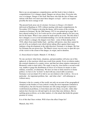But to say yes presupposes comprehension, and this book is here to help in comprehension. It is a danger-signal. Dangers are always there. Everyone who acts is in danger. Danger is life itself. But those who link the fate of States and nations with their own must meet these dangers *seeingly* - and to see requires possibly the most courage of all.

The present book arose out of a lecture: *Germany in Danger*, [2] which I delivered at Hamburg in 1929, without meeting with much comprehension. In November 1932 I began to develop the theme, still in terms of the existing situation in Germany. By the 30th January 1933 it was printed up to page 106. I have altered *nothing* in it, for I write not for a few months ahead or for next year, but for the future. What is true cannot be made null by an event. The title alone I have changed, so as to avoid misunderstandings. It is not the national seizure of power which is a danger; the dangers were there - some of them dating from 1918, others from much further back - and they still persist, since they cannot be got rid of by an isolated event which before taking effect against them must undergo a long development in the right direction. Germany *is* in danger. My fear for Germany has not grown less. The March victory was too easy to open the eyes of the victors to the extent of the danger, its origin, and its duration.

#### (2. *Deutschland in Gefahr*, Munich: C. H. Beck.)

No one can know what forms, situations, and personalities will arise out of this upheaval, or the reactions which may result from outside. Every revolution makes the external situation of a country worse, and that fact alone requires statesmen of Bismarck's order to deal with it. We stand, it may be, close before a second world war, unable to gauge the distribution of forces or to foresee its means or aims military, economic, revolutionary. We have no time to limit ourselves to home politics; we have to be "in form" to deal with any conceivable occurrence. Germany is not an island. If we fail to see our relation to the world as - for us in particular - *the* important problem, fate - and what a fate! - will submerge us without mercy.

Germany is the *key* country of the world, not only on account of her geographical situation on the borders of Asia (which is today the most important continent in world policy), but also because Germans are still young enough to experience world-historical problems, to form them and solve them, *inwardly*, while other nations have become too old and rigid to do more than raise defences. But in tackling great *problems*, as in other matters, it is the attack that holds the greater promise of victory.

It is of this that I have written. Will it have the effect I hope for?

Munich, July 1933.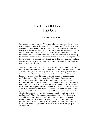## The Hour Of Decision Part One

#### 1. The Political Horizon

Is there today a man among the White races who has eyes to see what is going on around him on the face of the globe? To see the immensity of the danger which looms over this mass of peoples? I do not speak of the educated or uneducated city crowds, the newspaper-readers, the herds who vote at elections - and, for that matter, there is no longer any quality-difference between voters and those for whom they vote - but of the *ruling* classes of the White nations, in so far as they have not been destroyed, of the statesmen in so far as there are any left; of the *true* leaders of policy, of economic life, of armies, and of thought. Does anyone, I ask, see over and beyond his time, his own continent, his country, or even the narrow circle of his own activities?

We live in momentous times. The stupendous dynamism of the historical epoch that has now dawned makes it the grandest, not only in the Faustian civilization of Western Europe, but - for that very reason - in all world-history, greater and by far more terrible than the ages of Caesar and Napoleon. Yet how blind are the human beings over whom this mighty destiny is surging, whirling them in confusion, exalting them, destroying them! Who among them sees and comprehends what is being done to them and around them? Some wise old Chinaman or Indian, perhaps, who gazes around him in silence with the stored-up thought of a thousand years in his soul. But how superficial, how narrow, how small-minded are the judgments and measures of Western Europe and America! What do the inhabitants of the Middle West of the United States know of what goes on beyond New York and San Francisco? What conception has a middleclass Englishman, not to speak of a French provincial, of the trend of affairs on the Continent? What, indeed, does any one of them know of the direction in which his very own destiny is facing? All we have is a number of absurd catchwords such as "overcoming the economic crisis," "understanding of peoples," "national security and self-sufficingness," with which to "overcome" catastrophes within the space of a generation or two by means of "prosperity" and disarmament.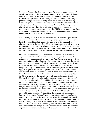But it is of Germany that I am speaking here: Germany, to whom the storm of facts is more menacing than to any other country and whose existence is, in the most alarming sense of the word, at stake. What short-sightedness and noisy superficiality reigns among us, and how provincial the standpoint when major problems emerge! Let us set up a ring-fenced Third Empire or, alternatively, Soviet State; let us do away with the army or with property, with economists, or with agriculture; let us give maximum independence to all the little provinces, or alternatively suppress them; let us allow the former lords of industry or administration to get to work again in the style of 1900, or - why not? - let us have a revolution, proclaim a dictatorship (are there not dozens of candidates confident of their fitness for the job?), and all will be well.

But - *Germany is not an island*. No other country is in the same degree woven actively or passively into the world's destiny. Her geographical situation alone, her lack of natural boundaries, make this inevitable. In the eighteenth and nineteenth centuries she was "Central Europe"; in the twentieth she is again, as in and after the thirteenth century, a frontier against "Asia." For no country is it more essential that its sphere of political and economic thought should reach far beyond its own boundaries. Everything that happens afar involves the heart of Germany.

Our past is having its revenge - seven hundred years of the petty provincial régime of small states with never a breath of greatness, an idea, an aim. This is not going to be made good in two generations. And Bismarck's creative work had the one great fault that he did not train the coming generation to meet the facts of the new form of our political life. [1] The facts were seen, but not grasped. Men could not inwardly adapt themselves to the new horizons, problems, and obligations. They did not *live* with them. And the average German continued to apply to his greater country the old particularist and partisan outlook - shallow and cramped, stupid and parochial. This small-mindedness dates from the time of the Hohenstaufen emperors and the Hansa. The first, whose vision ranged over the Mediterranean, and the second, whose rule extended from the Scheldt to Novgorod, alike fell before other and more securely based powers for want of wise and substantial backing from within their own frontiers. And from that time on, the German has shut himself up in innumerable little fatherlands and petty local interests, measuring world history by his own horizon, and dreaming hungrily and miserably of a kingdom in the clouds - to describe which condition the phrase "German idealism" was invented. To this petty and essentially German mode of thought belong almost all the political ideals and Utopias that have sprouted from the bog of the Weimar State: the International, Communist, Pacifist, Ultramontane, Federal, "Aryan" visions of *sacrum imperium*, Soviet State, or Third Empire, as the case might be. All parties now think and act as if Germany had the world to herself. Trade unions see no further than the industrial area. Colonial policy has always been odious to them because it does not fit in with the scheme of class war. In their dogmatic narrowness they do not, or will not, comprehend that it was precisely the working man for whom the economic imperialism of the years round 1900, with its assured facilities for the sale of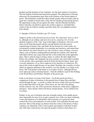products and the purchase of raw materials, was the basic premiss of existence. This the English workman had long before grasped. The enthusiasm of German democracy for disarmament stops short at the frontiers of the French sphere of power. The Federalists would have their already greatly reduced country split up again into a bundle of dwarf states of the old sort, thereby giving foreign powers the opportunity to play off one against the other. And the National Socialists believe that they can afford to ignore the world or oppose it, and build their castles-in-the-air without creating a possibly silent, but very palpable reaction from abroad.

#### (1. Spengler, *Politische Schriften*, pp. 227 et seq.)

Added to all this is the universal *dread of reality*. We "pale-faces" have it, all of us, although we are seldom, and most of us never, conscious of it. It is the spiritual weakness of the "Late" man of the higher civilizations, who lives in his cities cut off from the peasant and the soil and thereby from the *natural* experiencing of destiny, time, and death. He has become too wide awake, too accustomed to ponder perpetually over yesterday and tomorrow, and cannot bear that which he sees and is forced to see: the *relentless* course of things, *senseless* chance, and *real* history striding pitilessly through the centuries into which the individual with his tiny scrap of private life is irrevocably born at the appointed place. That is what he longs to forget, refute, or contest. He takes flight from history into solitude, into imaginary far-away systems, into some faith or another, or into suicide. Like a grotesque ostrich he buries his head in hopes, ideals, and *cowardly* optimism: it is so, but it ought not to be, therefore it is otherwise. We sing in the woods at night because we are afraid. Similarly, the cowardice of cities shouts its apparent optimism to the world for very fear. Reality is no longer to be borne. The wish-picture of the future is set in place of facts - although fate has never taken any notice of human fancies - from the children's Land of Do-Nothing to the World Peace and Workers' Paradise of the grown-ups.

Little as one knows of events in the future - for all that can be got from a comparison of other civilizations is the general form of future facts and their march through the ages - so much is certain: the forces which will sway the future are no other than those of the past. These forces are: the will of the Strong, *healthy* instincts, race, the will to possession and power; while justice, happiness, and peace - those dreams which will always remain dreams - hover ineffectively over them.

Further, in our own civilization since the sixteenth century it has rapidly grown more impossible for most of us to gain a general view of the ever more confusing events and situations of world politics and economics or to grasp (let alone control) the forces and tendencies at work in them. True statesmen become rarer and rarer. Most of the doings (as distinct from the events) in the history of these centuries was indeed the work of semi-experts and amateurs with luck on their side. Still, they could always rely upon the people's instinct to back them. It is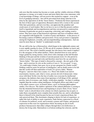only now that this instinct has become so weak, and the voluble criticism of blithe ignorance so strong, as to make it more and more likely that a true statesman, with a real knowledge of things, will not receive this instinctive support - even at the level of grudging tolerance - but will be prevented from doing what has to be done by the opposition of all the "know-betters." Frederick the Great experienced the first of these types of opposition; Bismarck almost fell a victim to the second. Only later generations, and not even they, can appreciate the grandeur and creativeness of such leaders. But we do have to see to it that the present confines itself to ingratitude and incomprehension and does not proceed to counteraction. Germans in particular are great at suspecting, criticizing, and voiding creative action. They have none of that historical experience and force of tradition which are congenital with English life. A nation of poets and thinkers - in the process of becoming a nation of babblers and persecutors. Every real governor is unpopular among his frightened, cowardly, and uncomprehending contemporaries. And one must be more than an "idealist" to understand even this.

We are still in the *Age of Rationalism*, which began in the eighteenth century and is now rapidly nearing its close. [2] We are all its creatures whether we know and wish it or not. The word is familiar enough, but who knows how much it implies? It is the arrogance of the urban intellect, which, detached from its roots and no longer guided by strong instinct, looks down with contempt on the full-blooded thinking of the past and the wisdom of ancient peasant stock. It is the period in which everyone can read and write and therefore must have his say and always "knows better." This type of mind is obsessed by concepts - the new gods of the Age - and it exercises its wits on the world as it sees it. "It is no good," it says; "we could make it better; here goes, let us set up a program for a better world!" Nothing could be easier for persons of intelligence, and no doubt seems to be felt that this world will then materialize of itself. It is given a label, "Human Progress," and now that it has a name, it *is*. Those who doubt it are narrow reactionaries, heretics, and, what is worse, persons devoid of democratic virtue: away with them! In this wise the fear of reality was overcome by intellectual arrogance, the darkness that comes from ignorance of all things of life, spiritual poverty, lack of reverence, and, finally, world-alien stupidity - for there is nothing stupider than the rootless urban intelligence. In English offices and clubs it used to be called *common sense*; in French salons, *esprit*; in German philosophers' studies, *Pure Reason*. The shallow optimism of the cultural philistine is ceasing to fear the elemental historical facts and beginning to *despise* them. Every "knowbetter" seeks to absorb them in his scheme (in which experience has no part), to make them conceptually more complete than actually they are, and to subordinate them to himself in his mind because he has not *livingly* experienced them, but only perceived them. This doctrinaire clinging to theory for lack of experience, or rather this lack of ability to *make* experience, finds literary expression in a flood of schemes for political, social, and economic systems and Utopias, and practical expression in that craze for organization which, becoming an aim in itself, produces bureaucracies that either collapse through their own hollowness or destroy the living order. Rationalism is at bottom nothing but criticism, and the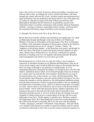critic is the reverse of a creator: he dissects and he reassembles; conception and birth are alien to him. Accordingly his work is artificial and lifeless, and when brought into contact with real life, it *kills*. All these systems and organizations are paper productions; they are methodical and absurd and live *only* on the paper they are written on. The process began at the time of Rousseau and Kant with philosophical ideologies that lost themselves in generalities; passed in the nineteenth century to scientific constructions with scientific, physical, Darwinian methods - sociology, economics, materialistic history-writing - and lost itself in the twentieth in the literary output of problem novels and party programs.

#### (2. Spengler, *The Decline of the West*, II, pp. 305 et seq.)

But let there be no mistake: idealism and materialism are equally parts of it. Both are Rationalist through and through, in the case of Kant as of Voltaire and Holbach; of Novalis as of Proudhon; of the ideologues of the Wars of Liberation as of Marx; of the materialist conception of history quite as much as the idealistic, whether the meaning and aim of it is "progress," technics, "liberty," the "happiness of the greatest number," or the flowering of art, poetry, and thought. In both cases there is the failure to realize that destiny in history depends on quite other, robuster forces. Human history is war history. Among the few genuine historians of standing, none was ever popular, and among statesmen Bismarck achieved popularity only when it was of no more use to him.

But Romanticism too, with its lack of a sense for reality, is just as much an expression of rationalist arrogance as are Idealism and Materialism. They are all in fact closely related, and it would be difficult to discover the boundary between these two trends of thought in any political or social Romantic. In every outstanding Materialist a Romantic lies hidden. [3] Though he may scorn the cold, shallow, methodical mind of others, he has himself enough of that sort of mind to do so in the same way and with the same arrogance. Romanticism is no sign of powerful instincts, but, on the contrary, of a weak, self-detesting intellect. They are all infantile, these Romantics; men who remain children too long (or for ever), without the strength to criticize themselves, but with perpetual inhibitions arising from the obscure awareness of their own personal weakness; who are impelled by the morbid idea of reforming society, which is to them too masculine, too healthy, too sober. And to reform it, not with knives and revolvers in the Russian fashion heaven forbid! - but by noble talk and poetic theories. Hapless indeed they are if, lacking creative power, they lack also the artistic talent to persuade at least themselves that they possess it. Yet even in their art they are feminine and weak, incapable of setting a great novel or a great tragedy on its legs, still less a pure philosophy of any force. All that appears is spineless lyric, bloodless scenarios, and fragmentary ideas, all of them displaying an innocence of and antagonism to the world which amounts to absurdity. But it was the same with the unfading "Youths" (*Jünglinge*), with their "old German" coats and pipes - Jahn and Arndt, even, included. Stein himself was unable to control his romantic taste for ancient constitutions sufficiently to allow him to turn his extensive practical experience to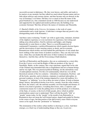successful account in diplomacy. Oh, they were heroes, and noble, and ready to be martyrs at any moment; but they talked too much about German nature and too little about railways and customs unions, and thus became only an obstacle in the way of Germany's *real* future. Did they ever so much as hear the name of the great Friedrich List, who committed suicide in 1846 because no one understood and supported his far-sighted and modern political aim, the building of an economic Germany? But they all knew the names of Arminius and Thusnelda.

(3. Haeckel's *Riddle of the Universe*, for instance, is the work of a pure sentimentalist and a weak logician. A faith that is stronger than any proofs is the distinguishing mark of the Romantic.)

And these same everlasting "Youths" are with us again today, immature, destitute of the slightest experience or even real desire for experience, but writing and talking away about politics, fired by uniforms and badges, and clinging fantastically to some theory or other. There is a social Romanticism of sentimental Communists, a political Romanticism which regards election figures and the intoxication of mass-meeting oratory as deeds, and an economic Romanticism which trickles out from behind the gold theories of sick minds that know nothing of the inner forms of modern economics. They can only feel in the mass, where they can deaden the dull sense of their weakness by multiplying themselves. And this they call the Overcoming of Individualism.

And like *all* Rationalists and Romantics, they are as sentimental as a street ditty. Even the *Contrat social* and the Rights of Man are products of the Age of Sensibility. Burke, on the contrary, like a true statesman, argued that on his side of the Channel men demanded their due as Englishmen and not as human beings, and he was right. This was practical political thinking, not the rationalistic issue of undisciplined emotions. For this evil sentimentality which lies over all the theoretical currents of the two centuries - Liberalism, Communism, Pacifism - and all the books, speeches, and revolutions, originates in spiritual indiscipline, in personal weakness, in lack of the training imparted by a stern old tradition. It is "bourgeois" or "plebeian," in so far as these are terms of abuse. It looks at human things, history, and political destiny *from below*, meanly, from the cellar window, the street, the writers' café, the national assembly; not from height and distance. It detests every kind of greatness, everything that towers, rules, is superior; and construction means for it only the pulling-down of all the products of civilization, of the State, of society, to the level of little people, above which its pitiful emotionalism cannot soar to understand. That is all that the prefix "folk" or "people" means today, for the "people" in the mouth of any Rationalist or Romanticist does not mean the well-formed nation, shaped and graded by Destiny in the course of ages, but that portion of the dull *formless* mass which everyone senses as his equal, from the "proletariat" to "humanity."

This domination of the rootless urban intellect is drawing to a close. And there emerges, as a final way of understanding things as they are, *Scepticism* -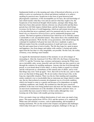fundamental doubt as to the meaning and value of theoretical reflection, as to its ability to arrive at conclusions by critical and abstract methods or to achieve anything by practical ones; Scepticism in the form of great historical and physiognomic experience, of the incorruptible eye for facts, the real knowledge of men which teaches what they were and are and not what they ought to be; the Scepticism of true historical thought which teaches, amongst other things, that there have been other periods wherein criticism was all-powerful and that these periods have left little impress behind them; and the Scepticism which brings reverence for the facts of world happening, which are and remain inward secrets to be described but never explained, and to be mastered only by men of a strong breed *who are themselves historical facts*, not by sentimental programs and systems. The hard recognition of historical fact which has set in with this century is intolerable to soft, uncontrolled natures. They detest those who establish them, calling them pessimists. Well, but this *strong* pessimism, with which belongs the contempt for mankind of all great fact-men who *know* mankind, is quite a different matter from the cowardly pessimism of small and weary souls which fear life and cannot bear to look at reality. The life they hope for, spent in peace and happiness, free from danger and replete with comfort, is boring and senile, apart from the fact that it is only imaginable, not possible. On this rock, the reality of history, every ideology must founder.

As regards the international situation of the moment, we are all in danger of misreading it. After the American Civil War (1861-65), the Franco-German War (1870-71), and the Victorian Age, existence and progress among the White races ran so incredibly calm, secure, peaceful, and care-free that one may search in vain through the centuries for anything analogous. Anyone who has lived through that period, or even heard about it from others, is always liable to regard it as normal and the wild present as a disturbance of this natural state of affairs, and to wish that things may soon "look up again." Now, that will *not* be the case, and we shall never see that kind of thing again. We do not realize what led up to this, in the long run, impossible situation. There was the *fact* that standing and expanding armies rendered a war so incalculable that no statesman any longer dared to make one; the *fact* that technical economic development was in a feverish condition which was bound to come to a speedy end because of its dependence on rapidly vanishing conditions; and, finally, the resultant *fact* that the grave unsolved problems of the time were being pushed more and more into the future, loaded as an unavowed commitment on to the shoulders of the heirs and heirs' heirs, so successfully that men ceased to believe in their reality although they were looming out of the future with steadily growing insistence.<

If few can stand a long war without deterioration of soul, none can stand a long peace. This peace period from 1870 to 1914, and the memory of it, rendered all White men self-satisfied, covetous, void of understanding, and incapable of bearing misfortune. We see the result in the Utopian conceptions and challenges which today form part of every demagogue's program; challenges to the age, to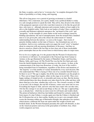the State, to parties, and in fact to "everyone else," in complete disregard of the limits of possibility or of duty, doing, and forgoing.

This all too long peace over a period of growing excitement is a fearful inheritance. Not a statesman, not a party, hardly even a political thinker is today in a safe enough position to speak the truth. They all lie, they all join in the chorus of the pampered, ignorant crowd who want their tomorrow to be like the good old days, only more so - although statesmen and economic leaders at least ought to be alive to the frightful reality. Only look at our leaders of today! Once a month their cowardly and dishonest optimism announces the "up-branch of the cycle" and "prosperity," on the strength of a mere flutter on the stock exchange caused by building-speculations: the end of unemployment, from the moment that a hundred men or so are given jobs, and as the climax the achievement of "mutual understanding between the nations," as soon as the League - that swarm of parasitic holiday-makers on the Lake of Geneva - has formulated any sort of a resolution. And in every conference and every paper the word "crisis" is bandied about in connexion with any passing disturbance of the peace. And thus we deceive ourselves, blind to the fact that we have here one of those incalculable great catastrophes that are the *normal* form in which history takes its major turns.

For we live in a mighty age. It is the greatest that the Western Civilization has ever known or will know. It corresponds to the Classical Age from Cannae to Actium, to the age illumined by the names of Hannibal, Scipio, and Gracchus, Marius, Sulla, and Caesar. [4] The World War was but the first flash and crash from the fateful thundercloud which is passing over this century. As then, at the commencement of the *Imperium Romanum*, so today, the *form* of the world is being remoulded from its foundations, regardless of the desires and intentions of "the majority" or of the number of victims demanded by every such decision. But who understand this? Who is facing it? Does one of us consider himself lucky to be there to see it? The age is mighty, but all the more diminutive are the people in it. They can no longer bear tragedy, either on the stage or in real life. They crave happy endings of insipid novels, so miserable and weary are they. But the destiny which pitched them into these decades now takes them by the collar and does with them what has to be done, whether they will or no. The coward's security of 1900 is at an end. Life in danger, the real life of history, comes once more into its own. Everything has begun to slide, and now only that man counts who can take risks, who has the courage to see and accept things as they are. The age is approaching nay, is already here - which has no more room for soft hearts and weakly ideals. The primeval barbarism which has lain hidden and bound for centuries under the form-rigour of a ripe Culture, is awake again now that the Culture is finished and the Civilization has set in: that warlike, healthy joy in one's own strength which scorns the literature-ridden age of Rationalist thought, that unbroken race-instinct, which desires a different life from one spent under the weight of books and bookish ideals. In the Western European peasantry this spirit still abounds, as also on the American prairies and away in the great plains of northern Asia, where world-conquerors are born.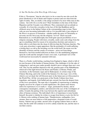#### (4. See *The Decline of the West*, II, pp. 418 et seq.)

If this is "Pessimism," then he who feels it to be so must be one who *needs* the pious falsehood or veil of ideals and Utopias to protect and save him from the sight of reality. This, no doubt, is the refuge resorted to by most white men in this century - but will it be so in the next? Their forefathers in the time of the Great Migration and the Crusades were different. They contemned such an attitude as cowardly. It is from this cowardice in the face of life that Buddhism and its offshoots arose in the Indian Culture at the corresponding stage in time. These cults are now becoming fashionable with us. It is possible that a Late religion of the West is in process of formation - whether under the guise of Christianity or not none can tell, but at any rate the religious "revival" which succeeds Rationalism as a world philosophy does hold quite special possibilities of *new* religions emerging. People with tired, cowardly, senile souls seek refuge from the age in something which by reason of its miraculous doctrines and customs is better able to rock them into the sleep of oblivion than the Christian churches. The *credo quia absurdum* is again uppermost. But the profundity of world-suffering a feeling that is as old as the brooding over the world itself, the moan over the absurdity of history and the cruelty of existence - arises not from things themselves, but from morbid reflection on them. It is the annihilating judgment upon the worth and the strength of men's own souls. A profound view of the world need not necessarily be saturated with tears.

There is a Nordic world-feeling, reaching from England to Japan, which is full of joy just because of the burden of human destiny. One challenges it for the sake of conquering it, and one goes under proudly should it prove stronger than one's own will. This was the attribute depicted in the old, genuine parts of the Mahabharata which tell of the fight between the Kurus and Pandus; in Homer, Pindar, and Aeschylus; in the Germanic sagas and in Shakespeare; in certain songs of the Chinese Shu king, and in the world of the Samurai. It is the *tragic* view of life, which is *not* yet dead, but will blossom anew in the future just as it blossomed in the World War. All the very great poets of the Nordic Cultures have been tragedians, and tragedy, from ballad and epic onward, has been the deepest form of this *brave* pessimism. The man who is incapable of experiencing or enduring tragedy can never be a figure of world significance. He cannot *make* history unless he experiences it as it really is - tragic, permeated by destiny, and in consequence meaningless, aimless, and unmoral in the eyes of the worshippers of utility. It marks the parting of the ways between the superior and subordinate ethos of human existence. The individual's life is of importance to none besides himself: the point is whether he wishes to escape from history or give his life for it. History recks nothing of human logic. Thunderstorms, earthquakes, lavastreams: these are near relatives of the purposeless, elemental events of world history. Nations may go under, ancient cities of ageing Cultures burn or sink in ruins, but the earth will continue to revolve calmly round the sun, and the stars to run their courses.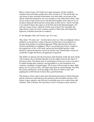Man is a beast of prey. [5] I shall say it again and again. All the would-be moralists and social-ethics people who claim or hope to be "beyond all that" are only beasts of prey with their teeth broken, who hate others on account of the attacks which they themselves are wise enough to avoid. Only look at them. They are too weak to read a book on war, but they herd together in the street to see an accident, letting the blood and the screams play on their nerves. And if even that is too much for them, they enjoy it on the film and in the illustrated papers. If I call man a beast of prey, which do I insult: man or beast? For remember, the larger beasts of prey are *noble* creatures, perfect of their kind, and without the hypocrisy of human moral due to weakness.

#### (5. See Spengler, *Man and Technics*, pp. 19 et seq.)

They shout: "No more war" - but they desire class war. They are indignant when a murderer is executed for a crime of passion, but they feel a secret pleasure in hearing of the murder of a political opponent. What objection have they ever raised to the Bolshevist slaughters? There is no getting away from it: conflict is the original fact of life, is life itself, and not the most pitiful pacifist is able entirely to uproot the pleasure it gives his inmost soul. Theoretically, at least, he would like to fight and destroy all opponents of pacifism.

The further we advance into the Caesarism of the Faustian world, the more clearly will it emerge who is destined ethically to be the subject and who the object of historical events. The dreary train of world-improvers has now come to an end of its amble through these centuries, leaving behind it, as sole monument of its existence, mountains of printed paper. The Caesars will now take its place. High policy, *the art of the possible*, will again enter upon its eternal heritage, free from all systems and theories, itself the judge of the facts by which it rules, and gripping the world between its knees like a good horseman.

This being so, I have only to show here the historical position in which Germany and the world now stand and how this position is the inevitable outcome of the history of past centuries, and will just as inevitably pass on to certain forms and solutions. That is Destiny. We may deny it, but in so doing we deny ourselves.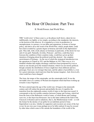### The Hour Of Decision: Part Two

II. World Powers And World Wars.

THE "world crisis" of these years is, as the phrase itself shows, taken far too indifferently, too lightly, or too simply, according to the standpoint, the interests, or the horizon of the observer. It is regarded as a crisis in production, in unemployment, in currency, in war debts and reparations, in home or foreign policy, and above all as the result of the World War, which, people think, could have been avoided by a greater degree of honesty and skill on the diplomatists' part. They talk, with a look askance at Germany in particular, of the desire for war and of war guilt. Naturally, Isvolsky, Poincare`, and Grey, could they have foreseen the condition of their countries today, would have given up their intention of bringing about the political result they desired – the complete encirclement of Germany – by the war of which the strategical introduction was the operations in Tripoli in 1911 and the Balkans in 1912. But even so, it is doubtful whether that mighty discharge could have been postponed by even as much as one decade given the strained situation, which was not merely political; though certainly the distribution of forces might have been different and less grotesque. Facts are ever stronger than men, and the sphere of possibility is, even for a great statesman, much narrower than the layman imagines. And, *historically*, what would have been changed?

The form, the tempo of the catastrophe, not the catastrophe itself. It was the inevitable close of a century of Western development which had been working up towards it since Napoleon.

We have entered upon the age of the world wars. It began in the nineteenth century and will outlast the present and probably the next. It signifies the transition from the eighteenth-century world of states to the *Imperium mundi.* It corresponds to the two terrible centuries between Cannae and Actium, which led from the form of the Hellenistic world of states, of which Rome and Carthage were two, to the *Imperium Romanum*. Just as the latter embraced the field of the Classical civilization and its radiations, that is, the Mediterranean world – so will the former be the destiny of our globe for an indefinite period of time. Imperialism is an *idea,* whether its supporters and executors are aware of the fact or not. In our own case it may perhaps never be fully realized. It may be crossed by other ideas which come to life outside the boundaries of the world of the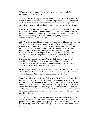"White" nations, but it underlies, as the *tendency* of a great historical form, everything that is now going on.

We live today "between ages". The Western world of states was in the eighteenth century a structure of a strict style, a style which governed also the contemporary creations of music and mathematics.<sup>1</sup> These states and this style expressed distinction of form not only in what they were but in what they did and thought.

Everywhere there ruled an ancient and powerful tradition. There were aristocratic conventions of government, of opposition, of diplomatic and warlike interstate relations, of admission of defeat and of challenges and concessions at the peace table. Honour still played an undisputed role. Everything proceeded ceremoniously and politely as in a duel.

After Peter the Great had founded a state of Western form at Petersburg,<sup>2</sup> the word "Europe" began to come into common use among Western peoples and, as is customary, to slip unnoticed into practical political thought and the trend of history. Till then it had been a scholar's term in geographical science, which since the discovery of America had developed on the lines of cartography. It is significant that the Turkish Empire, at that time a real world-power which embraced the whole Balkan peninsula and parts of southern Russia, was instinctively kept off these maps. And Russia itself counted actually only as the Petersburg Government. How many Western diplomats knew enough of Astrakhan, Nizhni-Novgorod, even Moscow, to think of them as part of "Europe"? The frontier of Western civilization was always placed at the point where German colonization had come to a standstill.

Of this Europe Germany formed the centre – not as a State, but as the battlefield of actual States. Here were made, mostly with German blood, the decisions as to whom India, South Africa, and North America should belong to.

In the East lay Russia, Austria, and Turkey; in the West, Spain and France, the two declining colonial empires from whom the island England wrested the supremacy – in the case of the Spaniards, definitively in 1713, in the case of the French from 1763 onward. England became the leading power in this system, not only as state, but as style. She grew very rich as compared with "the Continent" she has never quite regarded herself as part of "Europe" - and funded his wealth in the form of hired soldiers, sailors, and whole states, whom she subsidized to fight the island's battles.

At the end of the century Spain had long ceased to be a great power, and France was on the way to following her example. Both were old and exhausted nations, proud but weary, looking towards the past, but lacking the true ambition – which is to be strictly differentiated from jealousy – to continue to play a *creative* part in the future.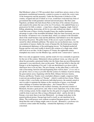Had Mirabeau's plans of 1789 succeeded, there would have arisen a more or less permanent constitutional monarchy, content in essence to satisfy the *rentier* taste of the bourgeoisie and the peasantry. Under the Directorate it looked as if the country, resigned and sick of ideals as it was, would have welcomed any form of government that would guarantee outward and inward peace. But then came Napoleon, an Italian who had chosen Paris as the base of his schemes for power, and created in his armies the *type of the last Frenchman,* who upheld France as a great power for fully a century – a type brave, elegant, bragging, rough, fond of killing, plundering, destroying, all for its own sake without any object – with the result that none of these victories brought France the smallest permanent advantage in spite of the incredible bloodshed. Only her fame increased, not even her honour. At bottom it was a Jacobin ideal, which, in contrast to the Girondist ideal of the small business man and the philistine, had behind it never the majority but always the power. The polite forms of the *ancien regime* in politics were ousted by others definitely plebeian. The nation was an incoherent mass, war the conscription of masses, battles the waste of human life, the brutal peace treaties the unmannered diplomacy of the pettifogging lawyer. Yet England needed all Europe and her own total wealth to destroy this creation of a single man, which still lived on as an idea. At the Congress of Vienna, the eighteenth century triumphed once more over the Modern Age, and the term "conservative" came in.

But it was only an apparent victory, and the result of it was constantly in question for the rest of the century. Metternich (whose political vision, say what one will about his personality, penetrated further into the future than any post-Bismarckian statesman's) was mercilessly clear on this point: "My private belief is that the old Europe is at the beginning of its end. I, who am determined to go down with it, shall know how to do my duty. The new Europe, on the other hand, is still in the state of becoming; between end and beginning there will be chaos". *It was only to put off this chaos as long as possible* that the system of a balance of power among the great nations arose, beginning with the Holy Alliance between Austria, Prussia, and Russia. Treaties were concluded, alliances sought, congresses held, to prevent any political upset of "Europe" - which it could not have borne. When, in spite of this, a war broke out between individual powers, the neutrals armed at once in order to maintain the balance at the conclusion of peace, even though minor shiftings of frontiers had taken place – the Crimean War is a classic example. One new formation only resulted: Germany, the personal creation of Bismarck, became a great power, and, what is more important, it lay in the centre of the existing system. In this simple fact lies the germ of a tragedy which nothing could be done to prevent. But as long as Bismarck ruled – and he *did* rule in Europe, even more than at one time Metternich – no change took place in the general political picture. Europe kept itself to itself; no one interfered in its affairs. The world powers were without exception European powers. And the dread that this state of things might come to an end – Bismarck's *cauchemar des coalitions* comes under this heading – oriented the diplomacy of all states concerned.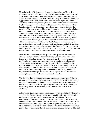Nevertheless by 1878 the age was already ripe for the first world war. The Russians stood before Constantinople, England wanted to intervene, France and Austria too; the war would at once have spread to Asia an Africa, and perhaps America; for the threat to India from Turkestan, the question of a protectorate for Egypt and the Suez Canal, and Chinese problems all emerged, and behind everything the beginning of rivalry between London and New York showed that England's sympathy with the Southern States in the War of Secession had not been forgotten. It was Bismarck's personal supremacy alone that shifted the decision of the great power-problems, for which there was no peaceful solution, to the future – though at a cost. In place of real wars there was no competitive arming for potential wars. This meant a new form of war, in which the parties vied with each other in the number of soldiers, of guns, of inventions, of the available sums of gold, which increased the tension almost to breaking point.<sup>3</sup> And precisely at that time, though the Europe of Bismarck's day remained oblivious of it, Japan, under Mutsuhito (1869), began to develop into a great power of the European brand with army, tactics, and armament-industry; and the United States was drawing the logical conclusion from the Civil War of 1861-5, in which the settler and planter element succumbed to the coal, industry, bank and bourse element, and the dollar commenced to play a part in the world.

From the end of the century the decay of this state system has become quite obvious – though not for the statesmen in charge, among whom there are no longer any outstanding figures. They all wear themselves out in the usual combinations, alliances, and agreements; trust to luck for external peace, for which standing armies present the security, during their term of office, and conceive of the future as a prolongation of the present. An over all the cities of Europe and North America there is triumphant shouting over the "progress of mankind" as demonstrated by the length of railways and leading articles, the height of factory chimneys and Radical election figures, and the thickness of armour-plating and the wads of share-certificates in safes.

The Shouting drowns the thunder of American guns at Havana and Manila and even that of the new Japanese howitzers at Port Arthur, by which the little yellow men, spoilt and admired by foolish Europe, demonstrated the precariousness of the basis on which its technical superiority stood and gave Russia, whose gaze never really left its western frontier, a most emphatic reminder of Asia's existence.

All the same, Russia had just then reason enough to be occupied with "Europe". It was clear that Austria-Hungary would not, or would barely, survive the death of the Emperor Franz Josef, and it was a question of what forms the new organization of these vast areas would take and whether war could be avoided. For not only were there various schemes and trends – mutually exclusive – in the interior of the Danubian Empire, but hopeful neighbouring countries also had ideas, and beyond them again would welcome a conflict there as enabling them to pursue their own aims elsewhere. Europe's state system, as a unity, was at the end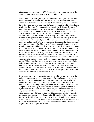of the world war, postponed in 1878, threatened to break out on account of the same problems on the same spot. And in 1912 it happened.

Meanwhile the system began to pass into a form which still persists today and bears a resemblance to the *Orbis terrarum* of the Late-Hellenic and Roman centuries. In those days the old Greek city states, including Rome and Carthage, lay in the centre and all around them the "circle of countries," which furnished the armies and the money for their decisions.<sup>4</sup> Macedonia, Syria, and Egypt rose from the heritage of Alexander the Great; Africa and Spain from that of Carthage; Rome had conquered North and South Italy, and Caesar added to these - Gaul. The struggle as to who should control the coming *Imperium* was fought, from Hannibal and Scipio down to the time of Antony and Octavian, on material supplied by the great border areas. And just so did relations develop in the last decades before 1914. A great power of the European order was a State which kept some hundred thousands of men under arms on European soil and possessed gold and materials enough to be able, in case of need, to multiply them tenfold in a calculable time; and behind these it had control of extensive border areas in other continents, which with their navel bases, colonial troops, and population of rawmaterial producers and production-absorbers, formed the basis for the wealth and consequently the military striking-force of the homeland. This was more or less the actual form of the British Empire, French West Africa, and Russian Asia, whereas in Germany the narrow outlook of ministers and parties lost for her the opportunity throughout several decades of founding a great colonial empire in central Africa, which in wartime would have been a power, even without being linked to the homeland, and would in any case have prevented a complete blockade by sea. The hasty endeavour to divide up the available remainder of the world in spheres of influence had as a result the gravest friction between Russia and England in Persia and the Gulf of Chi-li, between England and Germany in Morocco, and between all these powers of China.

Everywhere there were occasions for a great war, which seemed always on the point of breaking out, with a strange variety in the distribution of the warring parties – in the case of Fashoda and in the Russo-Japanese War, Russia and France were on the one side, England and Japan on the other – until at last it broke, in 1914, in a wholly meaningless form. It was a siege of Germany, as the "empire of the centre," by the whole world; the last attempt on the old lines to fight out great distant problems on German soil, without rhyme or reason as regards object and site. The war would have assumed a totally different form, different aims, and a different ending, had it been possible to induce Russia to conclude a separate peace with Germany, for this would inevitably have brought her over to the side of the Central powers. In the form it took, the war was a foredoomed failure. Its great problems are today as far from solution as ever, and could never have been solved by alliances between such natural enemies as England and Russia, Japan and America.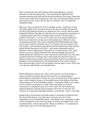This war marks the end of all traditions of the grand diplomacy of which Bismarck was the last representative. Not one among the deplorable later statesmen understood his task and the historical position of his country. More than one has since confessed to being driven, at his wits' end and unprotesting, into the movement of events. And so the fact that was "Europe" went to a stupid and undignified death.

Who won, who was beaten? In 1918 we thought we knew. And France at least still clings rigidly to her conviction, because she dare not morally surrender the last idea of her political existence as a great power, the *revanche.* But how about England? Or Russia? Has Kleist's short story *Der Zweikampf* been staged here on a world historical scale? Was it "Europe" that was beaten? Or the forces of tradition? The truth is, *a new form of world* has arisen, as the precondition for future crises which must one day set in with crushing force. Russia has been reconquered morally by Asia, and it is doubtful if the British Empire any longer has its centre of gravity in Europe. The rest of "Europe" lies now between Asia and America – between Russia and Japan in the East and between North America and the British Dominions in the West – and consists substantially only of: Germany, which is taking up her old position as a frontier against "Asia"; Italy, which is a power as long as Mussolini lives and may perhaps acquire in the Mediterranean the wider base for a true world-power; and France, who once more considers herself lord of Europe and to whose political system the League of Nations and the group of south-eastern states belong. But these are all possibly, or probably, evanescent phenomena. The transformation of the world's political forms proceeds apace, and no one can imagine what the maps of Asia, Africa, and even America will look like a few decades hence.

5

WHAT Metternich meant by the "chaos" that he tried to avert from Europe as long as possible by resigned and uncreative activity, by concentrating on preserving the existing state of things, was not so much the decay of the system of states, with its balance of power, as the parallel decay of the dignity of the State (*Staatshoheit*) even in the individual countries, a conception which is now almost lost to us. What we recognize as "order" today, and express in "Liberal" constitutions, is nothing but *anarchy become a habit.* We call it democracy, parliamentarianism, national self-government, but in fact it is the mere nonexistence of a conscious responsible authority, a government – that is, a true State.

Human history in the period of the high cultures is the history of political forces. The form of this history is war. But peace is also part of it, for it is the continuation of war with different means – the attempt of the vanquished to shake off the consequences of the war in the shape of treaties, the attempt of the victor to maintain them. A State represents the "being in condition"  $5$  of a national unit trained and set up by it for real and potential wars.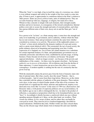When the "form" is very high, it has in itself the value of a victorious war, which is won without weapons and solely by the weight of the force ready to come into play. If form is poor, it approximates to continuous defeat in the State's relation to other powers. States are *purely political* units, units of radiated power. They are *not* units bound up with race, language, or religion, but stand *above* these. Whenever they coincide or mingle with such elements, their strength usually declines and never increases, in consequence of the inward contradiction. Internal politics exist only to secure the strength and unity of external politics, and when they pursue different aims of their own, decay sets in and the State gets "out of form".

For a power to be "in form", as a State among states, it must have the strength and unity in its leadership, its government, and its authority, without which the State has no real existence. State and government constitute the same form whether considered as existence or as activity. The powers of the eighteenth century *were* "in form", a form strictly defined by the dynastic tradition of court and society and to a great extent identical with it. The ceremonial, the tact of good society, the polite manners observed in bargaining and negotiating were but a visible expression of it. England, too, was in form: her island situation was a substitute for certain important features of a State, and parliamentary government was an eminently aristocratic and effective form, established by ancient usage, of doing business. France became involved in a revolution, not because "the people" opposed absolutism – which no longer existed – nor because of the poverty and indebtedness of the country – for these were far greater elsewhere – but because *authority was in process of dissolution*. All revolutions start from the decline of State supremacy. A street insurrection can never have this effect; it is a mere consequence. A modern republic is nothing but the ruin of a monarchy that has given *itself* up.

With the nineteenth century the powers pass from the form of dynastic states into that of national states. But what, exactly, does this mean? Nations – that is, civilized peoples – had of course been there long before. Moreover, on the whole they coincided with the spheres of authority of the great dynasties. These nations were *ideas*, in the sense in which Goethe speaks of the idea of his existence: the inward form of a significant life which, unaware and unobserved, inspires every deed and every word. But "*la nation*" in the sense of 1789 was a *Rationalistic* and *Romantic* ideal, a wish-picture of expressly political, not say social tendency. In this shallow age no one is able to distinguish the two. An ideal is the product of reflection, a conception or proposition which has to be formulated before one can "have" it. Accordingly it shortly becomes a catchword which one uses without spending anymore thought on it. Ideas, on the other hand, are wordless. Their vessels are seldom, if ever, aware of them, and for others they can hardly be conveyed in words. They must be *felt* in visualized happenings, described in actual realizations. Definition they defy. Neither wishes nor aims concern them. They are the obscure urge which attains form in human life and soars fatefully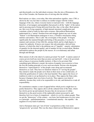and directionally over the individual existence: thus the *idea* of Romanness, the *idea* of the Crusades, the Faustian *idea* of striving after the infinite.

Real nations *are* ideas, even today. But what nationalism signifies, since 1789, is shown by the very fact that it confuses its mother-tongue with the written language of the city, where everyone learns to read and write – with the language, therefore, of newspapers and pamphlets that preach to all the "rights" of the nation and its pressing need of being delivered from this, that, or the other. Real nations are, like every living organism, of high internal structural complication and constitute a kind of order by their mere existence. But political Rationalism understands by a "nation" freedom from and struggle against any sort of order. "Nation" is for Rationalism analogous to *mass,* a formless structureless thing, rulerless and aimless. This it calls "the sovereignty of the people." It forgets significantly the matured thought and feeling of the peasantry, it scorns the manners and customs of true folk-life, among which, and in a high degree, is respect for authority. It knows not respect, but only principles, derived form theories, of which the chief is the plebeian one of "equality" –namely, substitution of quantity for the detested quality, and of number for the coveted talent. Modern nationalism replaces the people by the masses. It is revolutionary and urban through and through.

Most sinister of all is the ideal of a nation governed "by itself". A nation cannot of course govern itself any more than an army can lead itself – it has to be governed, and as long as it possesses healthy instincts, it likes to be governed. But something quite different is meant: the notion of popular *representation* is from the first the leading principle of every such movement. Persons who designate themselves "representatives" of the people come along and recommend themselves as such. They have no intention whatever of "serving the people"; they intend to make the people serve them in their more or less sordid aims, of which the gratification of vanity is the least harmful. They oppose the forces of tradition in order to set up themselves in its place. They oppose the State order, because it hampers their own form of activity. They oppose every kind of authority, because they wish to be responsible to no one, and themselves evade all responsibility.

No constitution contains a court of appeal before which *parties* might have to justify themselves. They oppose above all the cultured form of the State, which has slowly grown up and matured, because they do not possess it within themselves as the good society of the eighteenth century possessed it, and therefore feel it as a form of compulsion – which it is *not* for culture-people. Thus we get the "democracy" of the century – not form, but formlessness in every sense as a principle – parliamentarianism – constitutional anarchy – the republic – the negation of every kind of authority.

And so European states got "out of form" in proportion as they were more "progressively" governed. This was the chaos which moved Metternich to oppose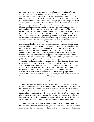democracy irrespective of its tendency, in the Romantic type of the Wars of Liberation as well as the Rationalistic type of the Bastille-stormers – both of which were combined in  $1848$  – and to be equally conservative in his attitude towards all reforms. Since then parties have been formed in all countries; that is, side by side with individual idealists there arose groups of business politicians of doubtful origin and more than doubtful ethics: journalists, advocates, financiers, literary hacks, party agents. They governed by representing their own interests. Monarchs and ministers had invariably been responsible to someone, if only to public opinion. These groups alone were accountable to nobody. The press, originally the *organ* of public opinion, had long since begun to serve the man who subsidized it; elections, once the expression of that opinion, brought in as victorious the party with the biggest money behind it. If nevertheless there still existed a kind of State order, or conscientious ruling, of authority, it resided in remnants of the eighteenth-century form, which persisted in the form of monarchy, however constitutional, of the officer-corps, of diplomatic tradition; and as regards England in age-old parliamentary usage (particularly in the Upper House) and in the two-party system. To these remnants was due everything that the State succeeded in bringing about in spite of parliaments.. Had Bismarck not been able to upon his king, he promptly have succumbed to the democracy. Political dilettantism, whose arena was parliament, regarded these forces of tradition with suspicion and hatred. It opposed them on principle and without restraint or thought for the external consequences. And thus, everywhere, home politics became a sphere which made demands on experienced statesmen that were quite out of relation to its importance, wasting their time and strength, and causing them to forget – and to will to forget – the original meaning of statesmanship, which is the direction of external policy. This condition of things is the anarchic intermezzo known today as democracy, which leads from the destruction of monarchial State supremacy by way of political, plebeian Rationalism to the Caesarism of the future. There are already signs, in the dictatorial tendencies of our time, of this Caesarism, which is destined to assume the unlimited mastery over the ruins of historical tradition.

6

AMONG the gravest signs of the decay of State authority is the fact that in the course of the nineteenth century economics came to be considered more important than politics. Few of those who are at all in touch with present-day decisions will deny this with any conviction. Not only is political power regarded as an element in public life whose first, if not sole, task is to serve the nation's economics – it is also expected to conform entirely to the desires and views of this economics and, in a word, to be at the disposal of the economic leaders. This is now the situation, far and wide, and the consequences may be read in the history of our time.

Actually, politics and economics cannot be separated in the life of a nation, for they are (as must be repeated again and again) two sides of the same life. But they stand to each other in the capacity of the navigation of a vessel and the destination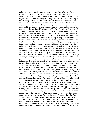of its freight. On board, it is the captain, not the merchant whose goods are carried, who has priority. If the impression prevails today that economic leadership is the more powerful element, this is because political leadership has degenerated into partisan anarchy and hardly deserves the name of leadership at all, so that by contrast the economic leadership *appears* to tower above it. But when one house is left standing amid the ruins after an earthquake, it is not necessarily the most important one. In history, when it is moving on "in good form" and is not tumultuous or revolutionary, the economic leader has never been the one to make decisions. He adapts himself to the political considerations and serves them with the means that are in his hands. Without a strong policy there has never and nowhere been a healthy economic system, although materialistic theories teach the contrary. Adam Smith, the founder of political economy, treated economic existence as the true human life, money-making as the meaning of history, and was wont to describe statesmen as dangerous animals; yet this very England became what it became – the foremost country, economically speaking, in the world – owing, not to the merchants and factory-owners, but to genuine politicians like the two Pitts, whose grandiose foreign policy was carried through often in the teeth of violent opposition from the short-sighted economists. They were pure statesmen, too, who carried on the struggle against Napoleon up to the verge of a financial crash, because they saw further ahead than the balancing of next year's budget – the normal limit of our political horizon today. But as things are now, the inadequacy of our leading statesmen, who themselves for the most part have interests in private concerns, allows business to intervene authoritatively in important decisions. However, it is business in its widest implication: not only banks and firms, with or without party protection, but also the concerns dealing with the raising of wages and shortening of hours which call themselves Labour parties. The last is the logical result of the first, and therein lies the tragic side of every economic system which tries to be its own political security. This again was first seen in 1789, among the Girondists, who tried to make the business interests of the well-to-do bourgeoisie the justification for the existence of State powers, and later, under Louis Philippe, the bourgeois king, this was to a great extent realized. The notorious motto: "*Enrichissez-vous*" entered into political morals. It was only too well understood and obeyed, and that not only by trade and commerce and the politicians themselves, but also by the wage-earning class, which at that time (1848) likewise took advantage of the decline of State authority for their own ends. And now the economic tendency become uppermost in the stealthy form of revolution typical of the century, which is called democracy and demonstrates itself periodically, in revolts by ballot or barricade on the part of the masses, and by the upsetting of cabinets and voting down the budget on the part of the people's representatives. This was the case in England, where the Free Trade doctrine of the Manchester school was applied by the trade unions to the form of goods called "labour" and eventually received theoretical formulation in the "Communist Manifesto" of Marx and Engels. And so was completed the dethronement of politics by economics, of the State by the counting-house, of the diplomatist by the trade-union leader; and it is here and not in the sequelae of the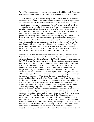World War that the seeds of the present economic crisis will be found. *This whole crushing depression is purely and simply the result of the decline of State power.* 

Yet the century might have taken warning by historical experience. No economic enterprises have ever really attained their end without the support of a politically ambitious government. It is quite wrong to speak of the "raids" of the Vikings, with whom the command of the sea began for the Western world. Obviously they were out for booty – whether in the form of land, men, or treasure was another question – but the Viking ship was *a State in itself*, and the plan, the high command, and the tactics of the voyage were pure policy. When the ship grew into a fleet, states were founded on the strength of it – and with a most pronounced authority behind them too, as in Normandy, England, and Sicily. The German Hansa would remained an economic great power had Germany itself became a political one. It was when this mighty federation of cities came to and end – it occurred to no one to regard its protection as a duty of the German State – that Germany fell out of the great world economic combinations of the West. Only in the nineteenth century did it find its way back, and then not through private enterprise, but solely through Bismarck's political achievements, which inspired the Imperialistic advance of the German economic system.

Maritime imperialism, the expression of the Faustian striving towards infinity, began to assume large forms from the time when the economic outlet in the direction of Asia was politically barred by the Turkish conquest of Constantinople in 1453. This was the deeper motive for the discovery of the oversea trade route to the East Indies by the Portuguese and the discovery of America by the Spaniards – with the great powers of the period behind them. The dominant motives, in individuals, were no doubt ambition, love of adventure, delight in battle and danger, thirst for gold – certainly not mere "good business". The discovered countries were to be conquered and ruled over; they were to strengthen the power of the Habsburgs in European combinations. The vision of an empire over which the sun never set was a *political* vision, the consequence of superior statesmanship and only as such a field for economic reward. It was the same when England won the primacy – *not* through her economic strength (which did not at first exist), but through the wise regimen of the nobility, Tory and Whig alike. England gained her wealth by *battles* and not by bookkeeping and speculation. That is why the English people, for all its "Liberal" thinking and talking, remained in practice the most conservative in Europe; conservative, that is, in the sense of preserving all past forms of power and even to the smallest ceremonial details, for all that they might smile or laugh outright at them So long as no more powerful new form was in sight, so long were all the old ones retained: the twoparty system, the Government's way of detaching itself from Parliament when making decisions, the House of Lords and the monarchy as braking elements in critical situations. This instinct has saved England time upon time, and if it should now die out, it will mean the loss, not only of political, but of economic position in the world. Neither Mirabeau, Talleyrand, Metternich, nor Wellington understood anything about economics. Undoubtedly they found pretexts in it – but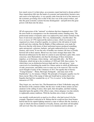how much worse if, in their place, an economic expert had tried to dictate politics! Once imperialism falls into the hands of economic and materialistic business men and ceases to be high policy, it very quickly sinks from the level of the interests of the economic governing class to that of the class war of the actual workers, and thus the great economic systems become disintegrated – and pull down the great powers with them into the abyss.

7

OF all expressions of the "national" revolutions that have happened since 1789 the most fertile in consequences was the nineteenth-century standing army. The professional armies of dynastic states was replaced by mass armies formed on the basis of universal conscription. This was, fundamentally, a Jacobin ideal. The *levee en masse* of 1792 expressed the nation as mass, which was meant to be organized on a basis of perfect equality, in contrast to the old nation of steady growth and class ordering. But the Rights of Man enthusiasts soon made the discovery that the wild onsets of these uniformed masses produced something quite unexpected: a glorious, barbaric, and quite untheoretical joy in danger, mastery, and victory. It was the relic of healthy race-instinct, the trace of Nordic heroism left in these nations. Blood was once more stronger than mind. The theoretical enthusiasm for the ideal of a nation in arms had had a quite other, more conscious, more Rationalistic aim than the discharge of these elementary impulses, as in Germany, where during – and especially after – the Wars of Liberation, which led up to the revolutions of 1830 and 1848, these armies, "in which there was no distinction between high and low, rich and poor," were conceived of as furnishing the model for a future nation in which all differences of rank, possessions, and ability were in some way to be removed. This was the secret thought of many of the volunteers of 1813, but equally that of literary "Young Germany" – Heine, Herwegh, Freiligrath – and many men of the Paulskirche,<sup>6</sup> as, for instance, Uhland. The principle of inorganic equality was for them crucial. Men of the stamp of Jahn and Arndt had no notion that it was Equality that had first sounded the cry of "*Vive la nation*" in the September massacres of 1792.

They forgot, too, one basic fact. The Romanticism of their Volkslieder sang only the heroism of the common soldier, but the *inner* worth of these armies (at first amateurs in the calling of arms), their spirit, their discipline, and their training, depended upon the quality of the officer-corps, whose adequacy was due entirely to eighteenth-century traditions. With the Jacobins also a body of soldiers

was morally worth precisely as much as its officer, who had *trained* it by his example. Napoleon confessed at St. Helena that he would not have been beaten had he had for his superb fighting material a corps of officers like the Austrian, a corps in which chivalrous traditions of loyalty, honour, and silent self-discipline still survived. Once the command wavers in its intentions and its attitude – or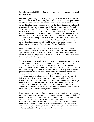itself abdicates, as in 1918 – the bravest regiment becomes on the spot a cowardly and helpless herd.

Given the rapid disintegration of the *forms* of power in Europe, it was a wonder that this *means* of power held out against it. Yet in fact it did so. The great armies were the most conservative element of the nineteenth century. It was they and not the debilitated monarchy, the nobility, or even the church that upheld the form of State authority and enabled it to cope with the anarchic tendencies of Liberalism. "What will come out of all this ruin," wrote Metternich<sup>7</sup> in 1849, "no one today can tell. An element of force has arisen, not only in Austria, but in the whole of hard-pressed Europe. This element is called: standing armies. Unfortunately it is only a conserving, not a creative element, and it is creativeness that is wanted." And, indeed, it was wholly on the strict ideals of the officer-corps – to the level of which the rank and file had been trained – that all depended. In the local riots and insurrections that happened in 1848 and later, the responsibility of failure was always traceable to moral inferiority in the officers. Would-be

political generals who considered themselves entitled by their military rank to make statesmanlike decisions and act according to them have always existed – in Spain and France as in Prussia and Austria – but the officer-corps as a whole always declined to hold political opinions of its own. In 1830, 1848, 1870, it was the armies that stood firm, not he crowns.

It was the armies, also, which averted war from 1870 onward, for no one dared to set this mighty force in motion for fear of its incalculable effect. Hence the abnormal state of peace between 1870 and 1914, which renders it almost impossible for us to see how things really lay. $8$  In the place of direct wars we have the indirect variety, in the form of a steady increase of war-preparedness, of the pace of armament and technical invention: a war in which there are similarly victories, defeats, and shortlived peace treaties.<sup>9</sup> But this method of disguised warfare presupposes a national wealth such as only countries with an extensive industrial system have amassed – to a great extent the wealth, in so far as it represented capital, actually *consisted* in the industrial system – and the existence of the system presupposed supplies of coal, on which all industries depended.<sup>10</sup> Money is needed to wage war, and still more money for war preparations. Industrialism therefore became in itself a weapon. The more productive it was, the more certainly could its success be gauged in advance.

Every furnace, every machine-factory increased war-preparedness. The prospect of successful operations became more and more dependant upon the possibility of unlimited consumption of material – above all, munitions. Only gradually did this fact grow familiar. In the peace negotiations of 1871 Bismarck still laid all the stress on strategic points like Metz and Belfort, and none at all on the Lorraine mining area. But once the whole relation between economics and war, between coal and cannon, was realized, a revulsion set in: a strong economic system came to be regarded as the all-important premiss for war; it was now the first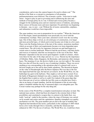consideration, and at once the cannon began to be used to obtain coal.<sup>11</sup> The decline of the State as a concept in consequence of all-grasping parliamentarianism soon followed. The economic system – from trust to trade union – began to play its part in governing and in influencing the aims and methods of foreign policy by its vote. Colonial and oversea policy became a struggle for the marketing areas and raw-material sources of industry, and among these sources oil became more and more important. For petroleum was beginning to threaten – nay, to oust – coal. Without the oil motor, automobiles, airplanes, and submarines would have been impossible.

The same tendency was seen in preparation for sea warfare.<sup>12</sup> When the American Civil War began, armed merchantmen were practically on a level with the contemporary warships. Three years later, armoured vessels were the sea-ruling type. Out of these ships evolved, at a feverish pace of construction, ever larger and more powerful types, of which each in turn became out of date in a few years. These were the floating fortresses of the turn of the century, monstrous machines which on account of their coal requirements became ever more dependant upon coastal bases. The old rivalry for supremacy between sea and land began in a certain sense to incline landwards. Whoever had the naval bases, with their docks and reserves of material, ruled the sea irrespective of the size of the fleet. "Rule Britannia" depended on the last resort upon England's wealth of colonies, which were there for the sake of the ships and not *vice versa*. Therein lay the importance of Gibraltar, Malta, Aden, Singapore, the Bermudas, and numerous other strategic bases. The meaning of war, the decisive battle at sea, was lost sight of. The enemy fleet was shut off from the coast by way of rendering it helpless. There was never anything at sea corresponding to the operations plan of a general staff, never a decision fought out to the end by these battle squadrons. The theoretical dispute on the value of Dreadnought after the Russo-Japanese War was due to the fact that Japan had built the type, but had not yet tested it. In the World War, too, the battleships lay quiet in the harbours. They might as well not have existed. Even the battle of Skagerrack (Jutland) was only a surprise, the *offer* of a battle, which the English fleet evaded as well as it could. Few indeed of the great ships that have been put out of service within the last fifty years as obsolete have fired a shot at an enemy of equal standing. And the development of the air arm today makes it doubtful whether the day of armoured ships is not altogether past. The Corsair warfare may perhaps be the only thing left.

In the course of the World War a complete transformation took place on land. The national mass-armies, which had been developed to the extreme limit of their possibilities and constituted a weapon that, in contrast to the battle fleet, was really "used up", ended in the trenches, where the siege of Germany was carried on by assaults and sorties until the capitulation. Quantity triumphed over quality, mechanism over life. The great numbers put an end to the type of mobility that Napolean had introduced into tactics, particularly in the campaign of 1805 which led in a few weeks through Ulm to Austerlitz, and that the Americans had enhanced in 1861-5 by the use of railways. The World War, too, would have been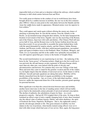impossible both as to form and as to duration without the railways, which enabled Germany to shift whole armies between East and West.

Two really great revolutions in the conduct of war in world history have been brought about by a sudden increase in mobility: the one was in the first centuries after 1000 B.C when at some point in the wide plains between the Danube and the Amur the saddle-horse made its appearance. Mounted armies were far superior to foot-soldiers.<sup>13</sup>

They could appear and vanish again without offering the enemy any chance of attacking or pursuing them. In vain did the nations, from the Atlantic to the Pacific, set up mounted troops alongside their infantry, for the latter hampered the freedom of movement of the horse. Equally vain was the encircling of the Roman, and of the Chinese, *Imperium* with walls and ditches. (The Chinese Wall still runs across half of Asia, and the Roman *Limes* in the Syrian-Arabian desert has just been discovered). It was not possible to assemble the armies behind these walls with the speed demanded by surprise attacks, and the Chinese, Indian, Roman, Arabian, and Western worlds, with their settled peasant populations, succumbed again and again in helpless terror to the Parthians, Huns, Scythians, Mongols, and Turks. It is as if peasantry and life in the saddle were spiritually irreconcilable. It was still superior speed that gave victory to the hordes of Genghis Khan.

The second transformation we are experiencing in our time – the replacing of the horse by the "horse power" of Faustian technics. Right up to the first world war it was precisely the old and famous cavalry regiments of Western Europe which, more than any other arm, were haloed with the pride of chivalry and adventurousness and heroism. For centuries they were true Vikings of the land. More and more they came to stand for the genuine vocation and life of the soldier, in a far higher degree than the infantry of universal service. In the future it will be different. Aircraft and tank squadrons are taking their place. Mobility will be thereby intensified from the limit of organic possibilities to the inorganic possibilities of the machine – but, as it were, of the individual machine – which, however, unlike the impersonal drum-fire of the trenches, presents grand openings for personal heroism.

More significant even than this critical decision between mass and mobility, another factor intervenes in the fate of standing armies which will inevitably prove fatal to the nineteenth-century principle of universal national conscription. The decline of authority, the substitution of party for State – in a word, progressive anarchy – had up till 1914 stopped short of the army. So long as there remained an officer-corps to train a rapidly changing body of men, there remained also the ethical value of military honour, fidelity, and silent obedience, the spirit of Frederick the Great, Napoleon, Wellington – that is, the eighteenth century – and the chivalresque attitude to life. This great element of stability was first shaken in the war of positions, when hastily-trained young officers were set to deal with older troops which had years of war service. Here, again, the long peace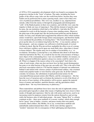of 1870 to 1914 suspended a development which was bound to accompany the progressive decline in the "form" of nations. The ranks, including the lower grades of the officer-corps (who saw the world from below, because they were leaders not by profession but to meet a passing need), came to have their own view of political possibilities. This view was, needless to say, imported from outside, either from the enemy or through the propaganda and disintegration "cells" of the Radical parties in their own countries, and with this view came the impulse to think out ways of imposing it. Thus did the element of anarchy enter he army, the one institution which had so far baffled it. And after the War it continued its work in all the barracks of peace-time standing armies. Moreover the plain man of the people had, like the professional politician and the Radical leader, for forty years dreaded and exaggerated the unknown effect which modern armies would have, upon both foreign armies and insurgents, and therefore hardly even considered the possibility of resisting them.<sup>14</sup> The Social-Democrats had given up the idea of a revolution long before the War – it was merely a phrase in their program – and one company was sufficient to hold thousands of excited civilians in check. But the War proved how negligible the effect even of a strong force with heavy artillery can be upon our stone-built cities, when there is houseto-house defence. The regular army lost its nimbus of invincibility *vis a` vis* revolutions. Nowadays a conscript has a very different idea about it all from that which he had before the War. As a result he has lost the consciousness of being a mere object of the commanding force. I am very doubtful whether, for instance, in France a general mobilization against a *dangerous* enemy could be carried out at all. What is to happen if the masses refuse to be conscripted? And what is the value of such troops, when one does not know how far their moral disintegration has gone or on what fraction of the men one can really rely? This is the end of that universal conscription which in 1792 had the impetus of national war-enthusiasm behind it and started with *voluntary* armies of professional soldiers, who swarmed round some popular leader or were fired by some great aim. In all the Cultures – consider, for instance, the substitution of paid professional armies for the conscripted Roman peasant armies after Marius, and the consequences – this has been the way to Caesarism and is at bottom the instinctive revolt of the blood, of the reserve of race-instinct, of the primitive will-to-power, against the material forces of money and intellect, anarchist theories, and the speculation which exploits them  $-$  the way from democracy to plutocracy.<sup>15</sup>

These materialistic and plebian forces have since the end of eighteenth century proceeded quite logically to adopt other means of fighting that were closer to their modes of thought and experience. Side by side with armies and navies, used to an increasing extent for purposes remote from the nations themselves and serving solely the business aims of individual groups – the name "Opium War" is a drastic comment on this – there arose methods of *economic* warfare, which often enough led in "peace" time to battles, victories, and peace treaties that were purely economic. Real soldiers, like Moltke, let us say, scorned these methods and undoubtedly underestimated their effect. All the more did they appeal to "modern" statesmen who in consequence of their upbringing and disposition,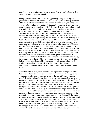thought first in terms of economics and only then (and perhaps) politically. The growing dissolution of State authority

through parliamentarianism afforded the opportunity to exploit the organs of governmental power in this direction. Above all, in England, which by the middle of the nineteenth century had become a "nation of shopkeepers", an enemy power was not to be overthrown by military, but ruined by economic, rivalry, and at the same time retained as a purchaser of English goods. That has been the intention of free-trade "Liberal" imperialism since Robert Peel. Napoleon conceived of the Continental blockade as a purely military measure because he had no other available against England. On the Continent he created only new dynasties, whereas Pitt founded trading and plantation colonies in distant lands. The war of 1914, however, was fought by England, not on France's behalf nor on Belgium's, but for the sake of the "week-end", to dispose of Germany, if possible, for good, as an economic rival. In 1916 there set in, side by side with the military war, a systematic economic war, to be carried on when the other came inevitably to an end, and from then onward the war aims were oriented more and more in that direction. The Treaty of Versailles was not intended to create a state of peace but to organize the relation of forces in such a way that this aim could at any time be secured by fresh demands and measures. Hence the handing over of the colonies and the merchant fleet, the seizure of bank bonds, property and patents in all countries, the severance of industrial areas like upper Silesia and the Saar valley, the inauguration of the Republic – by which it was expected (and correctly) that industry would be undermined by the power assumed by trade unions – and finally the reparations, which England, at least, intended not as war indemnification but as a permanent burden on German industry until it should collapse.

But with this there set in, quite contrary to the expectation of the powers which had dictated the treaty, a new economic war, in which we are still engaged and which accounts for a very considerable part of the present "world economic crisis". The distribution of power in the world had been completely changed by the strengthening of the United States and its high finance and by the new form of the Russian Empire. The opponents and the methods were changed. The presentday war with economic weapons (which may later be accounted a second world war) produced wholly new forms in the Bolshevik economic offensive expressed in the Five Year Plan; the attack by dollars and francs on the pound sterling; the inflations engineered by foreign exchanges which destroyed the whole contents of national exchequers; autarchy of economic systems which may be carried to the extent of wiping out exports from the opposing powers and therewith the whole economic system and the means of existence for great nations; and the Dawes and Young plans, which represent the attempts of financial groups to force whole states to do forced labour for the banks. What it really amounts to is that the life of one's own nation has to be gained at the cost of destroying that of others. It is the struggle on the keel of the overturned boat. And when all other means are exhausted, then the oldest and most primitive, the military means, will come into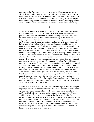their own again. The more strongly armed power will force the weaker one to give up its economic defensive, capitulate, and disappear, Cannon are in the last resort stronger than coal. There is not telling how this economic war will end, but it is certain that it will finally restore to the State *as authority* its historical rights, based on voluntary, and therefore reliable, thoroughly trained, and highly mobile armies – and will push back economics to the second place, where they belong.

8

IN this age of transition, of formlessness "between the ages", which is probably still far short of the summit of confusion and passing forms, new tendencies pointing towards the distant future are faintly outlining themselves. The powers which are destined to wage the final war for supremacy on this planet are beginning to shape themselves into form and position; only one of them can give the *Imperium mundi* its name, and that provided that no terrible fate destroys it before completion. Nations of a new order are about to arise which are not as those of today, summations of individuals of equal rank and of like speech, nor as those of yesterday, when, as in the Renaissance, one recognized with an assurance that rested on the style, the soul of it, a painting, a battle, a face, an idea, a form of moral outlook and opinion as Italian – although there was as yet no Italian State in existence. The Faustian nations of the end of the twentieth century will be *elective affinities* of men with a common feeling about life, with the same imperatives of a strong will and naturally with the same language, but without their knowledge of that language constituting either a hall-mark or a limitation. They will be men if race – not in the sense of today's belief in race, but in my sense of it as a matter of strong instincts, among them that superior eye for the things of reality that the cosmopolitans and authors today can no longer distinguish from the flash of mere intelligence; in short, men who feel themselves born and called to be masters. What matters number? It only tyrannized over the last century, which bowed the knee to quantity. A *man* means a great deal as opposed to a mass of slavish souls, pacifists and world-improvers who yearn for quiet at any cost, even that of "liberty". It is the transition from the *populus Romanus* of the time of Hannibal to the representatives of Romanness in the first century, who in part, witness Marius and Cicero, were not "Romans" at all.

It seems as if Western Europe had lost its authoritative significance, but, except as regards politics, this is only apparently so. The idea of Faustian civilization grew up here. Here are its roots, and here it will win the final victory in its history or swiftly perish. Decisions, wherever made, are made an account of the Western world, though not for its money or happiness, but for its *soul's* sake. But at present the power has been transferred to the border areas of Asia and America. In the one the power spreads over the largest inland mass of the globe; in the other – the United States and the British Dominions – over the two world-historical oceans connected by the Panama Canal. Yet none of the world powers of today stands so firmly that one can say with certainly that it will still be a power in a hundred or in fifty years, or even exist at all.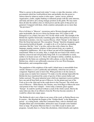What is a power in the grand style today? A state, or state-like structure, with a government which has world-political aims and probably also the power to enforce them by whatever means it relies upon – armies, navies, political organization, credits, mighty banking or industrial groups with the same interests, and lastly and above all a strong strategic position on the globe. We may name them all after the million-cities in which power and the spirit of that power are garnered. Compared with them, whole countries and peoples are no more than "the provinces".<sup>16</sup>

First of all there is "Moscow", mysterious and to Western thought and feeling quite incalculable, the *decisive* factor for Europe since 1812 (when it still belonged to it as a State), but since 1917 for the whole world. The triumph of the Bolsheviks signifies historically something quite other than political socialism or theoretical economics. *Asia has regained Russia,* which "Europe" in the shape of Peter the Great had annexed. The conception "Europe" therefore disappears again from practical political thought – or ought to do so if we had any outstanding statesmen. But this "Asia" is an *Idea*, and an idea with a future too. Race, language, popular customs, religion, in their present form, are a matter of comparative indifference. All or any of them can and will be fundamentally transformed. What we see today, then, is simply the new kind of life which a vast land has conceived and will presently bring forth. It is not definable in words, neither is its bearer aware of it. Those who attempt to define, establish, lay down a program for the future are confusing life with a phrase, as does the ruling Bolshevism, which is not sufficiently conscious of its own West-European, Rationalistic, and cosmopolitan origin.

The population of this mightiest of the earth's inland areas is unassailable from outside. Distance is a *force* politically and militarily, which has not yet been conquered. Napoleon came to know this. What good does it do the enemy to occupy areas no matter how immense? To make even the attempt impossible the Bolsheviks have transferred the centre of gravity of their system farther and farther eastward. The great industrial areas which are important to power-politics have one and all been built up east of Moscow, for the greater part east of the Urals as far as the Altai and on the south down to the Caucasus. The whole area west of Moscow – White Russia, the Ukraine, once from Riga to Odessa the most vital portion of the Tsar's Empire – forms today a fantastic glacis against "Europe". It could be sacrificed without a crash of the whole system. But by the same token any idea of an offensive from the West has become senseless. It would be a thrust into empty space.

This Bolshevik rule is not a State in our sense of the word, as Petrine Russia was. It consists – like Kipchak the Empire of the "Golden Horde" in the Mongolian period – of a ruling horde, called the Communist Party, with its chieftains and almighty Khan and a downtrodden, defenceless mass of people some hundred times as large. Of genuine Marxism there is very little except in names and programs. Actually there is a Tartar-like absolutism, which disturbs and exploits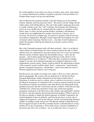the world regardless of any limits save those of caution, grim, cruel, with murder as a routine administrative method, constantly in presence of the possibility of a Genghis Khan rising to roll up Asia and Europe.

The real Russian has remained nomadic in his life-feeling, just as the northern Chinese, Manchu, and Turcoman have done.<sup>17</sup> His home is not the village, but the endless plain, Little Mother Russia. The soul of this endless landscape drives him to wander without a goal. The "will" is lacking. The Germanic life-feeling has a goal to be won, whether this be a distant land, the solution of a problem, a God, power, fame, or riches, but here peasant families, mechanics, and labourers wander from one neighbourhood to another, from factory to factory, not of necessity, but driven by a hidden urge. No repressive measure of the Soviets has succeeded in stopping this, although it makes impossible the founding of a stock of trained workers bound up with their work – a fact that of itself foredooms to failure the attempt to build up and maintain an economic system on West-European lines.

But is the Communist program really still taken seriously – that is, as an ideal to which millions of human beings have been sacrificed and for the sake of which millions more are condemned to starvation and poverty? Or is it just an extremely effective means of defence against the downtrodden masses – above all, the peasants – and of attack against the hated non-Russian world, which is to be disintegrated before it is overthrown?<sup>18</sup> Obviously there would be no startling change if, one day, the Communist principle were dropped in deference to the requirements of power-policy. Names would be altered: the administrative branch of the economic system would be called "firms", commissions "control boards", and the Communists themselves "shareholders", and for that matter the form of Western capitalism has found its way in long ago.

But this power can conduct no foreign wars, either to West or to East, otherwise than by propaganda. The system is far too artificial, for it still has the West-European Rationalistic features inherited from the literary underworld of Petersburg. It would not survive a defeat, since it could not even survive a victory; the Moscow bureaucracy if confronted with a victorious general would be lost and Soviet Russia would be succeeded by some other Russia, the ruling horde being probably massacred. But this would mean only the overthrow of the *Marxian* type of Bolshevism, whereas the nationalist-Asiatic type would reach gigantic proportions unchecked. Is the Red Army really reliable, and employable? And has the officer-corps the requisite professional and moral qualities? What is shown in the Moscow parades is simply the picked regiments of reliable Communists, the actual bodyguard of those in authority, and from the provinces we hear only of suppressed conspiracies. And are the railways, aircraft, and munitioning industries capable of standing a really serious test? The Russian attitude in Manchuria and the non-aggression pacts in the West certainly disclose a determination to avoid a military test in any circumstances. Those other means, economic annihilation of the enemy and, above all, revolution – not as an ideal aim, but as a *weapon*, as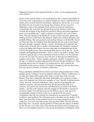England and France used it against Germany in 1918 – are less dangerous and more effective.

Japan, on the contrary, holds a very strong position. She is almost unassailable by sea owing to her conformation as a chain of islands, the narrow channels between which can be securely barred by minefields, submarines, and aircraft, so as to put the China Sea out of reach of any foreign fleet. Further, she has secured in Manchuria a slice of the mainland which will be of enormous importance economically (the soya-bean has already destroyed the lucrative value of the coconut and oil palms in the South Seas and West Africa) and whose population grows at an incredible rate<sup>19</sup>, while its definitive boundaries have not yet been fixed. The least attempt by the Bolsheviks to take military measures against this shifting of power would lead to the taking of Vladivostok, Eastern Mongolia, and probably Peking. The only practical counteracting influence is the Red Revolution in China, but since the founding of the Kuomintang this has come to grief again and again through "capitalist" attacks – namely, the buying-off of generals and whole armies from one side or another. Immemorially old "Fellaheen" peoples<sup>20</sup> such as the Indian and Chinese can never again play an independent part in the world of the great powers. They can change their masters, drive one out – as, for example, the Englishman from India – but it is only to succumb to another. They will never again produce a form of political existence of their own. For that they are too old, too rigid, too used up. Even the form of their present rebelliousness, together with its aims – liberty, equality, parliament, republic, Communism, and the like – is without exception imported from Western Europe and Moscow. They constitute objects and war resources for foreign powers, their countries are battlefields for the decisive battles of foreigners, though precisely for that reason they may achieve immense, if transitory, importance.

Russia and Japan undoubtedly have their eyes fixed on the potential uses of these peoples and are working in secret by methods which the "Whites" neither know or see. But does Japan really stand as firm today as at the time of the war with Russia? Then there reigned the old, proud, honourable, and courageous ruling class of the Samurai, one of the best examples of "race" that the world has known. Today, however, one hears of Radicals, strikes, Bolshevist propaganda, and murdered ministers. Has this splendid State already passed the peak of its existence, poisoned by the Democratic and Marxian decay-forms of the White nations – and this at the moment when the struggle for the Pacific is entering on its decisive phase? If it still possesses its old offensive power, then, given its incomparable strategic position on the sea, it can deal with any enemy combination. But who can seriously be considered as an enemy here? Certainly not Russia, and equally no West-European power. Nowhere can the decline of all these states from their former political status be so clearly gauged as in this connexion. Not much nore than twenty years ago Port Arthur, Wei-Hai-Wai and Kiau-chau were "occupied" and the partition of China into the spheres of interest for the Western was in full swing. Once the Pacific problem was a European one. Now not even England ventures to carry out the development of Singapore which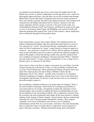was planned several decades ago. It was to have been the mighty base for the British navy in time of Asiatic complications, but the question is now: could it be held against Japan and France, once the latter can use the overland route through Hither India? On the other hand, if England retires from her former position in these seas, thereby exposing Australia to the Japanese pressure, that continent will certainly leave the Empire and attach itself to America. America is the only serious opponent, but how strong is even she *at this point* on the water, notwithstanding the Panama Canal? San Francisco and Hawaii lie much too far apart to serve as naval bases against Japan; the Philippines can scarcely be held, and Japan has potential allies against New York in Latin America, whose significance does not diminish through not being talked about.

9

Is the United States a power with a future? Before 1914 superficial observers talked of unlimited possibilities after they had looked about them for a week of two, and post-war "society" from Western Europe, compounded of snobs and mobs, for full of enthusiasm for "husky" young America as being far superior to ourselves – nay, positively a model for us to follow. But for purposes of durable form records and dollars must not be taken to represent the spiritual strength and depth of the people to whom they belong; neither must sport be confused with race-soundness nor business intelligence with spirit and mind. What *is* "hundred per cent Americanism"? A mass existence standardized to a low average level, a primitive pose, or a promise for the future?

All we know is that so far there is neither a real nation nor a real State. Can both of these develop out of the knocks of fate, or is this possibility excluded by the very fact of the Colonial type, whose spiritual past belongs elsewhere and is now dead? The American does not talk of State or Mother Country like the Englishman, but of *"this* country". Actually what it amounts to is a boundless field and a population of trappers, drifting from town to town in the dollar-hunt, unscrupulous and dissolute; for the law is only for those who are not cunning or powerful enough to ignore it.

The resemblance to Bolshevik Russia is far greater than one imagines. There is the same breadth of landscape, which firstly, by excluding any possibility of successful attack by an invader, consequently excludes the experience of real national danger, and, secondly, by making the State not indispensable, prevents the development of any true political outlook. Life is organized exclusively from the economic side and consequently lacks depth, all the more because it contains nothing of that element of historic tragedy, of great destiny, that has widened and chastened the soul of Western peoples through the centuries. Their religion, originally a strict from of Puritanism, has become a sort of obligatory entertainment, and the War was a novel sport. And there is the same dictatorship there as in Russia (it does not matter that it is imposed by society instead of a party), affecting everything – flirtation and church-going, shoes and lipstick,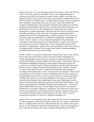dances and novels *a` la mode*, thought, food, and recreation – that in the Western world is left to the option of individuals. There is one standardized type of American, and, above all, American woman, in body, clothes, and mind; any departure from or open criticism of the type arouses public condemnation in New York as in Moscow. Finally, there is an almost Russian form of State socialism or State capitalism, represented by the mass of trusts, which, like the Russian economic administrations, systematically standardize and control every detail of production and marketing. These are the real lords of the land in both cases. It is the Faustian will-to-power, but translated from organic growth to soulless mechanization. Dollar-imperialism, which pervades the whole of America down to Santiago and Buenos Aires and seeks to undermine and eliminate West-European (and, above all, English) trade, is entirely analogous in its control of economic trends by political power to Bolshevik imperialism. The Bolshevik motto: "Asia for Asiatics," too, corresponds in principle to the present-day conception of the Monroe Doctrine for Latin America – namely, all America for the economic power of the United States. This is the ultimate meaning of the founding of "independent" republics like Cuba and Panama, of the intervention in Nicaragua and the overthrow by the might of the dollar of unaccommodating presidents right down to the extreme South.

But this "liberty" of existence on the purely economic basis, free of state and law, has its other side. Out of it has arisen a sea-power which is beginning to be stronger than England's and controls two oceans. Colonial possessions have arisen: the Philippines, Hawaii, islands of the West Indies. And business interests and English propaganda dragged the country deeper and deeper into the first world war, even to the extent of military participation. *But* the United States has thereby become a leading element in international politics, whether it would or no, and it must either now learn to think and act internally and externally in accordance with a State policy or else, in its present form, disappear. There is now no going back. Is the "Yankee" equal to this difficult task? Does he stand for an indestructible kind of life or is he only a *fashion* in physical, mental, and moral clothing? And, moreover, how many inhabitants of the country are there who inwardly do not belong to this ruling Anglo-Saxon type? Quite apart from the Negroes, the immigrants during the twenty years before the War included – with only a small proportion of Germans, English, and Scandinavians – no less than fifteen million Poles, Russians, Czechs, Balkan Slavs, Eastern Jews, Greeks, inhabitants of Asia Minor, Spaniards, and Italians. The greater part of these have not been incorporated in Americanism, but form an alien, foreign-thinking, and very prolific proletariat with its spiritual home in Chicago. They, too, desire unrestricted economic war, but have a different conception of it.

Granted, there is no Communist party. But neither did this exist as an organization for election purposes in the Tsarist regime. And in the one country as in the other, there is a mighty underworld of an almost Dostoievsky sort, with its own urge to power, its own methods of destruction and of business, which, in consequence of the corruption prevailing in the organs of public administration and security,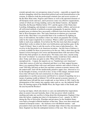extends upwards into very prosperous strata of society – especially as regards that alcohol-smuggling which has intensified political and social demoralization to the extreme. It embraces both the professional criminal class and secret societies of the Ku Klux Klan order, Negroes and Chinese as well as the uprooted elements of all European stocks and races, and it possesses some very effective organizations, certain of which are of long standing, such as the Italian Camorra , the Spanish Guerrilla, the Russian Nihilists before 1917, and the agents of the Cheka later. Lynching, kidnapping, and attempts to assassinate, murder, robbery, and arson are all well-tested methods of political-economic propaganda. In spacious, thinly peopled areas revolutions have necessarily a different form from that which they take in West-European cities. The Latin-American revolutions give incessant proof of this. Here there is no powerful State to be overthrown by fighting an army of old traditions, but neither is there one which can guarantee the existing order by the respect inspired by its existence. What is called "government" is here liable to melt away suddenly. Even before the War the trusts had often enough to defend their works in strikes by their own fortifications and machine-guns. In the "Land of Liberty" there is only the resolve of free men to help themselves – the revolver in the hip-pocket is an American invention – but this form of defence is as freely available for those in possession as for the rest. Only a short time ago the farmers in Iowa besieged a few towns and threatened them with starvation if they did not buy their products at a decent price. Not many years since, anyone using the word "revolution" in connexion with this country would have been called an idiot. Today such ideas are quite in order. What will the masses of the unemployed do – I repeat, the majority are *not* "hundred per cent Americans" – when their sources of relief are exhausted and there is no State support because there is no organized State with exact and honest statistics and control of those in want? Will they fall back on their fists and their common economic interest with the underworld? And will the intellectually primitive upper class, obsessed as it is by the thought of money, reveal all at once, in face of this danger, dormant moral forces that will lead to the real construction of a State and to spiritual preparedness to sacrifice possessions and blood to it, instead of regarding war as a means of gaining wealth as hitherto? Or will the special economic interests of individual areas still pull the most weight and, as once before in 1861, lead to the disintegration of the country into separate states such as, say, the industrial North-East, the farming region of the Middle West, the Negro states of the South, and the area beyond the Rockies?

Leaving out Japan, which only desires to carry out undisturbed her imperialistic plans in eastern Asia and Australia, there is but one power which would do anything and make any sacrifice to bring about this disintegration: England. It has done this before, stopping just short of a declaration of war – namely, in 1862-4 during the War of Secession. Warships and privateers for the Southern States were built or brought in British harbours at that time. These were then armed and manned in European waters – the *Alabama* even with British marines – and proceeded to burn and sink the North's merchant ships wherever they encountered them. England was then the undisputed mistress of the seas. This was the one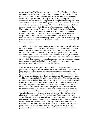reason which kept Washington from declaring war. The "Freedom of the Seas" meant the *English* freedom to trade, and nothing more. Since 1918 that is at an end. England, which in the nineteenth century was the counting-house of the world, is no longer rich enough to keep the lead in the present pace of fleetconstriction, and her power is no longer sufficient to prevent others by force from outdoing her. The premonition of this epochal point in her history was one of the reasons for the war against Germany, and November 1918 probably the last, alltoo-short period during which this power of yesterday could indulge in the illusion of a great victory. But, apart from England's increasing inferiority in warship-construction, the very conception of the command of the seas has changed fundamentally. Airplanes now rank with submarines as a superior weapon, and the hinterland has thus become more important than coasts and harbours. *V is a` vis* French bombing squadrons, England has ceased strategically to be an island, and England as mistress of the seas sinks into the past along with the heavy battleship.

But neither is the English nation strong, young, or healthy enough, spiritually and racially, to combat this terrible crisis with confidence. Too much of its precious blood was spent in the nineteenth century for its possessions, was lost by the exodus to the white dominions and by the devastating effects of climate in the coloured colonies. Above all, it lacks the racial foundation of a tough peasantry. The ruling upper class of Germanic or Celtic race – there is no difference between them – which dates from the conquest, has been used up. The mass of the original population, erroneously called Celts,<sup>21</sup> has forced its way up to a dominant position by its radically different "French" life-feeling.

It has, for instance, exchanged the old oligarchic form of parliamentary government in the grand manner for the Continental and anarchic form of unclean party struggles. Galsworthy has described the tragedy of this transition with painful penetration in his *Forsyte Saga.* It is the economic victory of the *rentier* ideal over capitalist imperialism. There remain considerable fragments of former wealth, but impulse to fight for fresh stocks of it is lacking. The methods of trade and commerce are falling slowly out of date, and no one has the creative energy to reform them on American and German models. The thirst for adventure is dying and the young generation has fallen so precipitously in mind, morals, and world outlook from the qualitative level to which English society had been educated in the previous century as to present a phenomenon without parallel in the world. The old trumpet-call: "England expects every man to do his duty," which every young Englishman of good family at Eton and Oxford before the War felt as directed to him personally, now falls on deaf ears. Youth amuses itself with Bolshevik problems, goes in for eroticism as a sport, and sport as a profession and object in life. Men of the older generation who were active in high positions before the War now ask themselves in dismay who is to defend the ideal of a Greater Britain when they are gone. Shaw hinted in *The Apple-Cart* that "some" people would rather fight out the hopeless struggle against America's preponderance to the end than lay down their arms – but how many of these will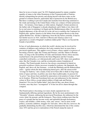there be in ten or twenty years? In 1931 England granted by statute complete equality of status to the white Dominions in the Commonwealth of Nations, thereby relinquishing her priority and allying herself with these states on the ground of common interests, particularly that of protection by the British navy. But there is nothing to prevent Canada and Australia from throwing sentiment to the winds and turning to the United States if they see a chance of better protection there – for instance, from Japan, as white nations. England's former position on the farther side of Singapore is already abandoned, and if India is lost, there will be no real sense in retaining it in Egypt and the Mediterranean either. In vain does English diplomacy of the old style try in the old way to mobilize the Continent for English ends: against America as the debtor front and against Russia as the front against Bolshevism. All that is diplomacy from the day before yesterday. It had its last fateful success in 1914. And how if Russia and America came to an agreement as a result of England's tradition-ridden pride? That is *not* beyond the bounds of possibility.

In face of such phenomena, in which the world's destiny may be involved for centuries of darkness and confusion, the Latin countries have no more than a provincial significance. This applies even to France, whose capital is in process of becoming a historic sight, like Vienna and Florence, and like Athens in Roman times. As long as the old mobility of Celtic and Germanic blood, whose ancestry reached back to the period between the Great Migration and the Crusades, controlled world policy, as it did practically until Louis XIV, there were grandiose aims, like the Crusades even, and the seventeenth-century foundations of colonies. The French people, however, has always concentrated its hatred on powerful *neighbours* whose successes wounded its jealousy: the Spaniards, the English, and, above all, the Germans – in both the Habsburg and the Hohenzollern states – against whom the deep underlying hatred grew, after the unsuccessful "revenge for Sadowa," into a mania. It has never been able to think in long-range terms of space and time, in politics any more than in philosophy; its passion for "*la gloire"* has always been satisfied by annexation or devastation of strips of land on its frontiers. What true Frenchman feels any real enthusiasm for the immense colony in West Africa, except indeed soldiers of high rank and Parisian financiers? Or even for Farther India? And what do they care about Alsace-Lorraine, once they have "reconquered" it? It has lost all its charm through that conquest.

The French nation is becoming ever more clearly separated into two fundamentally differing spiritual ingredients. By far the more predominant is the "Girondist" element, embracing the provincial Frenchman, the enthusiast for the *rentier* ideal, the peasant, and the bourgeois. These desire nothing more than the peace of a people that has become weary and unfruitful through uncleanness, avarice, and stolidity: a little money, wine, and "*amour"*, but no more world politics, economic ambition, struggles for vital aims. Above this lies, however, the gradually diminishing Jacobin class, which has determined the fate of the country since 1872 and has given to nationalism of the French stamp the name of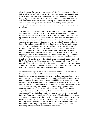Chauvin, after a character in an old comedy of 1831. It is composed of officers, industrialists, high officials of the strictly centralized Napoleonic administration, Parisian pressmen, deputies without difference of party or program – in Paris a deputy represents private business – and a few powerful organizations like the Masonic and the ex-soldier unions. Discreetly this element has been led and exploited for a century past by international Parisian high finance, which subsidizes the press and the elections. Chauvinism has long been to a large extent a *business*.

The supremacy of this ruling class depends upon the fear, nameless but genuine, which prevails in the provinces of any dangerous developments in foreign politics and of a new depreciation in the value of their savings – a fear which is kept alive by the Parisian press and the clever manner in which elections are handled. But this feeling is a danger which threatens and will threaten all the neighbouring countries for years to come – England and Italy as well as Germany. It allowed itself to be exploited before 1914 both by England and by Russia, and it would still be a useful tool in the hands of a skilful foreign statesman. The figure of Chauvin is growing slowly into the counterpart of the Spanish Don Quixote, grandiosely farcical, at which half the world already laughs. It is the figure of a one-time thruster and hero of valorous deeds, now become old, who – with the biggest gold-heap in the world behind him, armed to the teeth, hung about with every description of armour, surrounded by armed servants – calls to all his friends of yesterday for help, looks out in fear and trembling from the window of his fortified house, and shivers at the sight of every armed neighbour. And this is the end of *la grande nation.* Its heir in the domain of the Mediterranean and North Africa may perhaps be Mussolini's creation, if this remains long enough under his rule to acquire the necessary spiritual firmness and durability.

No one can say today whether any of these powers will still be in existence in their present form by the middle of the century. England may have become limited to her island and fallen into America's clutches. Japan and France, who at this time alone know what a strong army is worth, may have fallen into the hands of Communistic dictators. Russia's future possibilities can in some respects not even be imagined. But the situation at the moment is dominated by the conflict of interests between England and Russia in the East, and England and America in the West. In both cases England is retreating – economically, diplomatically, militarily, and morally – and part at least of her lost positions are not to be regained even by a war. Does that signify the inevitable choice between war and capitulation? Or has the failing country no longer even the choice? Most Anglo-Saxons on both side of the Atlantic believe the tie of blood and tradition to be so strong that they cannot be faced with such a decision. But the belief that blood is thicker than water has not survived the test very well in the case of England and Germany. Hatred between brothers has always been stronger in the human race than hatred of an enemy. It is peculiarly apt to grow suddenly from small beginnings into a passion from which there is no retreat.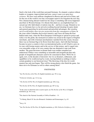Such is the look of the world that surround Germany. So situated, a nation without leaders or weapons, impoverished and torn, *cannot count even upon bare existence*. We have seen millions slaughtered in Russia and starved in China, and for the rest of the world it was but a newspaper report to be forgotten the next day. Not a human being abroad would lose his sleep is something still worse happened anywhere in Western Europe. It is threats that alarm us; accomplished facts we can put up with. Individuals or nations may die – and leave no gap. Situated as we are, we Germans have so far arrived at nothing beyond shouting for party ideals and general quarreling for professional and parochial advantages. *But standing out of world politics does not give protection from the consequences of them.* In the years when Columbus discovered America, and Vasco da Gama the East Indian trade route, when the West-European world began to spread its power and riches over the globe, the steelyard in London was closed at the request of English merchants, and with it German merchantmen vanished from the oceans, because there was no German flag to be flown from their masts. And with that Germany became too poor a country to have an international policy at all. It had to carry on its wars with foreign money and in the service of that money, and it waged wars over miserable scraps of its own country that one diminutive state took from another. The great decisions in distant lands were neither remarked nor understood. Politics were something so miserable and insignificant that only people of insignificant character cared to be concerned in them. Will it be so again, now, in the decades of decision> Are we as dreamers, enthusiasts, and squabblers to be swallowed up by events, leaving behind us nothing to lend a certain grandeur to our historical close? The throwing of the dice for worldmastery has only just begun. They will be strong players who finish the game. Are there not to be Germans as well as others among them?

#### FOOTNOTES

<sup>1</sup> See *The Decline of the West*, II, English translation, pp. 391 et seq.

<sup>2</sup>*Politische Schriften,* pp. 112 et seq.

3 *The Decline Of The West*, II, English translation, pp. 428 et seq.

<sup>4</sup>The Decline Of The West, II, English translation, pp. 407 et seq.

 $<sup>5</sup>$  In the sense in which the term is used in sport; see *The Decline of the West, II*, English</sup> translation, pp. 361 et seq.

<sup>6</sup>The church of the National Assembly of 1848 at Frankfurt. – *Tr*.

 $7$  To Hartig, March 30. See also Bismarck: Gedanken und Erinnerungen, I, p. 63.

 $8$  See p. 16.

9 See *The Decline Of The West,* II, English translation, p. 428; *Politische Schriften,* p. 132.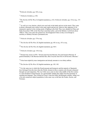<sup>10</sup>*Politische Schriften,* pp. 329, et seq.

<sup>11</sup> *Politische Schriften,* p. 330.

<sup>12</sup>*The Decline Of The West,* II, English translation, p. 421; *Politische Schriften,* pp. 134 et seq., 173 et seq.

<sup>13</sup> As well as to war chariots, which were used only in the battle and not on the march. They came in about a thousand years earlier in the same region and proved, wherever they appeared, to be immensely superior to the existing mode of fighting in the field. They were adopted in China and India from about 1500, in the Near East somewhat earlier, and in the Hellenic world from about 1600 B.C They soon came into general use, but disappeared when cavalry (even though as auxiliary to infantry) became a permanent arm.

<sup>14</sup> *Poltische Schriften,* pp. 179 et seq.

<sup>15</sup> *The Decline Of The West*, II, English translation, pp. 401 et seq., 431 et seq.

<sup>16</sup>*The Decline Of The West*, II, English translation, pp. 98-9.

<sup>17</sup>*Politische Schriften*, pp. 110 et seq.

<sup>18</sup> Dostoievsky wrote in 1878: "All men must become Russian, first and foremost Russian. If general humanity is the Russian national idea, then everyone must first of all become a Russian."

 $19$  It has been tripled by mass immigration and already amounts to over thirty million.

<sup>20</sup>*The Decline Of The West,* II, English translation, pp. 105, 185.

 $21$  It is the same race to which the French peasant and bourgeois and the majority of Spaniards have belonged from the time when the Nordic element in those countries also became exhausted through war and emigration. The *true* Celtic races came in only in the middle of the first century B.C from Northern Central Europe. It is questionable whether they differ from the Germanic in anything but language. They formed in Caesar's time the Gallic and Britannic nobility, ruling over a far more numerous subject population, in the same way as did later the Franks, Saxons, and Normans.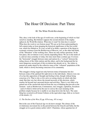# The Hour Of Decision: Part Three

III. The White World-Revolution.

This, then, is the look of the age of world wars, at the beginning of which we find ourselves standing. But behind it appears the second element of the mighty upheaval, the World Revolution. What does it want? In what does it consist? What does the word at very bottom mean? We are as far from understanding its full content today as from grasping the historical significance of the first world war, which lies behind us. It is not, as half of us think, a question of the threat to economic existence from the Bolshevism of Moscow, nor, as the other half think, of the "liberation" of the working class. These are only surface questions. In the first place, this revolution is not a merely impending threat. We are in the midst of it, and not since yesterday or today, but since more than a century ago. It crosses the "horizontal" struggle between states and nations by a "vertical" between the ruling classes of the white nations and the others, and in the background the far more dangerous second part of this revolution has already set in - the whites in general are under attack by the collective mass of the "coloured" population of the earth, which is slowly becoming conscious of its community.

This struggle is being waged not only between strata of humanity but also between strata of the spiritual life right down to the individuals. Almost every one of us has this opposition of thought and feeling in him, though without being conscious of it. That is why so few arrive at seeing clearly on which side they stand. But that very fact shows the inward necessity of this decision, which reaches far beyond one's personal desires and activities. There is very little to be gained out of the catchwords derived from the way of thinking that prevails at the moment - such as Bolshevism, Communism, class struggle, capitalism, Socialism - each of which is believed by the user to convey the exact meaning of the problem simply because he is unable to see deep down into the facts. The same thing has occurred in all former Cultures at the equivalent stage, little as we know of the details. [1]

(1. *The Decline of the West*, II, pp. 419 et seq., 451 et seq.)

But in the case of the Classical Age we do know enough. The climax of the revolutionary movement lies in the period between the Gracchi and Sulla, but the struggle set in a good century earlier with C. Flaminius, whose agrarian law of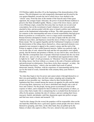232 Polybius rightly describes [2] as the beginning of the demoralization of the masses. This development was only temporarily interrupted and diverted by the war against Hannibal, towards the end of which slaves were drafted to the "citizen" army. From the time of the murder of the Gracchi and of their great opponent, the younger Scipio Africanus, the power of ancient Roman tradition to preserve the State dwindled rapidly. Marius, a man of the lower classes, and not even of Roman origin, created the first army that was based, not on universal conscription, but on the recruitment of paid volunteers who were personally attached to him, and proceeded with this army to launch a pitiless and sanguinary attack on the fundamental relationships in Rome. The older generations, trained for centuries in the statesmanship and sense of moral responsibility that had given Rome its position as a world power, were to a large extent exterminated. The Roman Sertorius attempted to found a rival state in Spain with the aid of the barbarous races there, and Spartacus roused the slaves of Italy to wipe out all that Rome meant. The war against Jugurtha and the Catilinarian Conspiracy revealed the deterioration of the ruling classes themselves, whose uprooted elements were prepared at any moment to appeal to the country's enemy and the mob of the Forum in support of their sordid financial interests. Sallust was perfectly right - it was for the sake of cash, whereof the mob and the rich speculators were equally greedy, that the honour and greatness of Rome, its race and its idea, went down in ruin. But this cosmopolitan mass of people which had swarmed into the city from all sides was - just as is the case now - not mobilized and organized from within to fight for its "right" of self-government, its "liberation" from the oppression of the ruling classes, but from without, as a means to the ends of business politicians and professional revolutionaries. From these circles there emerged - as today - the "dictatorship from below," which is the inevitable final result of radical democratic anarchy. Polybius, with his experience of statesmanship and his keen eye for the trend of events, foretold this with certainty thirty years before C. Gracchus.

"So when they begin to lust for power and cannot attain it through themselves or their own good qualities, they ruin their estates, tempting and corrupting the people in every possible way. And hence when by their foolish thirst for reputation they have created among the masses an appetite for gifts and the habit of receiving them, democracy in its turn is abolished and changes into a rule of force and violence. For the people, having grown accustomed to feed at the expense of others, and to depend for their livelihood on the property of others, as soon as they find a leader who is enterprising but is excluded from the honours of office by his penury, institute the rule of violence; and now uniting their forces massacre, banish, and plunder, until they degenerate again into perfect savages and find once more a master and monarch." [3]

"And for this change [for the worse] the populace will be responsible when on the one hand they think they have a grievance against certain people who have shown themselves grasping, and when, on the other hand, they are puffed up by the flattery of others who aspire to office. For now, stirred to fury and swayed by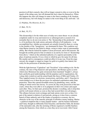passion in all their counsels, they will no longer consent to obey or even to be the equals of the ruling caste, but will demand the lion's share for themselves. When this happens the state will change its name to the finest sounding of all, freedom and democracy, but will change its nature to the worst thing of all, mob-rule." [4]

(2. Polybius, *The Histories*, II, 21.)

(3. Ibid., VI, 9.)

(4. Ibid., VI, 57.)

This dictatorship is for the white races of today not a mere threat: we are already completely under its sway and moreover so submerged and so assured of its normality that we do not even notice it. The "dictatorship of the proletariat" - that is, of its profiteers the trade unions and party officials of all tendencies - is an accomplished fact, whether governments are actually formed by them or, owing to the timidity of the "bourgeoisie," are dominated by them. This condition was what Marius aimed at, but failed to obtain, owing to entire want of statesmanlike ability. But what he lacked his nephew Caesar possessed, and in full measure. He brought the terrible period of the revolution to an end by *his* form of "dictatorship from above," which set the unlimited authority of a superior personality in the place of partisan anarchy. It was a form to which he gave his name for all time. His murder and its consequences could not affect it in any way. From his reign onward, the struggle is waged no longer for gold or to gratify class hatred, but solely for the possession of absolute power.

With the fight between "Capitalism" and "Socialism" it has nothing to do. On the contrary, the class of big financiers and speculators, the Roman *equites* (a term which since Mommsen has quite erroneously been translated "knights"), always had a perfectly good understanding with the populace and its organizations, the voting clubs (*sodalicia*) and the armed bands like those of Milo and Clodius. [5] They supplied money for elections, insurrections, and bribes, and C. Gracchus in return handed over to them the provinces for unlimited exploitation under State protection. There they spread incredible misery by plundering, usury, and the selling of whole towns into slavery. To crown all, they took possession of the lawcourts, where they were able to sit in judgment on their own crimes and acquit each other. They, for their part, promised the dictator everything, only to drop him and his well-meant reforms as soon as they had secured their own advantages. This alliance between stock exchange and trade unions exists now as then. It is part of the natural evolution of such periods, arising as it does from a common hatred of State authority and of the leaders of productive economy, the two obstacles in the way of the anarchic principle of effortless money-making. Marius - a political simpleton like so many popular leaders - and his backers Saturninus and Cinna, thought no differently from Gracchus; and therefore Sulla, the dictator of the nationalist side, after the storming of Rome organized a terrible butchery among the financiers, from which as a class they never recovered. After Caesar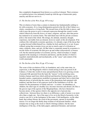they completely disappeared from history as a *political* element. Their existence as a political power was intimately bound up with the age of democratic partyanarchy and did not survive it.

## (5. *The Decline of the West*, II, pp. 455 et seq.)

This revolution of more than a century in duration has fundamentally nothing to do with economics. It is a long disintegration-period in the life of the Culture as a whole, considered as a living body. The inward form of the life falls to pieces, and with it goes the power to give it outward expression through the creative works which collectively form the *history* of states, religions, and arts, after that power has matured to its extreme limits. The individual man with his private existence *follows* the trend of the whole. His doings, his attitude, intention, thought, experience, inevitably form an element, however small, in this development. If he confuses this with purely economic questions, it is already a sign of the decay that is going forward within himself too, whether he feels and knows it or not. It goes without saying that economic *forms* are just as much a part of civilization as states, religions, ideas, and arts. [6] But what is commonly meant by economics is not the forms of economic life that grow up and wither *independently of human will*, but the material product of economic activity, which nowadays is simply equated in the meaning to civilization and history, and the decline of which is regarded, materialistically and mechanically, as the "cause" and content of the world catastrophe.

#### (6. *The Decline of the West*, II, pp. 472 et seq.)

The scene of this revolution of life, its foundation, and, at the same time, its expression, is the Megalopolis which is found arising in the Late period of all Cultures. [7] Into this world of stone and petrifaction flock ever-growing crowds of peasant folk uprooted from the land, the "masses" in the terrifying sense, formless human sand from which artificial and therefore fleeting figures can be kneaded: parties, organizations modelled on program and ideal, but in which that inherent power of growth that the course of the generations had saturated with tradition, and that most of all expresses itself in the fruitfulness of all life - the instinct for the permanence of family and race - is extinct. An abundance of children, the chief sign of a healthy race, becomes tiresome and absurd. [8] This is the gravest sign of the egoism of the Megalopolitans, who have themselves become atoms, of the egoism which is the opposite not of present-day collectivism - between these two there is no difference; a pile of atoms is no more alive than a single one - but of the urge to live on in the blood of posterity, in the creative care for it, in the lastingness of the name. Cold intelligence, on the other hand, that solitary bloom, the weed of the pavements, sprouts in incredible masses. It is no longer the thrifty deep wisdom of old peasant families, which remains true as long as the stock to which it belongs endures, but the mere intelligence of the day, of the daily papers, ephemeral literature, and national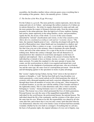assemblies, the bloodless intellect whose criticism gnaws away everything that is left standing of the genuine - that is, the naturally grown - Culture.

## (7. *The Decline of the West*, II, pp. 99 et seq.)

For the Culture is a *growth*. The more perfectly a nation represents, shows the true stamp and style of, its Culture - and amongst the noblest creations of a Culture are its nations themselves - the richer its organic disposition by status and rank, and the more genuine the respect of distances between ranks, from the strong-rooted peasantry to the urban patriciate. Here the high level of form, tradition, training, and custom, innate superiority in the ruling families, circles, and personalities, signify the life, the *destiny* of the whole. A *society* in this sense remains untouched by "rational" classifications and visions, or else it has ceased to exist. Above all, it is *constituted according to rank and not "economic classes."* The latter, the material, English point of view - which has developed with and by the growth of Rationalism since Adam Smith and was formulated in a shallow and cynical system by Marx a century or so ago - is not made any more right by the fact that it has won out to this moment, when it dominates the entire thought, vision, and will of the white nations. It is a sign of the *decline* of society, and nothing more. Before this century is through, men will ask themselves in amazement how this valuation of social forms and degrees on the basis of employer and employed - that is, according to the *amount* of money that the individual has or intends to have as fortune, income, or wages - ever came to be taken seriously. For under this standard it is the mere amount of money that counts, not the social position in which it was acquired and turned into a real possession. It is the standpoint of proletarians and parvenus, who are at bottom one and the same type, the same weed of a metropolitan pavement - from the thief and tub-thumping agitator to the speculator in stocks or party advantage.

But "society" implies having Culture, having "form" down to the last detail of manners or thoughts, a "code" that has been built up by long discipline over whole generations, a strict moral outlook on life which penetrates the whole of existence with a thousand unspoken and rarely conscious obligations and ties, but through them forms all members of society into a living unit - often irrespective of national frontiers, as was the case with the nobility of the Crusades and that of the eighteenth century. This it is that determines rank; this is what is meant by belonging to "society." Among Germanic races it is called, almost mystically, honour. This honour was a force which permeated the lives of whole generations. Personal honour was only the sense of the unqualified responsibility of the individual for the social honour, the professional honour, the national honour. The individual shared the life of the community, and the existence of the others was at the same time his own. Whatever he did, the responsibility was shared by all who came after him, and in those days it was not only a man's spirit that died when he was dishonoured, when his own or his family's sense of honour had been mortally wounded, whether by his own fault or a stranger's. Everything that we call *duty*, the basis of all genuine rights, the original substance of every sort of dignity, may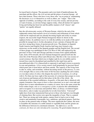be traced back to honour. The peasantry and every kind of handicraftsman, the merchant and the officer, the civil servant and the prince of ancient lineage - all have their honour. Those who have it not, those who "see no point in" maintaining the decencies *vis-à-vis* themselves as well as others, are "vulgar." This is the opposite of nobility, according to the code of every true society; and not poverty or want of money, as envious beings suppose today, when all instinct for superior living and feeling has been lost and the public manners of all "classes" and "parties" are equally debased.

Into the old aristocratic society of Western Europe, which by the end of the eighteenth century had reached a level of existence and refinement of form which could not be surpassed and was already becoming fragile and sickly in certain respects, the successful Anglo-Puritan bourgeoisie thrust its shoots in the eighteen-forties. Its ambition was to vie with the nobility in its mode of life and if possible be merged into it. In this absorption of new currents of human life one sees how strong these forms of ancient growth were. The planters in Spanish South America and English North America had long since formed a true aristocracy on the model of the Spanish grandee and the English lord. The second of these groups was annihilated in the Civil War of 1861 and replaced by the parvenus of New York and Chicago and their revenues from capital milliards. Later, from 1870 onwards, the new German bourgeoisie spread itself into the strict life of the Prussian officer and official class. But this is the very essence of social existence: that that which rises to higher rank by its own ability and its inward force must be disciplined and ennobled by this rigid form and its unconditioned ethic if it is thenceforth to represent it and hand it down to posterity in sons and grandsons. A live society renews itself perpetually by precious blood which pours into it from below and from outside. The capacity of the living form to take in, refine, and assimilate, without becoming unsure in the process, is a test of its strength. But as soon as this form of life becomes anything but self-evident, or even takes notice of critics who dispute the need for its existence, it is all up with it. For then one loses sight of the necessity of a structure that assigns to every sort of person and human activity their place in the life of the whole - the realization of the essential unlikeness, *inequality*, of the parts that is identical with organic formation. One ceases to have a clear conscience as to one's own rank and forgets how to meet subordination as a matter of course, but to the same extent the lower orders forget, *only as a consequence of this*, to practise this subordination and to recognize it as necessary and justified. Here, as always, revolution begins from above, only to make way presently for revolts from below. "Universal" rights have from time immemorial been given to those who had not even thought of claiming them. But society rests upon the inequality of men. That is a natural fact. There are strong and weak natures, natures born to lead or not to lead, creative and untalented, honourable, lazy, ambitious, and placid natures. Each has its place in the general order of things. The more significant the Culture, the more it resembles the structure of a noble animal or vegetable body and the greater are the differences between its constituent elements - *the differences, not the contrasts, for these are only introduced by reasoning*. No good retainer dreams of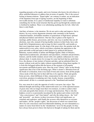regarding peasants as his equals, and every foreman who knows his job refuses to allow unskilled labourers to address him on terms of equality. This is the *natural* feeling in human relations. "Equal rights" are contrary to nature, are an indication of the departure from type of ageing societies, are the beginning of their irrevocable decline. It is a piece of intellectual stupidity to want to substitute something else for the social structure that has grown up through the centuries and is fortified by tradition. There is no substituting anything else for Life. After Life there is only Death.

And that, at bottom, is the intention. We do not seek to alter and improve, but to destroy. In every society degenerate elements sink constantly to the bottom: exhausted families, downfallen members of generations of high breed, spiritual and physical failures and inferiors. One has only to glance at the figures in meetings, public-houses, processions, and riots; one way or another they are all abortions, men who, instead of having healthy instincts in their body, have only heads full of disputatiousness and revenge for their wasted life, and mouths as their most important organ. It is the dregs of the great cities, the genuine mob, the underworld in every sense, which everywhere constitute the opposition to the great and noble world and unite in their hatred of it: political and literary Bohemia, wastrel nobility (Catiline and Philippe Égalité, Duke of Orleans), shipwrecked academicians, adventurers and speculators, criminals and prostitutes, loiterers, and the feeble-minded, mixed with a few pathetic enthusiasts for some abstract ideal. A mushy desire for revenge for some bad luck that has spoilt their lives, the absence of any instinct of honour and duty, and an unlimited thirst for money without work and for rights without responsibilities bring them together. It is from this befogged milieu that the heroes of the moment of all popular movements and Radical parties arise. Here the word "Liberty" takes on the bloody significance that it has in the declining ages. What is meant is: liberation from all the bonds of civilization, from every kind of form and custom, from all the people whose mode of life they feel in their dull fury to be superior. Pride and quietly borne poverty, silent fulfilment of duty, renunciation for the sake of a task or conviction, greatness in enduring one's fate, loyalty, honour, responsibility, achievement: all this is a constant reproach to the "humiliated and insulted."

For, once more be it said, the opposite of *noble* is not poor, but *vulgar*. The debased thought and feeling of this underworld *makes use* of the uprooted masses of great cities who no longer trust their own instincts, in order to achieve their own ends and gratify their desires of revenge and destruction. That is why this helpless crowd is so persistently inoculated by the spoken and written word with "class consciousness" and "class hatred"; and why the ruling classes - the "rich" and "powerful" - are shown, in direct inversion of their real significance, as criminals and exploiters, until finally the accusers offer themselves as saviours and leaders. All the "people's rights," the discussion of which was started from above by sick consciences and loose Rationalist thinking, are now demanded as a matter of course from below by the "disinherited," never for the people; for they have always been given to those who had never thought of asking for them and do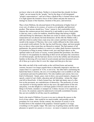not know what to do with them. Neither is it desired that they should, for these "rights" are not meant for the "people," but for the dregs of self-designated "people's representatives"; and out of these a Radical bloc is formed whose trade is to fight against the formative forces of the Culture and puts the masses in tutelage by means of the franchise, freedom of the press, and terrorism.

Thus is born Nihilism, the abysmal hatred of the proletarian of higher form of every sort, of culture as its essence, of society as its upholder and historical product. That anyone should *have* "form," master it, feel comfortable with it, whereas the common person feels fettered by it and unable to move freely under it; that tact, taste, a sense for tradition, should be things that belong to highly cultivated beings by inheritance; that there are circles in which a sense of duty and renunciation are not absurd, but lend distinction: all this fills the Nihilist with a dull fury which in earlier times crept away into corners and there foamed at the mouth in the manner of Thersites, but is now widely diffused in the white nations as an actual world-outlook. For the Age has itself become vulgar, and most people have no idea to what extent they are themselves tainted. The bad manners of all parliaments, the general tendency to connive at a rather shady business transaction if it promises to bring in money without work, jazz and Negro dances as the spiritual outlet in all circles of society, women painted like prostitutes, the efforts of writers to win popularity by ridiculing in their novels and plays the correctness of well-bred people, and the bad taste shown even by the nobility and old princely families in throwing off every kind of social restraint and time-honoured custom: all of these go to prove that it is now the vulgar mob that gives the tone.

But while one half of the world smiles at the well-bred forms and ancient customs, because it no longer regards them as inherently imperative and does not suspect that it is a question of "to be, or not to be," the other half is unchaining the hatred that burns to destroy, the envy of everything that is not available to all, that is prominent and must be pulled down. Not only tradition and custom, but every kind of refinement - beauty, grace, taste in dress, easy good manners, elegance of speech, control of one's limbs, education and self-discipline - irritate the vulgar soul till its blood boils. A finely formed face, the light and dainty step of a slim foot on the pavement, are contradictions of democracy. The preference of *otium cum dignitate* to boxing matches and six-day races, the appreciation of fine arts and poetry, even the delight in a well-kept garden of flowers and rare fruits are things to be burnt, smashed, or stamped out. Culture, because of its superiority, is *the enemy*. Its creations cannot be understood or inwardly assimilated; because they are not available for all they must be annihilated.

Such is the trend of Nihilism. It occurs to no one to educate the masses to the level of true culture - that would be too much trouble, and possibly certain postulates for it are absent. On the contrary, the structure of society is to be levelled down to the standard of the populace. General equality is to reign, everything is to be equally vulgar. The same way of getting money and the same pleasures to spend it on: *panem et circenses* - no more is wanted, no more would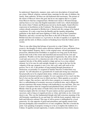be understood. Superiority, manners, taste, and every description of inward rank are crimes. Ethical, religious, national ideas, marriage for the sake of children, the family, State authority: all these are old-fashioned and reactionary. The picture of the streets of Moscow shows the goal, but let no one suppose that it is a spirit from Moscow that has conquered here. Bolshevism's home is Western Europe, and has been so ever since the English materialist world-view, which dominated the circles where Voltaire and Rousseau moved as docile pupils, found effective expression in Jacobinism on the Continent. The democracy of the nineteenth century already amounted to Bolshevism: it lacked only the courage of its logical conclusions. It is only a step from the Bastille and the equality-demanding guillotine to the ideals and street-fighting of 1848, the year of the Communist Manifesto, and only a second step from there to the fall of Western Tsarism. Bolshevism does not menace us, it governs us. Its idea of equality is to equate the people and the mob, its liberty consists in breaking loose from the Culture and its society.

There is one other thing that belongs of necessity to a ripe Culture. That is *property*, the thought of which causes delirious outbursts of envy and hatred from the vulgar-minded. Property, that is, in the original sense: old and permanent possession, inherited from forefathers or acquired over long years by the heavy and devoted work of the owner and cherished and increased for his sons and grandsons. Wealth is not the mere background of superiority, but, above all, the *result* and *expression* of it, a function not only of the way in which it has been acquired, but also of the ability needed to shape and use it as a true cultural element. Let it for once be said outright, though it is a slap in the face for the vulgarity of the age: property is not a vice, but a *gift*, and a gift such as few possess. For it, too, is the product of long training through generations of distinction; occasionally it is acquired in families that have worked their way upward - by self-education on a groundwork of sound and strong race-character, but practically never by original talent alone, without some precondition of educated environment and past example. It is not a question of *how much* one has, but of *what* one has and the way in which one has it. Mere quantity as an end in itself is vulgar. One can have, and will to have, property as a means to power this is a subordinating of economic successes to political aims, and it affirms the ancient experience that money belongs with leadership in war and State. This was Caesar's conception when he conquered and plundered Gaul, and that of Cecil Rhodes when he got the mines of South Africa into his hands in order there to found an empire after his own heart. No poor nation can have great political successes, and so long as it regards poverty as virtue, and riches as sin, it does not deserve any. This was the fundamental though only half-conscious meaning of the old Germanic expeditions by sea and land, for with the booty acquired, ships were built and followers enlisted. This type of will-to-power is hallmarked by a royal generosity. It is the opposite of greed and miserliness and equally remote from parvenu prodigality and womanish love of one's neighbour. But this is beside the point. I am speaking of property-owning in so far as it implies the tradition of a Culture. It signifies inward superiority, it marks a distinction from whole classes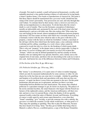of people. Not much is needed: a small well-preserved homestead, a worthy craft reputably practised, a tiny garden bearing evidence of cultivation by loving hands, a miner's spotless home, a few books or reproductions of classical art. The point is that these objects should be transformed into a *personal* world, should bear the stamp of the owner's personality. True possessions are soul, and only through that soul Culture. To estimate them by their money value is, however you look at it, either an incomprehension or a desecration. To divide them after the owner's death is a sort of murder. That was the Germanic conception of inheritance: morally an indissoluble unit, permeated by the soul of the dead owner who had administered it, and not a divisible sum. But who realizes this? Who today has eyes and feeling for the inward, almost metaphysical difference between property and money? [9] True estates are those with which one is inwardly bound up, as is a Germanic warrior with the arms which he takes to the grave with him as his property, a farmer with the farm on which his forefathers worked, a merchant of the old type with his firm which bears the family name, a true craftsman with his workshop and his calling; something, in a word, whose values cannot be expressed in words but only in a close tie, the breaking of which means death. That is why real "property" in the deeper sense is always immovable. It clings to the owner. It *consists* of things and is not merely *invested* [10] in them like "fortune," which can only be defined quantitatively and has actually no home. Families who are making their way upward, therefore, seek a family seat as the original form of real estate, and those who are descending in the scale try to turn it into cash. And herein lies one of the differences between Culture and Civilization.

#### (9.*The Decline of the West*, II, pp. 480 et seq.)

## (10. *Politische Schriften*, pp. 138 et seq., 269.)

But "money" is an abstraction, [11] a pure sense of values in market language, which can only be measured mathematically by some currency or other. Its sole charm lies in the fact that one can come into it overnight - whether by gambling and burglary or by political deals and speculation with sums that one does not possess - or again can throw it away from one moment to the next. On this point proletarians and parvenus are in agreement, and here too there is an inner relationship between Bolshevism and Americanism. The money that a Radical politician or a speculator manages to get, he insists on *displaying*. The palaces of the newly-enriched Jacobins, the smart financiers who began with the French taxfarmers of the eighteenth century, and the American millionaires, tell their own tale; and just so was it in ancient Rome, where the display of all-too-quickly amassed wealth evoked the satire of Martial, Juvenal, and Petronius. Everything of course is really spent by such owners upon themselves, even when they "found" something, "give" lavishly, or provide someone else with a subsidy: the *spectator* is to them the essential. Let the whole world know, or what good is it? They enjoy the spending as spending. They like to play the Maecenas, because they have heard of its being "done," but they get no further than being what in Munich is called a *Wurzen*, a snobbish patron, a copy of the Roman Trimalchio.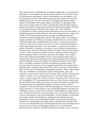They fill their house with things they are unable to appreciate; it is only the price that matters. The art-dealers one and all batten on them now as in Caesar's time. [12] But the most unmeaning "wasters" and debauchees are nevertheless to be found in obscure taverns, where unclean gains and party salaries are drunk and gambled away, and not in the town-houses of old patricians and the country estates of old families. But because culture, the tradition of enjoyment which knows how to make much out of little, is lacking and cannot be had for money, jealousy of this kind of superiority torments all vulgar-minded people. This must be said again and again, and particularly in these days when "national" revolutionaries rave like mendicant friars about universal poverty and squalor - in delightful agreement with the Marxists, who declare the possession of any sort of wealth to be criminal and immoral and war upon everything that has this superiority in things of high culture and any who surpass others in the ability to acquire, maintain, and worthily use property, and that from envy of such ability, which they themselves completely lack. *High culture is inseparably bound up with luxury and wealth*. Luxury, that matter-of-course environment of things of culture that belongs spiritually to one's personality, is a premiss of all creative periods. The birth of a great art, for instance, is not possible at the present time because the true artistic *life* died out with the last century. Then it had its home in "society," where connoisseurs and the creators of important works could meet, and not among art-dealers, art-critics, and snobs, the "people" or the "public." And wealth, collected in the hands of the few and among the ruling classes, is amongst other things the foundation for the training of generations of leading minds through the example of a highly developed environment without which there is no healthy economic life and no development of political talent. An inventor himself can be poor, but in a beggarly people there are no great tasks to bring his gifts to maturity; often, indeed, he is not even conscious of possessing them. It is the same with the ability of statesmen and artists. That is why Germans have since 1648 been a world-remote people of theoreticians, poets, and musicians, for these alone can thrive on no money. They confused, and still today confuse, romantic visions with actual policy, for one need not pay a price for visions - except success. But wealth is a relative conception. To be "not too welloff" in England in 1770 corresponded to being very rich in Prussia. And poverty likewise: the Prussian nobility at its prime was poor, and therefore in comparison with England poor in statesmanlike qualities; for these are bred, with few exceptions, in the life of the great world; but although poor, it did not *feel* itself as living in poverty. [13] The absence of any considerable property or income is no misfortune or misery, so little does its presence signify happiness in the ordinary sense. Not the fact itself but a certain brooding over it, the sense of differences as *contrasts*, and jealousy, turn it into a misfortune. To feel miserable one must first be brought to loathe one's humble lot, and this has from all time been the demagogue's interest. In the Nuremberg of Dürer, say, the plain man enjoyed without envy the splendour of the upper classes. Something of the glitter of his own city was reflected in him; he considered that his life-course depended upon it and was sure he could never feel happy anywhere else. It is precisely the labourers and the craftsmen, with their uneducated reasoning, who are conscious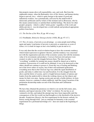that property means above all responsibility, care, and work. But from the eighteenth century, when the Rationalist view of life, history, and human destiny began to prevail, envy - which is quite foreign to the nature of good and industrious workers, was systematically *cultivated* by the underworld of democratic politicians and by writers of the moment such as Rousseau, who by this means earned money or satisfied their morbid feelings. The desire for other people's property - which is called "stolen goods," regardless of the work and ability put into it - was developed into a world outlook and produced appropriate politics from below.

## (11. *The Decline of the West*, II, pp. 481 et seq.)

#### (12. Friedländer, *Römische Sittengeschichte* (1920), III, pp. 97-117.)

(13. Nor, of course, of poverty as an advantage - as some people need telling again and again. Loud praise of poverty is precisely as suspicious as scorn of riches; it is a cloak for anger at one's own inability to put an end to it.)

It was only then that the social revolution began to have the economic tendency which found expression in agitators' theories, and this tendency was concerned not with the organization and aims of the economic system, but with the monetary value of its investments and products. *Contrasts* between rich and poor were created, in order to start the struggle between them. The idea was that "everything" available for turning into money should be shared out or held in common; if possession of it could not be obtained, it was to be destroyed so that others should not continue to possess it. From this way of feeling and thinking, not of the lower orders of society, but of their self-nominated spokesmen, everything arose that in the Classical Age was called the equal distribution of goods, and today is called class war and Socialism. It is the struggle from the above and the below of society, and it is fought between leaders of nations and leaders from the underworld to whom the working classes are but objects and means for their own aims. Ageing society puts up only a feeble defence; its born enemies, however, continue to attack ruthlessly, until the rising Caesarism of the proletarian dictatorship makes an end of the Gracchan and Catilinarian tendencies.

We have thus obtained the premisses on which to set out the full extent, aims, duration, and logical outcome of the "white" revolution. No one has as yet ventured to do this; and indeed the attempt may have been impossible until the consequences of the first world war had brought us to the threshold of the decisive decades. Scepticism (*Skepsis*), the first requirement for the historic outlook, for history seeing through itself - just as contempt for humanity is the essential requirement for a profound knowledge of it - does not stand at the beginning of things.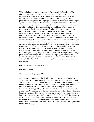This revolution does *not* commence with the materialistic Socialism of the nineteenth century, still less with the Bolshevism of 1917. It has been "in permanence" (to borrow one of its current phrases) since the middle of the eighteenth century. It was then that Rational criticism, proudly named the philosophy of Enlightenment, [14] began to turn its attention from the theological systems of Christianity and the traditional world-philosophy of the scholars which was nothing more than theology without the will to system - to the facts of actuality, the State, society, and finally the evolved forms of economics. It commenced by depriving the concepts of nation, right, government, of their historical content, and interpreting the difference of rich and poor quite materialistically as a *moral* contrast, which was insisted upon by the agitators rather than honestly believed. *At this point "Political Economy" came in*, a materialistic science - founded about 1770 by Adam Smith in association with Hartley, Priestley, Mandeville, and Bentham - that had the presumption to regard men as appurtenances of the economic situation [15] and to "explain" history in the light of prices, markets, and goods. To it we owe the conception of work, not as the content of life and calling, but as the commodity in which the worker trades. [16] The whole history of the formative passions and the creative characters of strong personalities and races is ignored - the will, focused on commanding and ruling, on power and booty; the inventive urge, hatred, revenge, pride in personal strength and its successes; and equally, on the other side, jealousy, laziness, the poisonous emotions of the inferior. And there remain nothing but the "laws" of money and prices, which find expression in statistics and graphs.

#### (14. *The Decline of the West*, II, p. 305.)

(15. Ibid., p. 469.)

## (16. *Politische Schriften*, pp. 79 et seq.)

At the same time there set in the flagellantism of the decaying, all-too-witty society, which could applaud the satires on its own absurdities. The admirers of *The Marriage of Figaro* by Monsieur "de" [17] Beaumarchais, performed in spite of the royal veto at the Château Gennevilliers to the simpering court nobility; of the novels of Monsieur "de" Voltaire, devoured in the highest circles from London to Petersburg; of Hogarth's drawings, *Gulliver's Travels*, and Schiller's *Robbers* and *Intrigue and Love* (the only inspired works that exist in revolutionary literature) - were anything but a lower-class public. As to what was written by the intellectuals of high society itself, the *Letters* of Lord Chesterfield, the *Maxims* of La Rochefoucald, and *Système de la nature* of Baron D'Holbach, it is all so very clever in style as to be unintelligible outside that circle - and it should be remembered that reading and writing were by no means universal among even the middle classes. [18]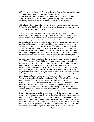(17. Not only these literary bluffers from the *petite bourgeoisie*, sons of Caron the watch-maker and Arouet the revenue officer respectively, but even "de" Robespierre was still at the time of the National Assembly thus aping nobility. They wished to be counted as belonging to the society which they were destroying: a characteristic trait of all revolutionaries of this order.)

(18. Likewise the Socialist plays and novels of the eighties and those written by Bolshevists after 1918, which those against whom the attack was launched pay to see or read in every capital in Western Europe.)

All the better were the professional demagogues, who had learnt nothing but speech-making and pamphlet-writing, able to see the value of these works as a source for first-rate catchwords with which to stir up the masses. In England disturbances began in 1762 with the case of Wilkes, who was condemned for insulting the Government in the press, and thereupon elected again and again to the House of Commons. At meetings and in systematic riots the war-cry was: "Wilkes and Liberty," rioting for the cause of freedom of the press, universal suffrage, and even a republic. In that period Marat had written, in England and for Englishmen, *The Chains of Slavery* (1774). The revolt of the American colonies in 1776 and their proclamation of the universal rights of man and the Republic, their trees of liberty and associations were in reality the outcome of English movements during these years. [19] From 1779 onward there arose the clubs and secret societies which spread over the whole country, aimed at revolution, and from 1790, headed by Fox and Sheridan, sent congratulatory addresses, letters, and advice to the Convention and the Jacobins. Had not the reigning English plutocracy been far more vigorous than the cowardly court of Versailles, revolution would have broken out in London earlier than in Paris. [20] The Paris clubs, particularly the Feuillants and Jacobins, were nothing but copies of the English in their programs, their organization of branches all over France, and the form of their agitation; while the English in turn translated "*citoyen*," the French form of address between members, into "citizen" and the newly-coined "citizeness," and adopted, further, the phrase, "Liberty, Equality, Fraternity" and the designation "tyrants" for kings. Since then, and even in our own time, this remains the form which preparation for revolution takes. It was in those days that there arose the "universal" demand for freedom of the press and of public meetings *as a means thereto* - the central demand of political Liberalism, the desire to be free from the ethical restrictions of the old Culture. Yet the demand was anything but universal; it was only called so by the ranters and writers who lived by it and sought to further private aims through this freedom. But the older society itself, obsessed as it was by *esprit*, the "educated" classes corresponding to the philistines of the nineteenth century - that is, the very *victims* of this freedom exalted it into an ideal which stood above any criticism of its background. Today, when both the hopes of the eighteenth and the results of the twentieth century lie before us, we may be permitted to discuss it. Freedom from what, for what? Who financed the press and the agitation? Who gained by it? These liberties have shown themselves everywhere in their true light: as a means to be used by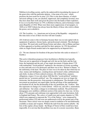Nihilism in levelling society, and by the underworld in inoculating the masses of the great cities with the particular opinion - it has none of its own - which promises the best result for its aims. [21] This is why these liberties, of which universal suffrage is one, are checked, suppressed, and completely inverted, once they have done their work and given the power into the hands of their exploiters. It was so in Jacobin France in 1793, in Bolshevist Russia, and in Germany's tradeunion Republic of 1918. When were there more suppressions of newspapers, in 1820 or in 1920? Liberty has always been the liberty of those who wish to obtain the power, not to abolish it.

(19. The Loyalists - i.e., Americans not in favour of the Republic - emigrated at this time more or less of their own free will into Canada.)

(20. It did not come to this in Germany because there was no real capital with its equipment of agitators, literary hacks, and professional criminals. The ideologies were there. We need only recall Georg Forster and others, who in Mainz and later in Paris appeared as Jacobins and died for their opinions. In 1793 the political clubs on Anglo-French models had to be suppressed by an Imperial law.)

(21. "No one clamours for freedom of the press but him who seeks to misuse it." - Goethe.)

This active Liberalism progresses from Jacobinism to Bolshevism logically. These are not in opposition of thought and will, but are the Early and the Late form, the beginning and the end, of one single movement. It began about 1770 with sentimental "social-political" tendencies: the structure of society according to class and rank was to be destroyed; and there was to be a "Return to Nature," to the uniformity of the herd. The place of class was to be taken by that which has no class: money and intelligence, counting-house and lecturer's chair, arithmeticians and clerks; in place of form-ordered existence, life without form, manners, obligations, respect. It was only about 1840 that this "social-political" tendency passed into an "economic-political" one. The scapegoats are now no longer the aristocrats, but the possessors, from peasant to entrepreneur. The disciples of the movement are promised, not equal rights, but the privilege of the unpropertied; not freedom for all, but the dictatorship of the city proletariat, the "workers." But this represents no change of a world outlook - which was, and still is, materialistic and utilitarian - but solely a change in revolutionary methods. The professional demagogues now mobilize a different section of the nation for class war. At first, about 1770, peasants and craftsman were approached with some hesitation, both in England and France. The *cahiers* of small-town and country deputies in 1789, which were supposed to represent the "Cry of the Nation," were composed by professional ranters [22] and were not understood at all by the greater part of the electorate. These classes were too deeply rooted in tradition to be unconditionally available as means and weapons. Without the mob from the eastern suburbs - the fists of the capital, always handy - the Reign of Terror in Paris would have been impossible. It is not true that the problem was one of *economic* necessities. Rates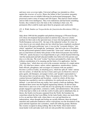and taxes were *sovereign* rights. Universal suffrage was intended as a blow against the *structure of society*. Hence the failure of the Convention: peasantry and craftsmen were no reliable following for professional demagogues. They possessed a native sense of respect and self-respect. They had too much instinct and too little town-intelligence. They were industrious and had learnt something; besides, they wished to leave the farm or the workshop to their sons. No permanent effect could be made upon them by programs and catchwords.

## (22. A. Wahl, *Studien zur Vorgeschichte der französischen Revolution* (1901), p. 24.)

Only about 1840 did the pamphlet-and-platform demagogy of Western Europe, [23] whose development had proceeded on uniform lines, discover a better medium for their ends in the uprooted mass of men who had gathered round the North-European coal area [24] - the type of the industrial worker. It is time we were clear in our own minds about one fact which has been completely smothered in the mist of the party politicians' wars: it was not the "economic distress," into which "capitalism" has brought the "proletariat," that led to the rise of Socialism, but the professional agitation which created this "clear-eyed" outlook on things, just as it had drawn an utterly false picture of the distressed peasant class before 1789 [25] - purely because it was hoped thereby to get a whole-hearted following. And the uneducated and half-educated middle class believed in this picture and does so to this day. The word "worker" has been surrounded by a halo since 1848, without consideration of its meaning and the limits of its application. And the "working class," which does not exist in the economic structure of a single nation [26] - for what have miners, sailors, tailors' apprentices, metalworkers, waiters, bank officials, ploughmen, and scavengers in common with one another? becomes a *political* reality, an attacking *party*, which has split all "white" nations into two armies, of which the one has to feed, and to give its blood for a host of party agents, tub-thumpers, newspaper-writers, and "people's representatives," who pursue their own private aims. That is the purpose for which it exists. The contrast between Capitalism and Socialism - words for which, all this time, literature has searched in vain for a definition, for catchwords are not to be defined - is not derived from any reality, but is purely a built-up challenge. Marx introduced these terms into the English engineering industry, he did not draw them from it; and even so he could only do it by ignoring the existence of all the people engaged in agriculture, commerce, traffic, and administration. This picture of the time had so little to do with the world of reality and its inhabitants that, in theory, the South even became separated from the North: the boundary lay somewhere about the line Lyon-Milan. In the Latin South, where one needs little to live on and does little work, where there is no coal and therefore no industrialism, where thought and feeling are racially different, there developed anarchist and syndicalist tendencies whose wish-picture was the dissolution of the great national organisms into systemless, small self-sufficing groups, Bedouinlike swarms occupied in doing nothing. But in the North, where hard winters mean harder work and make such work not only possible but essential, where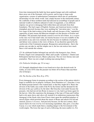from time immemorial the battle has been against hunger and cold combined, there arose out of the Germanic will-to-power, and its urge to large-scale organization, systems of authoritarian Communism which aim at a proletarian dictatorship over the whole world. And, simply because in the nineteenth century the coalfields of these northern lands had attracted an assemblage of people and of national wealth of a hitherto unheard-of order of magnitude, a very different impetus was given to demagogy both within them and outwards from their boundaries. The *high* wages of English, German, and American factory-workers triumphed, precisely because they were anything but "starvation rates," over the low wages of the land-workers in the South, and only because of this "capitalistic" superiority of party means did Marxism triumph over the theories of Fourier and Proudhon. The peasantry had already ceased to exist for all of them. As a *weapon* in the class war it had small value, not merely because it was not available on the pavements at any and every moment, but also because its traditions of property and labour were contrary to the views of theory. It was therefore ignored by the catchwords of the Communist program. Bourgeoisie and proletarian - that is the picture one can take in, and the simpler one is, the less one notices how much there is left outside this scheme.

(23. Its celebrated leaders belonged one and all to the bourgeois class. Owen, Fourier, Engels were entrepreneurs; Marx and Lassalle "academics"; Danton and Robespierre had been lawyers, Marat a physician. The rest were literary men and journalists. There was not a single working man among them.)

## (24. *Politische Schriften*, pp. 331 et seq.)

(25. Promptly abandoned when it was found not to have the desired result. In reality, in Louis XVI's time the peasant was better off in France than anywhere else in Europe.)

#### (26. *The Decline of the West*, II, p. 479.)

Every demagogy forms its program according to the section of the nation which it hopes to mobilize for its purpose. In Rome, from Flaminius to C. Gracchus, it was the Italian peasant farmers who wanted land, so that they might till it. Hence the division of the Gallic area south of the Po by the former and the demand for the division of the *ager publicus* by the latter. But Gracchus went under because the peasants, who had moved into Rome in masses to vote, had to go home again for the harvest. After this experience the demagogy of the type of Cinna and Catiline had to rely upon slaves and, above all, instead of on industrious journeymen (like demagogy in the Greek cities from Cleon's time) upon the unskilled populace of mixed origins which prowled about the streets of Rome and asked to be fed and amused: *panem et circenses*. And precisely because, for the next century, these masses had to be won over by ever-increasing expenditure, they grew, even after Caesar, to a size which made them a standing danger to the Government of the world empire. The lower the type of such a following, the more usable it is. For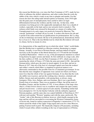this reason has Bolshevism, ever since the Paris Commune of 1871, made far less effort to influence the skilled, industrious, and sober worker than the work-shy rabble of the cities which is ready at any time to plunder and murder. For this reason also have the ruling trade-unionist parties in Germany, from 1918 right into the peak years of unemployment, been careful to allow no legal differentiation between the workless and the work-shy. At that time, while assistance was being given to the supposedly unemployed, there was a dearth of workers, especially on the land, and no one seriously tried to remedy it. The sickness-relief funds were misused by thousands as a means of evading work. Unemployment in its early stages was positively fostered by Marxism. The concept "proletarian" excludes all joy in work. A worker who knows his job and is proud of his achievement has no qualifications for proletarianism. He is a drag on the revolutionary movement. He has to be proletarianized, demoralized, before he is of use to it. That is the true Bolshevism by which this Revolution will reach its climax, but by no means its close.

It is characteristic of the superficial way in which the whole "white" world thinks that this Bolshevism is regarded as a Russian creation, threatening to conquer Europe. Actually, it was born in Western Europe, and born indeed of logical necessity as the last phase of the liberal democracy of 1770 and the last triumph of political Rationalism - which is to say, of the presumptuous intention to control living history by paper systems and ideals. Its first outbreak on a large scale, after the July conflicts of 1848, was the Paris Commune of 1871, which came near to mastering the whole of France. [27] Only the army prevented it [28] - that and the German policy which gave the army its moral support. It was then, and not in Russia in 1917, that out of the facts of a besieged capital were born the workers' and solders' councils which Marx (a simpleton in practical matters) ever afterwards commended as the possible form for a Communist government. It was then that the mass slaughters of opponents were carried out which cost France more lives than the whole of her war against Germany. It was then that the workshy rabble were in power, and not the working class: deserters, criminals and bullies, literary men and journalists, with among them, as always, many foreigners: Poles, Jews, Italians, and even Germans. But it was a specifically French form of revolution. There was no mention of Marx, but all the more of Proudhon, Fourier, and the Jacobins of 1792. A loose alliance of the large cities (that is, of their lowest classes) was to overthrow and conquer the open country and provincial towns - a notion typical of Latin anarchy. Something similar had been attempted in 1411 by the butcher Caboche with the militarily organized Parisian populace, and the same idea was copied faithfully in Petersburg in 1917 with just such another "Western" populace and with the same catchwords. The "Asiatic" side of this Russian revolution, however, which hardly emerged at the time and has still not succeeded in overcoming the Western Communistic forms of Soviet rule, found its earliest expression in Pugatchev's insurrection (1772-75), which seized the whole of the Upper Volga region and even for a time Moscow, putting Tsarism itself in peril. The fanatically religious [29] peasantry, including whole Cossack tribes, killed everything in the way of representatives of Petrine,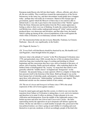European-made Russia who fell into their hands - officers, officials, and, above all, the new nobility. They would have treated the representatives of the Soviet bureaucracy in the same way, and their descendants would gladly have it happen today - perhaps they will really do it tomorrow. Hatred of this foreign type of government, against which the Moscow of these days is less and less able to defend itself, is very old; it goes back to the insurrection of the "Strelitz" against Peter the Great. Democrats and Socialists from the West cannot appreciate a feeling so alien to their own way of thinking. It marks the contrast between the real Bolshevism, which seethes underground among all "white" nations and has produced these very democrats and Socialists, and that other form, the hatred which is piling up among all the *coloured* populations of the world against the whole white civilization, its revolutionary currents with the rest.

(27. The insurrection broke out also in Lyon, Marseille, Toulouse, Le Creusot, Narbonne - these all, very significantly, in the South.)

(28. Chapter II, Section 7.)

(29. "It was God's will that Russia should be chastised by me, His humble tool," said Pugatchev, when brought before his judges.)

And now what is the attitude of "society" in the West-European Civilization since 1770, and particularly since 1848, towards the *fact* of this revolution from below, which has long since reached the stage of scorning and deriding its Liberal beginnings and the concessions they have won, such as freedom of the press, of unions, and of meeting, finally universal suffrage - after exploiting them to the furthest limits of disintegration? By "society" we mean here that which is now generally called the "middle classes" in England and "bourgeoisie" on the Continent - the peasants being, as usual, ignored. [30] It is a chapter of shame that here presents itself to the historian of the future. Built up though it was on the basic human facts of rulership, grade, and property, society met the Nihilist attack upon these with submission, "understanding," acclamation, and support. This intellectual suicide was the common fashion of last century.

(30. The use of *citoyen* and *bourgeois* in France since 1789 is the actual expression of this *will* of town against country.)

It must be stated again and again that this society, in which in our own time the transition from Culture to Civilization is taking place, is *sick*, sick in its instincts and therefore in its mind. It offers no defence. It takes pleasure in its own vilification and disintegration. From the middle of the eighteenth century it has broken up more and more into *Liberal* and *Conservative* circles - the latter representing merely the opposition set up in desperate self-defence against the former. On the one side there is a small number of people who, possessed of the true political instinct, see what is going on and whither it is leading and exert themselves to prevent, moderate, or divert accordingly; people of the kind who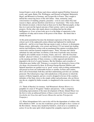formed Scipio's circle in Rome (and whose outlook inspired Polybius' historical work), and, again, Burke, Pitt, Wellington, and Disraeli in England, Metternich, Hegel, and Bismarck in Germany, and Tocqueville in France. They sought to defend the conserving forces of the old Culture - State, monarchy, army, consciousness of standing, property, peasantry - even in cases where they had reason to object, and are therefore cried down as "reactionary." This word, which the Liberals invented, is thrown back at them now by their Marxian pupils, in that they try to prevent the logical outcome of their actions: such is our reputed progress. On the other side stands almost everything that has the urban intelligence or, if not, at least looks up to it as the badge of superiority in the conditions of today and in terms of the power of the future - the future that is already the past.

At this point journalism becomes the dominant expression of the time. It is the critical *esprit* of the eighteenth century diluted and lightened for intellectual mediocrity - and let us not forget that age means to part, to dissect, to disintegrate. Drama, poetry, philosophy, even science and history [31] are turned into leading articles and feuilletons written with an unashamed bias against everything that is conservative and has formerly inspired respect. "Party" becomes the Liberal substitute for rank and State; revolution, in the form of periodic mass elections fought by all available means of money, brains, and even - after the Gracchan method - physical violence, is exalted into a constitutional process; government, as the meaning and duty of State existence, is either opposed and derided or degraded to the level of a party business. But the blindness and cowardice of Liberalism goes further still. Tolerance is *extended* to the destructive forces of the city dregs, not *demanded* by them. In Western Europe Russian Nihilists and Spanish anarchists are gushed over in "good" society with revolting sentimentality and passed on from one fashionable hostess to another. In Paris and London, above all in Switzerland, both they and their undermining activities are carefully protected. The Liberal press rings with maledictions of the prisons in which the martyrs of liberty languish, and not a word is dropped in favour of the countless defenders of the State, down to the simple soldier and policeman, who are blown into the air, crippled by bullet-wounds, or slaughtered in the exercise of their duty. [32]

(31. Think of Haeckel, for instance. And Mommsen's *Roman History* is a pamphlet of a man of '48 against "Junkers and parsons," with a completely misleading representation of the inner development of Rome. Eduard Meyer was the first to write an unbiassed history of these events in his *Untersuchungen zur Geschichte der Gracchen* and *Caesars Monarchie und das Prinzipat des Pompejus*.)

(32. When Schopenhauer left a sum in his will for the dependants of soldiers who fell in Berlin in 1848 - no one else would have given a thought to *these* victims of the Revolution - literary men, headed by Gutzkow, cried out at so scandalous an action. It was the same spirit which inspired the sympathy expressed with the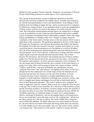Bolshevist mass-murderer Trotsky when the "bourgeois" governments of Western Europe refused State protection to enable him to visit a watering-place.)

The concept of the proletariat, created of deliberate intention by Socialist theoreticians, has been accepted by the middle classes. Actually it has nothing to do with the thousand branches of strict and skilled labour - from fishing to bookprinting, from tree-felling to engine-driving - and is scorned and felt as a disgrace by industrious, trained workers. It was intended solely to secure the amalgamation of these workers with the city mob for the purpose of overthrowing the social order. But Liberalism centred political thought upon it by employing it as though it were an established concept. Under the name Naturalism there arose a pitiable school of literature and painting which exalted filth to aesthetic charm, and vulgar feeling and thinking to a binding world-view. "People" no longer meant the community of the whole nation, but that section of the city masses which set up in opposition to this community. The proletarian appeared as the hero on the stage of the progressive bourgeoisie, and with him the prostitute, the shirker, the agitator, the criminal. From this time onward it has been "modern" and superior to see the world from below, from the perspective of a bar-parlour or a street of ill repute. The cult of the proletarian arose during that period, and in the Liberal circles of Western Europe, not in 1918 in Russia. A fatal notion of things, half false and half stupid, began to pervade educated and semi-educated minds: "the worker" becomes the real person, the real nation, the meaning and aim of history, politics, public care. The fact that all men work, and moreover that others - the inventor, the engineer, and organizer - do more, and more important, work is forgotten. No one any longer dares to bring forward the class or *quality* of his achievement as a gauge of its value. Only work measured in hours now counts as labour. And the "worker," with all this, is the poor unfortunate one, disinherited, starving, exploited. The words "care" and "distress" are applied to him alone. No one has a thought left for the countryman's less fertile strips of land, his bad harvests, his losses by hail and frost, his anxiety over the sale of his produce; or for the wretched existence of poor craftsmen in strongly industrialized areas, the tragedies of small tradesmen, fishermen on the high seas, inventors, doctors, who have to struggle amid alarms and dangers for each bite of daily bread and go down in their thousands unheeded. "The worker" alone receives sympathy. He alone is supported, cared for, insured. What is more, he is made the saint, the idol, of the age. The world revolves round him. He is the focus of the economic system and the nurseling of politics. Everybody's existence hinges on him; the majority of the nation are there to serve him. The dull lump of a peasant, the lazy official, the swindling tradesman, are legitimate targets for mirth, not to mention judges, officers, and heads of businesses, who are the popular objects of ill-natured jest; but no one would dare to pour the same scorn on "the working man." All the rest are idlers, egoists; he is the one exception. The whole middle class swings the censer before this phantom. No matter what one's own achievements in life may be, one must fall on one's knees before him. His being stands above all criticism. It was the middle classes who successfully "put over" this notion of him, and the very business-like "representatives of the people" continue to sponge upon this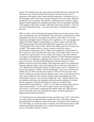legend. They dinned it into the wage-earners until they believed it; until they felt themselves to be really ill-treated and wretched, until they lost all sense of proportion with regard to their output and their importance. Liberalism *vis-à-vis* the demagogic trend is the form of suicide adopted by our sick society. With this perspective it gives itself up. The merciless, embittered class war that is waged against it finds it prepared to capitulate politically, after having helped spiritually in the forging of the enemy weapons. Only the Conservative element - weak as it was in the nineteenth century - can, and in the future *will*, hinder the coming of this end.

Who is it, then, who has flattered and organized this mass of wage-earners in the cities and industrial areas, provided them with catchwords, driven them by cynical propaganda into the class war against the majority of the nation? It is *not* the industrious and highly trained workman, the "vagabond," as he is contemptuously called in the Marx-Engels correspondence. In a letter to Marx on the 9th May 1851 Engels speaks of the democratic Red and Communistic mob, and on the 11th December 1851 writes to him: "What is the rabble good for if it forgets how to fight?" The manual worker is merely a means to the private ends of professional revolutionaries. He is to fight for the satisfaction of their hatred of the conservative forces and their thirst for power. [33] If only workers were to be recognized as representatives of the workers, the benches of the Left would be very empty in all parliaments. Among the originators of their theoretical programs and leaders of revolutionary campaigns there is not one who actually worked for years in a factory. [34] The political Bohemia of Western Europe in which Bolshevism grew up from the middle of the nineteenth century was composed of the same elements which went to the making of the revolutionary Liberalism of 1770. Whether the February Revolution of 1848 in Paris was for "Capitalism" or that of June against it, whether "Liberty and Equality" were to be secured for the middle class in 1789 or for the lower orders in 1793 and 1918, the aims of the inciters of these movements and their ultimate motives were in fact all exactly the same; and no different is the situation in Spain today, and perhaps that in the United States tomorrow. It is from the intellectual "mob," with the failures from all academic professions, the spiritually unfit and morally inhibited, at its head, that the gangsters of Liberal and Bolshevist risings are recruited. Their "dictatorship of the proletariat" - which is to say, their own dictatorship with the help of the proletariat - is to be their revenge on those who are happy and successful, as a last means of appeasing the morbid vanity and vulgar greed for power which alike arise from unsettled self-respect, the final expression of depraved and misdirected instincts.

(33. Friedrich Lenz has demonstrated in *Staat und Marxismus* (1921, 1924) that it was only on these grounds that Marx attacked the states of the Holy Alliance, particularly Prussia and Russia, before he became a Socialist in 1843; and that he was still willing, at a much later date, to drop his own Communistic theory of the industrial proletariat and replace it by a rising of the peasants for the better success of his plan to destroy Tsarism.)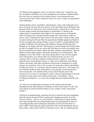(34. What mostly happened, in fact, was that the worker who "worked his way up" by industry and ability rose to the management of a business. Bebel branded this in his fury as a betrayal of the working classes. In his opinion the only conscious aim of the worker should be to arrive by way of a party secretaryship at mass-leadership.)

Among all these jurists, journalists, schoolmasters, artists, and technicians one is apt to overlook one type, the most sinister of all: the sunken priest. Religion is the personal relation to the powers of the world around us, expressed in a world view, in pious usages and the personal attitude of renunciation. A church is the organization of a priesthood which fights for its temporal power. It brings the forms of religious life, and therewith the people who cling to them, under its power, and it is therefore the born enemy of all other forms of power: State, rank, or nation. During the Persian Wars the priesthood of Delphi agitated on behalf of Xerxes and against the national defence. Cyrus was able to conquer Babylon and overthrow Naboned, the last king of the Chaldees, because the priesthood of Marduk was in league with him. The histories of ancient Egypt and ancient China are full of examples of the sort, and in the West there was only occasionally truce between monarchy and church, throne and altar, nobility and priesthood, when an alliance between them against a third party promised to be advantageous. "My kingdom is not of this world" is the deep saying which is true of every religion and is betrayed by every church. But every church from the very fact of its existence falls in with the conditions of historical life; it thinks in terms of political power and material economy; it wages war in diplomatic and military fashion, and shares with other institutions of power the consequences of youth and age, rise and decay. Above all, in respect of conservative policy and tradition in State and society, it is not honest and *qua* church cannot be so. All young sects are at bottom hostile to State and property, class and rank, and are attracted to universal equality. [35] And the policy of any church that has grown old, conservative as it may be with regard to itself, is always being tempted to become in relation to State and society Liberal, democratic, or Socialistic - that is, levelling and destructive - as soon as the struggle between tradition and the mob sets in.

(35. And every revolutionary movement, on the contrary, has the quite unintentional and often unobserved tendency to take on the forms of a cult. The cult of Reason in the French Revolution is one example, Lenin's mausoleum another.)

All priests are human beings, and hence the fate of churches becomes dependent upon the human material of their continuously changing personnel. Even the strictest selection - and it is as a rule masterly - cannot prevent vulgar instincts and vulgar thought from becoming frequent and even predominant in times of social degeneration and revolutionary demolition. In all such times there is a priest-rabble which drags the dignity and faith of the church through the mud of party politics, allies itself with the revolutionary forces, and, by sentimental talk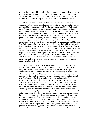about loving one's neighbour and helping the poor, eggs on the underworld to set about destroying the social order - that order with which the church is irrevocably and fatally bound up. A religion is that which the soul of the faithful is. A church is worth just so much as the priest-material of which it is composed is worth.

At the beginning of the French Revolution we have, besides the swarm of degenerate abbés, who for years had mocked at authority and rank in their writing and preaching, the runaway monk Fouché and the renegade bishop Talleyrand, both of them regicides and thieves *en grand*, Napoleonic dukes and traitors to their country. From 1815 onward the Protestant priest tends to become more and more a democrat, Socialist, and party politician. Lutheranism, which is hardly a church, and Puritanism, which is not one at all, have neither of them as such promoted any destructive policy. The individual priest went on his own account among "the people" and into the workers' party, spoke in electoral assemblies and parliaments, wrote on "social" questions, and ended as a demagogue and Marxian. The Catholic priest, however, who was more firmly attached to his church, pulled it over with him. It became woven into the party agitations, at first as an effective medium and finally as a sacrifice to this policy. A Catholic trade-union movement with Socialist-Syndicalist tendencies existed in France as early as Napoleon III's reign. In Germany the first example of such arose after 1870, inspired by the fear that the "Red" trade unions would gain sole power over the masses in the industrial areas. And it at once came to an understanding with these. *All* workers' parties are dimly aware of their common cause, however much the executive groups may hate each other.

Truly, it is a long time since Leo XIII's view of world politics commanded a following, and a true prince of the church like Cardinal Kopp ruled over the clergy in Germany. At that period the church was conscious of being a conservative force, and it knew well that its fate was bound up with that of the other conservative forces - State authority, monarchy, the social order, and property - that it stood, in the class war, unconditionally against the Liberal and Socialist forces, on the "Right," and that its prospect of outlasting the revolutionary age depended upon doing so. But the change has come quickly. Spiritual discipline is shaken. The activities of the mob element in the priesthood tyrannize over the church right up to the highest positions, and those who hold them are forced to keep silence to hide their impotence from the world. Church diplomacy, formerly directed from above in so distinguished a manner, and exercising its tactical judgment over things decades ahead, gives way increasingly to the vulgar methods of day-to-day politics, to party democratic agitation from below, with its contemptible dodges and specious argumentation. Thought and action are on the level of the cosmopolitan underworld. The traditional striving for temporal power is reduced to petty ambition in the direction of election successes and alliances with other "mob" parties for the sake of material results. The mob element in the priesthood, once severely curbed, now prevails, with its proletarian way of thinking, over the really worthy section of the clergy that considers the soul of a man to be worth more than his vote and takes metaphysical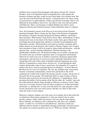problems more seriously than demagogic raids upon economic life. Tactical mistakes, such as the Spaniards made in imagining they could separate the destinies of throne and altar, would *not* have been made a few decades back. But since the end of the World War the church - in Germany above all, where, being an ancient power of rigid traditions, it had to pay heavily in prestige with its own adherents by descending to street level - has sunk to class wars and association with Marxism. There is in Germany a Catholic Bolshevism which is more dangerous than the anti-Christian because it hides behind the mask of a religion.

Now, all Communist systems in the West are in fact derived from Christian theological thought: More's Utopia, the Sun State of the Dominica Campanella, the doctrines of Luther's disciples Karlstadt and Thomas Münzer, and Fichte's State Socialism. What Fourier, Saint-Simon, Owen, Marx, and hundreds of others dreamed and wrote on the ideals of the future reaches back, quite without their knowledge and much against their intention, to priestly-moral indignation and Schoolmen concepts, which had their secret part in economic reasoning and in public opinion on social questions. How much of Thomas Aquinas' law of nature and conception of State is still to be found in Adam Smith and therefore - with the opposite sign - in the Communist Manifesto! Christian theology is the grandmother of Bolshevism. All abstract brooding over economic concepts that are remote from any economic experience must, if courageously and honestly followed out, lead in one way or another to reasoned conclusions against State and property, and only lack of vision saves these materialist Schoolmen from seeing that at the end of their chain of thought stands the beginning once more: effective Communism is *authoritative bureaucracy*. To put through the ideal requires dictatorship, reign of terror, armed force, the inequality of a system of masters and slaves, men in command and men in obedience - in short: Moscow. But there are two sorts of Communist. The one, the credulous type, obsessed by doctrine or feminine sentimentality, remote from and hostile to the world, condemns the wealth of the wicked who prosper and also, at times, the poverty of the good who do not prosper. This lands him either in vague Utopias or throws him back upon asceticism, the monastic life, Bohemia, or vagabondism, which proclaims the futility of all economic effort. But the other, the "worldly" type with the realist political outlook, hopes through its followers to destroy society, either from envy or revenge, because of the low place assigned in it to their personality and talents, or, alternatively, to carry away the masses by some program or other for the satisfaction of his own will-to-power. But this, too, likes to hide itself under the cloak of some religion.

Marxism is indeed a religion, not in the sense of its founder, but in that which his revolutionary following has imparted to it. Like any church it has its saints, apostles, martyrs, fathers, bible and mission. Like any church it has dogmas, heresy-tribunals, an orthodoxy and a scholasticism, and, above all, a popular moral - or rather two, for believers and unbelievers. And does it make any difference that its doctrine is materialistic through and through? Are those priests who agitate on economic questions any less so? What are, actually, Christian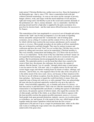trade unions? Christian Bolshevism, neither more nor less. Since the beginning of the Rationalist age - that is, since 1750 - there is materialism both with and without Christian terminology. As soon as one mixes up the concepts of poverty, hunger, distress, work, and wages (with the moral undertone of rich and poor, right and wrong) and is led thereby to join in the social and economic demands of the proletarian sort - that is, money demands - one is a materialist. And then the pressing inward need for a high altar is supplied by the party secretariat, for a poor-box by election funds - and the trade-union official becomes the successor to St. Francis.

This materialism of the Late megalopolis is a *practical* cast of thought and action, whatever the "faith" may be that accompanies it. It is the mode of regarding history and public and personal life "economically" and of looking upon economics, not as a thing of vocations and the content of lives, but as the method by which with the least exertion the most money and pleasure can be secured: *panem et circenses*. Most people nowadays do not realize at all how materialistic they are in themselves and their thought. They may be zealous in prayer and confession and have the word "God" for ever on their lips, [36] they may even be priests by calling and conviction, and yet be materialists. Christian morality is, like every morality, renunciation and nothing else. [37] Those who do not feel it to be so *are* materialists. "In the sweat of thy face shalt thou eat bread" means: do not regard this hard meaning of life as misery and seek to circumvent it by party politics. But for proletarian election propaganda the precept is certainly not suitable. The materialist prefers to eat the bread that others have earned in the sweat of their face, the peasant, the craftsman, the inventor, the captain of industry. But the famous "eye of a needle," through which many a camel passes, is not too narrow for the "rich man" only; it is equally narrow for the man who extorts bigger wages and shorter working hours by means of strikes, sabotage, and elections - and for him, too, who engineers these for the sake of his own power. It is the utility-moral of the slave-souls: slaves, not because of their situation in life for that we are all without exception, from the destiny of being born at a particular time and place - but because to regard the world from below is mean. Does one regard the state of being rich with envy or with contempt? Does one acknowledge the man who has by personal superiority worked his way up to the rank of a leader - from locksmith's apprentice, say, to founder and owner of a factory - or hate him and try to pull him down? That is the test. But this materialism, to which renunciation is incomprehensible and absurd, is nothing but egoism of individuals and classes, the parasitic egoism of inferior minds, who regard the economic life of other people, and that of the whole, as an object from which to squeeze with the least possible exertion the greatest possible enjoyment: *panem et circenses*. Such people look upon personal distinction, industry, success, joy in achievement as wickedness, sin, and treason. It is the moral of class war, which lumps all this together under the name Capitalism (which had from the first a *moral* significance) [38] and sets it up as a target for proletarian hate, while on the other side it aims at welding the wage-earners into one political front with the underworld of the great cities.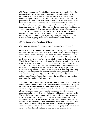(36. The very prevalence of this fashion in speech and writing today shows that the word has become a catchword, an empty concept, and anything but the expression of religious renewal and inner experience. There are profound religions and great men's religious convictions that are atheistic, pantheistic, or polytheistic, in China, India, the Classical world, and in the West today. The old Germanic word *god* was a neuter plural and was only turned into a masculine singular by Christian propaganda. The ways in which we seek to interpret the impenetrable mystery of the world around and the fact we do it have nothing to do with the *order* of the religious view and attitude. But here there is confusion of "religious" with "confessional," the acknowledgment of certain doctrines and precepts, and with "clerical," the recognition of the claims of a priesthood. In reality the profundity of a religion depends upon the personality of him in whom it lives. Without lay piety even a definitely priestly religion is non-viable.)

## (37. *The Decline of the West*, II, pp. 272 et seq.)

#### (38. *Politische Schriften* ("*Preußentum und Sozialismus*"), pp. 77 et seq.)

Only the "worker" is permitted and commanded to be an egoist, not the peasant or craftsman. He alone has rights instead of obligations. The others have obligations and no rights. He is the privileged class whom the others have to serve by their labour. The economic life of the nation exists for him and must be organized solely with a view to his comfort, whether it falls to pieces in the process or not. That is the world outlook - fashioned by the "people's representative" class and by academic riff-raff from professor to priest - by which the lower orders of society are demoralized in order that they may be mobilized in the interests of the leaders' hatred and thirst for power. For this reason Socialists of higher quality and conservative ways of thinking, like Lassalle, supporter of monarchy, and Georges Sorel, who looked upon the defence of fatherland, family, and property as the noblest task of the proletariat (and of whom Mussolini has said that he owes more to him than to Nietzsche) are difficult to reconcile with Marx and are therefore never quoted according to their true intent.

Among the many sorts of theoretical Socialism or Communism it is, of course, the lowest, and in its ultimate intentions the most dishonest, that has won the day; the one which has been most ruthlessly directed towards acquiring power over the masses for the professional revolutionaries. We may call it Marxism or not as we please. It is equally unimportant which theory supplies the catchwords for propaganda or behind which non-revolutionary world-outlook it conceals itself. The practical thought and intention is all that matters. He who is vulgar thinks, feels, and acts vulgarly and will not be changed by donning priestly robes or waving national flags. Whoever founds or leads trade unions or Labour parties anywhere in the world today [39] is almost of necessity bound to succumb very quickly to the Marxist ideology, which slanders and persecutes all political and economic leadership, the social order, authority and property, under the collective concept of Capitalism. He will at once find among his followers the now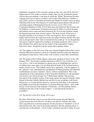traditional conception of the economic system as class war, and will be forced to depend upon it if he wishes to remain a leader. Once for all, proletarian egoism, with its aims and methods, is the form in which the "White" Revolution has been working itself out for almost a century, and it makes little difference whether it calls itself a social or a Socialist movement and whether its leaders insist on being Christians [40] or not. The floraison of world-improvement theories fills the first ascending century of Rationalism from the *Contrat social* (1762) to the Communist Manifesto (1848). [41] In those days men believed, like Socrates and the Sophists, in omniscience of human reason and its ability to control destinies and instincts and to order and direct historical life. Even in the Linnaean system the human being took rank as *homo sapiens*. The beast in man, which gave a forceful reminder of its existence in 1792, was forgotten. Never were people further removed from the scepticism of the true judge of history and the wise man who in all ages knows that "man is wicked from his youth up." It was thought that the nations could be organized according to doctrinaire programs with a view to their ultimate bliss, and at any rate the readers of the materialistic Utopias believed in them - though how far the writers did is another matter.

(39. This applies to the Left wing of the very national English Labour Party and to German National Socialism as much as to Spanish anarchist clubs and American and Japanese trade unions, little as they wish, at times, to hear Marx mentioned.)

(40. The leader of the Catholic Miners' union said, speaking at Essen on the 18th January 1925: "Social ideas establish themselves either by way of reform *or by way of force*. This is not intended as a threat, but as an established fact, and if a revolution does come again, I do not think that the heads of the German business leaders will be saved." The Catholic unions have repeatedly, with the applause of the "atheistic" ones, demanded the expropriation of mining property and industrial establishments at today's valuation - that is, without compensation. This is the expropriation of the expropriators of the Communist Manifesto (cf. the pamphlet: *Christentum oder Klassenkampf?* by F. Holtermann, Berlin). The growing discontent of the worthier section of the clergy against the priestly elements which helped to develop Catholic Bolshevism and drive it into an alliance with Social Democracy, is so great and has spread so extensively from them to the peasantry and middle classes that the formation of a German National Church - such as the famous Vicar-General of the bishopric of Konstanz, von Wessenberg, tried to establish at the time of the Vienna Congress - is not beyond the bounds of possibility.)

# (41. *The Decline of the West*, II, pp. 453 et seq.)

But after 1848 all this came to an end. One of the reasons why the Marxian system became the most effective was that it was the last. Anyone who today draws up political or economic programs for the salvation of "mankind" is out of date and tiresome. He is near to becoming ridiculous. But the upsetting effect of such theories on blockheads - who in Lenin's estimation amount to ninety-five per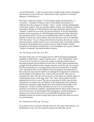cent of all humanity - is still very great (and is actually on the increase in England and America), except in Moscow, where there is only a pretence, for political purposes, of believing in it.

The classic "political economy" of 1770 and the equally old materialistic, or "economic," conception of history, both of which deduce the destinies of millennia from the concepts of "market," "price," "goods," belong fundamentally to this same category. They are inwardly related, in many ways identical, and lead inevitably to dreams of a Third Empire such as the nineteenth-century faith in "progress" looked for as in some way the end of history. It was the materialistic travesty of the conceptions of a Third Kingdom held by great Gothic Christians like Joachim de Floris. [42] It was to establish perfect bliss on earth, the fool's paradise of all the poor and wretched, who more and more came to be identified with "the worker." It was to bring with it the end of anxiety, the *dolce far niente*, and eternal peace; and the road to it was to be made by class war and the abolition of property, the breaking down of interest-slavery, State Socialism, and the destruction of all masters and plutocrats. It was triumphant *class egoism*, labelled "welfare of mankind" and raised morally to heaven.

## (42. *The Decline of the West*, I, p. 363.)

The ideal of the class war [43] appears first in 1789 in the famous propaganda pamphlet of Abbé Sieyès - again a Catholic priest! - on the Third Estate, which was to level the two above it. From this young-revolutionary Liberal form it developed logically into the Bolshevist late form of 1848, which transferred the struggle from the political to the economic domain, not for the sake of economic life, but for the purpose of securing political aims by its destruction. If "middleclass" ideologists discover any difference between idealism and materialism in this connexion, they must be unable to see through the foreground of catchwords into the depths of the ultimate aims, which in the one and the other case are absolutely the same. All class-war theories have been drawn up with the object of mobilizing the masses of the large cities. The "class" which could be used for fighting had first to be *created*. The aim was described in 1848, when the first experience of revolutions lay well behind, as the dictatorship of the proletariat, but that first experience might equally have been called the dictatorship of the bourgeoisie - for that is all that Liberalism sets out to be. It is the ultimate meaning of constitutions, republics, and parliamentarism. But in reality what was *meant* in each case was dictatorship of the demagogues, and the demagogues' intention was in part, by the aid of a systematically demoralized mob, to annihilate nations out of pure revenge and in part to gratify their thirst for power by enslaving them.

# (43. *Politische Schriften*, pp. 74 et seq.)

Every ideal is born of someone who has need of it. The ideal of the Liberal, as of the Bolshevist, class war was created by people who had either striven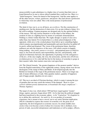unsuccessfully to gain admittance to a higher class of society than their own or found themselves in one to whose ethical standard they could not rise. Marx is a "failed bourgeois," hence his hatred of the bourgeoisie. And the same applies to all the other lawyers, writers, professors, and priests: they had chosen a profession to which they were not called. This is the moral premiss of professional revolution.

The ideal of class war is, as we all know, an *overthrow*. Not the construction of anything new, but the destruction of what exists. It is an aim without a future. It is the will-to-nothing. Utopian programs are designed only for the spiritual bribery of the masses. The only serious intention is in the object of the bribery, the creation of class as a fighting force by means of systematic demoralization. Nothing is a better welder than hate. We ought, though, to speak of class envy rather than class hatred. For in hatred there is a silent acknowledgment of the opponent, while envy is the crooked glance from below up to something higher, which remains uncomprehended and unattainable and must therefore be pulled off its perch, sullied and despised. The vision of the proletarian future, therefore, embraces not only the *happiness* of the *many*, [44] which consists in happily doing nothing - once more, *panem et circenses* - and perpetual peace in which to enjoy it, free from all anxiety and responsibility; but also, and primarily, with typical revolutionary bad taste, the opportunity of gloating over the *unhappiness* of the *few*, of the once mighty, the wise, the aristocratic, and the rich. [45] Every revolution proves it. It is only half the fun for the lackeys of yesterday to gorge at their masters' table; their masters must also wait upon them.

(44. The Liberal formula: "the greatest happiness of the greatest number" derives from the English materialists of the eighteenth century, among whom were devout theologians of the stamp of Paley and Butler. It developed logically into the Bolshevist formula of the reign of the proletarian masses. There is no longer any talk of innate differences of rank. Only quantity matters, quantity of happiness and of happy people. Qualities do not count.)

(45. This too is an ideal of Christian theology, which it counts it among the joys of paradise that one may watch the tortures of the damned: "*Beati in regno coelesti videbunt poenus damnatorum, ut beautitudo illis magis complaceat*." - Thomas Aquinas.)

The target of class war, which about 1789 had been waged against "tyrants" (kings, squires, parsons), began about 1850 - for by that time the political struggle had been transferred to the economic sphere - to be "*Capitalism*." It is hopeless to try to define this catchword - for such it is. It is no product of economic experience, but is meant to have a *moral*, not to say semi-Christian implication. [46] It is intended to express the essence of economic evil, the great sin of superiority, the devil disguised as economic success. In certain middle-class circles it has even become a term of abuse for everyone who is disliked, every person of rank, successful entrepreneurs and tradesmen as well as judges, officers,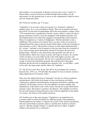and scientists, or even peasants. It denotes everyone who is not a "worker" or labour leader, everyone who has not failed through inferior ability. For all malcontents, for the spiritual mob, it serves as one comprehensive label for those who are strong and sound.

# (46. *Politische Schriften*, pp. 77 et seq.)

"Capitalism" is in no sense a form of economy or a "bourgeois" method of making money. It is a way of looking at things. There are economists who have discovered it in the time of Charlemagne and in the most primitive villages. Since 1770 economists have regarded the economic system, which is really one side of nation's historical existence, from the standpoint of the English merchant. [47] The English nation was at that time engaged in monopolizing world commerce. Hence its reputation as a "nation of shopkeepers." But the merchant is only a middleman. The existence of economic life is a *premiss* of his own activity in making himself the centre of gravity around which others, in the role of producers and consumers, revolve. This position of power is what Adam Smith describes, his "science." And that is why economics to this day starts from the viewpoint of *prices* and envisages goods and markets instead of economic life and active human beings. And this is why, henceforth, and especially since the rise of Socialist theory, labour also counts as goods, and wages as its price. In a system of this sort there is no room either for the work of the higher executive and inventor or for that of the peasant. All one sees is manufactured goods - and oats or pigs. It will not be long before peasants and craftsmen have been quite forgotten and the division of mankind into categories will - as with Marx - result in two only: the wage-earner and the others, the "exploiters."

(47. *The Decline of the West*, II, pp. 469, 483-4. Even Sombart (*Der moderne Kapitalismus*, 1919, I, p. 319) describes the purport of every economic system as being organization for economic *traffic*.)

Thus arose the artificial division of "humanity" into the two classes, producers and purchasers, [48] which in the hands of class-war theorists are falsely contrasted as capitalists and proletarians, bourgeoisie and labour, exploiters and exploited. Of the trader, however, the real capitalist, one hears nothing. The manufacturer or the farmer is the *visible* enemy, because he accepts hired labour and pays wages. The notion is senseless, but effective. The stupidity of a theory has never prevented its being effectively used. Criticism appertains to the author of a system - the believer in invariably uncritical.

(48. Sombart says in the same passage: "Capitalism is an organization for economic traffic in which invariably two different groups of the population, bound together by the market, co-operate: the owners of the means of production, who also control them (economic *subjects*), and the mere workers (economic *objects*)." But this, though "Liberal," is already half-way to Marx. It applies neither to the peasants nor to craftsmen.)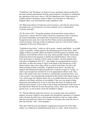"Capitalism" and "Socialism" are both of an age, intimately related, produced by the same outlook and burdened with the same tendencies. Socialism is nothing but the capitalism of the lower classes. [49] The Manchester Free Trade doctrine of Cobden and the Communist system of Marx were both born in 1840 and in England. Marx even welcomed free-trade Capitalism. [50]

(49. What I described in *Preußentum und Sozialismus*, and what has always been misunderstood, was Socialism as an *ethical* attitude, not as a materialistic, economic principle.)

(50. He said in 1847: "Generally speaking, the protectionist system today is conservative, whereas the Free Trade system has a destructive effect. It destroys the former nationalities and renders the contrast between proletariat and bourgeoisie more acute. In a word, the Free Trade system is precipitating the social revolution. And only in this revolutionary sense do I vote for Free Trade." - (Appendix to *Elend der Philosophie*.))

"Capitalism from below" wishes to sell its goods - namely, paid labour - at as high a price as possible, without regard to the purchasing power of the buyer, and to supply as little as possible. Hence the hatred of Socialist parties for quality-work and piece-work and their efforts to do away where possible with the "aristocratic" distinction between the payment of skilled and unskilled labour. They wish to force up the price of manual work by means of strikes - the first general strike took place in England in 1841 [51] - and, finally, by expropriating the factories and mines, to place the fixing of wages in the hands of the bureaucracy of the labour leaders, who at this stage will be in control of the State. For that is the under-meaning of State ownership. "Capitalism from below" describes the property that talented and superior people have worked to acquire as "stolen," in order to get enough fists clenched for it to be appropriated without work. This, then, is the origin of the class-war theory, economically constructed with a view to the worker's vote and politically designed for the benefit of the labour leader. It was a short-range aim. Inferior minds can see no further than the morrow in their outlook on the future, and they act accordingly. Class war was meant to bring destruction and nothing else. It was to clear away the forces of tradition, both political and economic, to give scope to the revenge and dominion of the forces of the underworld. What lies in store beyond that victory, when class war has long passed away, no one in these circles has troubled to inquire.

(51. That the Marxian strike has, however, no economic aims, but a political purpose, becomes evident to most people only through the experience of a general strike. German Socialists have often enough said that it is the *lost* strikes rather than the successful ones which are of interest to the party; they stoke the fires of hate and weld the "class" closer together.)

Thus after 1840 the real and infinitely complicated economic life of the white nations was subjected to annihilating attack from *two* sides. Attack from above,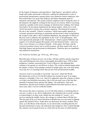by the league of financiers and speculators, "high finance," pervaded it with its bonds and credits and boards of directors, making the administrative work of professional entrepreneurs (among whom were numerous former employees who had worked their way up by their industry and talent) dependent upon its intentions and interests. The actual economic employer sank to being the slave of the financier. He might be working for the success of a factory while it was being ruined by a gamble on the stock exchange of which he knew nothing. [52] Attack from below, by the unions fashioned by the labour leaders, which set to work slowly but surely to destroy the economic organism. The theoretical weapon of the one is the scientific "Liberal" economics, which forms public opinion on economic questions and brings its arguments and decisions to bear on legislation; the weapon of the other is the Communist Manifesto, the principles of which are likewise used to influence the legislature by the "Left" of all parliaments. And *both* represent the principle of the "International," which is purely Nihilistic and negative. It is directed against the bounds set by the historical forms - and every form, every structure, is a setting of bounds - of the nation, the State, and the *national* economies whose *sum* is world economy. All these stand in the way of both high finance and professional revolutionaries. Therefore they are repudiated and marked for destruction.

#### (52. *Politische Schriften*, pp. 138 et seq., 305 et seq.)

But both types of theory are now out of date. All that could be said has long been said, and both theories have been so thoroughly discredited since 1918 by their prophecies, whether concerning New York or Moscow, that although they continue to be quoted, no one believes in them. The world revolution began under the shadow of them. It has perhaps reached its height today, but is far from being at an end, for it is assuming forms that are free from all theoretical twaddle.

And now at last it is possible to record the "successes" which the World Revolution has *achieved*. For the Revolution has reached its goal. It no longer menaces, it triumphs. *It has won*. And if its supporters argue the contrary to others or to their own horrified consciences, this is but one more case of the fate that eternally in human history pursues the fighter - the realization, with cruel distinctness, that the goal reached is quite different from that aimed at, and, in most cases, that it was not worth the trouble.

The success this time is enormous. It is for all white nations so terrifying that no one sees, or dares to see, all its implications; the originators have not the courage to acknowledge it as their work, neither has the remnant of "society," as it survives among the middle classes, the courage to confront them with the fact. The first part of the way from Liberalism to Bolshevism was traversed in fighting against the political forces. Today these are destroyed, devoured, crushed. Once more, as in the Rome of the Gracchi, we are shown that everything that the few big and strong beasts of prey, the statesmen and conquerors, have created through the centuries can be gnawed away in a short time by the mass of small animals,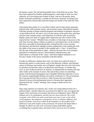the human vermin. The old and honourable forms of the State lie in ruins. They have been replaced by formless parliamentarism, a dust-heap of what was once authority, art of governing and wisdom of State. And on it the parties, those hordes of business-politicians, scramble for the booty. Dynastic sovereignty has been replaced by election that each time brings new hordes of the unfit into State affairs.

And among these parties it is everywhere Labour and its trade unions (pursuing political aims with economic means, and economic means with political means), with their pooling of leader-material programs and methods of agitation, that have set the fashion for all. *All* seek to win over the masses of the great cities, pelt them with the same senseless hopes, and whip them on with the same accusations. Hardly a party now dares to suggest that it represents any *other* section of the nation but the "worker." Whether from cowardice or from hope of successes at the poll, they treat him almost without exception as a privileged class. In all countries they have succeeded in demoralizing him, turning him into a most exacting, discontented, and therefore unhappy creature, putting him in the melting-pot with the rabble of the streets to produce a like-minded unit, a "class," to breed from him the type of the proletarian in spirit - which by the mere fact of its existence guarantees revolutionary success, which despises industriousness and achievement as a betrayal of the "cause," and whose highest ambition it is to become a leader of the masses and pillar of the Revolution.

It makes no difference whether these class-war fronts have taken the form of bureaucratic parties or trade unions, such as the Marxian, Catholic, and National unions in Germany and similar ones in England; whether they have the Latin form of anarchist and Socialist clubs as in Barcelona and Chicago, or whether they exist, as once in Russia and now in America, in underground movements and only rally visibly at the moment of action. One and all they consist of controlling groups of professional demagogues and a sheeplike following which has to serve the scarcely comprehended ultimate aim and be sacrificed to it. The governments have long ago become their executives, either because the mass-leaders themselves possess the parliamentary power or because their opponents, hypnotized by the "worker" ideology, lack courage to think and act for themselves.

They reign supreme in economics also, in this case using political means for a political object. And this object has never been lost sight of: class war against the organic forces and forms of economic life known as Capitalism. Since 1848 *the ultimate aim is its annihilation, and this has now been achieved. The worldeconomic crisis of this year and a good many next years is not, as the whole world supposes, the temporary consequence of war, revolution, inflation, and payment of debts. It has been willed.* In all essentials *it is the product of the deliberate work of the leaders of the proletariat.* Its roots lie far deeper than is thought. Its effects are only to be overcome in long, hard battles against everything that is popular today, and much of this can never now be undone.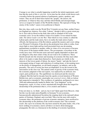Courage to see what is actually happening would be the initial requirement, and I fear that the stock of this is very low. At no time has the whole world shown such cowardice before the general opinion of parliaments, parties, speakers, and writers. They are all on their knees before the "people," the masses, the proletariat, or whatever they may call that which blindly and unsuspectingly serves as weapon for leaders of the World Revolution. The reproach of being "the enemy of the worker" causes every politician to blanch.

But who, then, really won the World War? Certainly not any State, neither France nor England nor America. Nor white "Labour," though it did to a great extent pay for it: first with its blood on the field, then with its standard of life in the economic crisis. It was the noblest victim of its leaders. It was ruined for their ends. *The labour leader won the War.* That which in every country is called the Labour party and the trade union, but is in reality the trade union of party officials, the bureaucracy of the Revolution, gained the mastery and is now ruling over Western Civilization. It has driven the proletariat from strike to strike, from street-fight to street-fight and has itself proceeded from one devastating parliamentary resolution to another, either in virtue of its own power or because of the terror of the beaten middle classes. The governments, everywhere in the world, have since 1916 become more and more rapidly dependent on them and are obliged to obey their orders if they do not wish to be overthrown. These brutish inroads into the structure and meaning of economic life they must either allow to be made or make them themselves. Such attacks are wholly in the interests of the lowest grade of labour, the merest "hands," and take the form of extravagant raising of wages and reduction of working hours, of devastating taxes on the profits of management, on old family property, on industry, and on the peasantry. The sack of society has been accomplished. It was the reward of the mercenaries in the class war. The natural centre of gravity of the economic body, the economic judgment of the real experts, was replaced by an artificial, nonexpert, party-political one. The equilibrium was destroyed and the structure collapsed. But this had for decades been the openly avowed intention of Western Bolshevism, and so economic catastrophe was a *tactical victory*, little as Labour had suspected or intended it. This overthrow of capitalism, prefigured ever since 1840 and enthusiastically lauded by Bebel, this "Last Judgment" on the bourgeoisie, *ought*, it is true, to have automatically brought about the longed-for dictatorship of the proletariat (that is, of its creators and leaders).

It has not done so, we think - and yet, has it not? Quite apart from Moscow, what but this was the trade-union Republic in Germany? Is not economic, bureaucratically administered Socialism the reigning ideal in the national Labour parties of Germany, England, and even Italy? Have not the men with creative economic ideas, the promoters of private economic enterprise, been sacrificed to this dictatorship on the platform of the world-economic ruin? The economic *leader*, the *expert* in economic life, has been ousted by the party leader, who, if he know nothing of economics, knows all there is to know about demagogic propaganda. He rules as a bureaucrat in the drafting of economic legislation,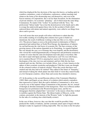which has displaced the free decisions of the man who knows, as leading spirit in countless committees, courts of arbitration, conferences, cabinet meetings and whatever the forms of his dictatorship may call themselves, and even in the Fascist ministry of Corporations. He is out for State Socialism, for the elimination of private initiative, for economic "planning" - all of which mean the same thing: Communism. No matter if the "worker" be sacrificed with the "boss," the professional "labour leader" has at last the desired power in his hands and is able to avenge the underworld against those who, by the accident of birth which endowed them with talents and natural superiority, were called to see things from above and to govern.

I am well aware that most people will refuse with horror to admit that this irrevocable crashing of everything that centuries have gone to build was intentional, the result of deliberate working to that end. But so it is; there is proof of it. The process began as soon as the professional revolutionaries of Marx's generation had realized that, in North-West Europe, the dependence of industry on coal had become the vital factor of economic life. The bare existence of the growing masses of the nations depended on its flourishing. As regards England, this was already the case; as to Germany they were hopeful, and the doctrinaires who viewed the world diagrammatically as bourgeoisie and proletariat assumed as a matter of course that the same development must take place everywhere. But how did it stand with Spain and Italy, which had no coal? Or even with France, not to mention Russia? [53] It is amazing how narrow the horizon of these theologians of the class war was and remained, and how little this has been realized until our day. Did they ever include Africa, Asia, or Latin America in the sphere of their economic researches and prophecies? Did they waste one thought on the coloured workers of tropical colonies? Were they aware that these were omitted and why they had to be omitted? They talked of the future of "humanity," and instead of taking the whole planet into their field of vision they stared fixedly at a few European countries, whose State and society they intended to destroy.

(53. In the preface to the second Russian edition of the Communist Manifesto (1882) Marx and Engels set up a theory of evolution which entirely contradicts that expressed in *Capital*. Here the road to definitive Communism is, all at once, to run by way of the reputed village Communism of the peasants, the *mir*, instead of through an absolute domination of the bourgeoisie. There was in Russia neither bourgeoisie nor proletariat in the Western European sense, and the two demagogues therefore adapted their "conviction" to the masses whom they wished to mobilize against the Petrine State. The labour leaders of Moscow, on the contrary, proceeded, in the interests of the Western "truth," to fight the peasants for the sake of a working class which hardly existed.)

In the case of these, however, they saw that this would be possible if they paralysed the vitality of industry, and the systematic attack upon it began with the attempt to make its organized working impossible. This was done in the first place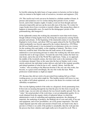by forcibly reducing the daily hours of wage-earners in factories (at first in them only) in contrast to the higher work of executives, inventors and engineers. [54]

(54. This *intellectual* work can never be limited to a definite number of hours. It pursues and tyrannizes over its victims during their periods of rest, on their travels, and in their sleepless nights. It makes a real rest from thought and real relaxation impossible and uses up the most able men of the time. No worker for wages breaks down from overstrain or mental collapse. But among these others it happens in innumerable cases. So much for the demagogues' picture of the gourmandizing, idle bourgeois!)

In the eighteenth century the working day amounted to more than twelve hours, though without it being legally fixed, this being the usual practice among Nordic peasants and artisans. At the beginning of the nineteenth century it was limited in England to twelve hours, and about 1850 was again reduced by the Ten-Hour Bill, which incidentally was fiercely opposed by the workers themselves. [55] When the bill was finally passed, it was acclaimed in revolutionary circles as a victory for the working class and rightly, as the crippling of industry. The blow, it was believed, would be fatal. From that time the trade unions of all countries undertook to exert increasing pressure to reduce the working day still more and to extend the rule to all wage-earners. Towards the end of the century the limit was nine hours, and at the end of the World War eight hours. Today, as we approach the middle of the twentieth century, the forty-hour week is the minimum of the revolutionary demand. Since at the same time the ban on Sunday work is more strictly enforced, the individual worker delivers only half of the original, possible, and natural quantum of what he has to sell - namely, labour. And thus the "worker," who according to the Marxian doctrine is the *only* one who works, has become, to a great extent unwillingly, the one who works the least. What profession would tolerate so slight an output?

(55. Because they did not wish to be prevented from making full use of their working power, as every tailor might do. This healthy instinct still forces its way up, in spite of all Labour agitations, as is seen is the desire for overtime work and subsidiary occupations.)

This was the fighting method of the strike in a disguised, slowly penetrating form. It first took on meaning through the fact that the price for this form of goods, the weekly wage, was not only not reduced, but was forced steadily upward. Now, the "value," the actual product of the work done, is not an independent quality. It is a result obtained from the organic whole of industrial labour, in which the administrative work of controlling and regulating operations, the obtaining of materials, the marketing of products, the thinking out of costs and yield, of lay-out and equipment, and of new possibilities, are of far greater importance. The total output depends upon the order and amount of head-work, not hand-work, that is put into it. If there is no yield, if the product is unsaleable, then the work put into the process has been valueless and ought really not to be paid for at all. This is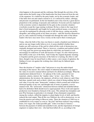what happens to the peasant and the craftsman. But through the activities of the trade unions the hourly wage of the handworker has been removed from the unit of the organism. It is settled by the party leader, not by the economic leader, and if the latter does not and cannot consent to it, it is enforced by strikes, sabotage, and pressure on parliament. In the last hundred years it has risen by a great deal in proportion to the earnings of peasants and craftsmen. Everyone actively employed in the economic system is dependent for his gain on the economic situation everybody except the wage-earning workman. He has a claim to the wage-level that is fixed inorganically and fought for by party-political means, even when it can only be maintained by allowing works to fall into decay, cutting out profits altogether, and selling goods at less than cost price - until the factories themselves give in, and a malicious feeling of triumph runs through the ranks of the labour leaders who have once more won a victory on the road to their eventual goal.

Today, when the birth of the class-war theory is nearly a hundred years behind us and no one any longer really believes in it, it seems doubtful whether these leaders are still conscious of the end for which all this work of destruction was originally designed and started. There is, however, a tradition and method which over long years has grown up among them by which they are bound to work unceasingly for reduction of work and increase of wages. It is this which proves their ability in the eyes of the Party. And if today the original dogmatic meaning is forgotten and the good conscience of the believer is lacking, the effect is still there, though it may be traced back to other causes: a new means of agitation, the finding of a new sin against the working class which may be fathered upon Capitalism.

Once the doctrine of "surplus value" had power to sway the undeveloped reasoning of the masses: the *whole* output of industrial production was equal to the value of executive manual labour and had to be allotted accordingly. What the manufacturer deducted from it - for upkeep of the works, payment for raw materials, salaries, interest: the "surplus value," in fact - was *robbery*. The administration, the inventors, the engineers, all did no work whatever; and if they had done, mental work such as theirs, which was a kind of doing nothing, had no real value. It was the same "democratic" tendency which scorned and would have destroyed quality of any sort, and thought only in terms of quantity, even in manual work. The "aristocratic" distinction between skilled and unskilled labour had to be abolished. Both should receive equal payment. Piece-work and superior production were branded as betrayal of the cause. This attitude has triumphed, and post-War Germany in particular is its triumph. It has eliminated competition among the workers, stifled the impulse to attain higher levels of skill, and thereby reduced the total output. That all this was Nihilism, the will-to-destruction, we see from the practice prevailing in Moscow today. There the situation of 1840 was reestablished in every respect as soon as "the goal" had been realized: long working hours, low wages; the widest possible gulf - wider even than in America between the payment of skilled and unskilled work, and the importation of foreign engineers to replace their own - who had been killed off, as, according to the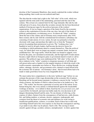doctrine of the Communist Manifesto, they merely exploited the worker without doing anything: their worth was not realized until later.

The idea that the worker had a right to the "full value" of his work, which was equated with the total yield of the undertaking, persisted until the end of the century. This at least set a natural limit for the wage-demands. But side by side with and out of it arose, from about the seventies onward, the far from theoretical method of forcing up wages by the *political* pressure of the workers' organizations. It was no longer a question of the limits fixed by the economic system to this exploitation in favour of the one class, but only of the limits of political, parliamentary, revolutionary *power*. In almost all "white" countries, about the turn of the century and in Germany most conspicuously after 1918, there existed, side by side with the constitutional Government a subsidiary one consisting of trade unions of every variety. Its task was primarily to feed the electorate with wages and purchase the right to do so from the "bourgeois" powers by granting them permission to govern. The "working-class vote," handled as such by all party leaders, had become the decisive factor for everything to which parliaments dared to commit themselves. Thus the *political wage*, for which there were no longer any natural, economic limits, became an established fact. The wage-tariffs, which the State was bound to support, were fixed by the party, not calculated economically, and the high tariff of trade unions became a right which no bourgeois party or government dared to touch or call in question. The political wage soon outdistanced the "full value" of the work. It drove industry in the "white" countries to desperate measures of self-help and self-preservation and so landed it in the tangled situation of which the result is the world-economic catastrophe now before us. *Wage-Bolshevism*, working through strikes, sabotage, elections, and government crises, drained so much blood from the economic life of nations - not Germany's alone - that fevered efforts had to be made to make good these losses by every imaginable device.

We must realize how comprehensive is the term "political wage" before we can estimate the pressure of this wage-dictatorship on the economic life of nations. Reaching out far beyond money payment, it embraces concern for the "worker's" whole existence, the burden of which is taken from him to be loaded on to "the rest." "The worker" has become a pensioner of society and of the nation. Every human being has, like every animal, to defend himself against the incalculable workings of destiny - or to submit to them. Each has his *own personal cares, full responsibility* for himself, and must inevitably make his own decisions in all dangers threatening himself and his aims. No one dreams of relieving, at the expense of others, farmers from the consequences of bad harvests, cattle disease, fire, and failing markets; or artisans, doctors, engineers, tradespeople, and scientists from the threat of economic ruin and unfitness for work owing to insufficient qualifications, sickness, or accident. Each of these has to deal with such things himself and at his own expense or else bear the consequences and beg or go under in any other way he pleases. Such is life. The craving to insure oneself, against old age, accident, sickness, unemployment - in short, against fate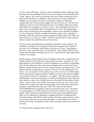in every conceivable form - which is a sign of shrinking vitality, beginning from Germany has now embedded itself in one way and another in the mentality of all "white" nations. The victim of misfortune cries out to others without any will to help himself. But there is a difference which denotes the victory of Marxian thought over *the original Germanic, individualist* instincts of delight in responsibility and of the personal struggle with fate, the *amor fati*. All the rest in seeking to evade or to meet the unforeseen do so according to their own resolve and in their own strength; it is only the "worker" who is spared this decision. He alone can rest assured that others will think and act for him. The degenerating effect of this freedom from all responsibility, which is seen similarly in children of very rich parents, [56] has overtaken the whole working class, especially in Germany: at the first sign of any distress, appeal for help is made to the State, the party, society, or, in any case, "others." We have forgotten how to take decisions ourselves and to live under the stress of real anxiety.

(56. The result is the preposterous importance attached to *minor* anxieties - the "problems" of fashion or of cooking, of married or unmarried lovers' quarrels, and, above all, of boredom, which leads to weariness of living. Vegetarianism becomes a sport, and erotic taste a "world outlook." One commits suicide if one cannot have the desired evening frock or lover, or because one cannot agree about a dinner or an outing.)

But this means a further burden laid on the higher work in the community for the benefit of the lower. For this part of the political wage also - insurance of every kind against fate, the building of workers' dwellings (no one thinks of demanding these for farm labourers), the construction of playgrounds, convalescent homes, libraries, and the special terms for food, railway journeys, and amusements - is all paid for directly or indirectly by taxation of "the rest" for the working man. *This in fact is an essential part of the political wage*, and it receives very little thought. At the same time the national wealth of which we are given the amount in figures is an economic fiction. It is calculated - as "capital" - from the yield of economic undertakings or from the market prices of interest-bearing shares, and it falls with these when the value of the working factories is threatened by the burden of high wages. A factory that is thus made to close down is, however, of no more value except for the scrap-heap. Under the dictatorship of the trade unions, Germany's economic system had in the four years 1925-29 to meet an extra load of 18,225,000,000 marks annually in respect of increased wages, taxes, and grants for social purposes. [57] This means *one-third of the national income spent onesidedly*. One year later the sum had grown to far beyond twenty milliard marks. What are two milliards for reparations compared with this? It endangered the financial position of the Reich and the currency. Its drag on the economic system was not even taken into account when the effects of wage-Bolshevism were in question. It was the expropriation of the whole economic system in the interests of one class.

(57. Report of the Langnamverein, 1929, p. 6.)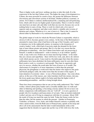There is higher work, and lower: nothing can deny or alter this truth. It is the expression of the fact that Culture exists. The higher the stage of development in a Culture, the more powerful its creative force, the greater the difference between *determining* and *subordinate* actions of all kinds; whether political, economic, or artistic. For Culture is ordered, intellectualized life, a maturing and self-perfecting form, which calls for an ever higher grade of personality. There is work for which one must have an inner call, and other work that one *must* do, because one *can* do nothing better to earn a living. There is work for which only a few men of superior rank are competent, and other work which is valuable only in terms of duration and volume. Whichever it is, one is born to it. That is fate. It cannot be altered either by Rationalist or by sentimental-romantic equality-talk.

The global output of work for which the Western Culture is responsible, which is *identical* with it, becomes greater every century. At the time of the Reformation it amounted to many times what it had been in the age of the Crusades, and it grew to immense size in the eighteenth century, in response to the dynamism of creative leaders' work, which had of necessity made the demand for the lower type of mass labour greater and greater. But it is for that very reason that the proletarian revolutionary - who sees Culture from below and, not possessing it himself, is unable to understand it - seeks to destroy it, to do without "quality" work, or any work even. If there are no more men having Culture - to his mind they are a luxury and superfluity - there will be less work, and, above all, inferior work which anyone can do. I once read in a Socialist paper that when the moneymillionaires have been abolished, the brain-millionaires must be sent after them. Real creative work is a vexation to such people. They hate its superiority and envy its success, whether the result takes the form of power or of wealth. The charwoman of a hospital is of more importance to them than the principal physician; the ploughman is worth more than the farmer who improves the grain and breeds pedigree cattle, the stoker more than the inventor of the engine. A transvaluation of economic values - to use a Nietzschean phrase - has come about, and as, in the eyes of the masses, any value translates itself into money, into pay, the lower-grade mass labour ought to be better paid than the higher work of outstanding personalities - and this is being brought about.

There have been consequences that no one yet has really understood. This "white" worker, whom Labour party leaders and a cowardly middle class vie with each other in flattering and spoiling, is becoming a luxury animal. Do let us leave out idiotic comparisons with millionaires who are "well off" - it is not a question of people who live in palaces and keep armies of servants. Take an modern industrial worker's private cost of living in comparison with that of a yeoman. About 1840 the mode of living was much the same for both. Today the former works far less than the other, but the manner in which the peasant - whether in Pomerania, Yorkshire, or Kansas - lives, feeds, and clothes himself contrasts so pitifully with what a metal worker, from the Ruhr area to Pennsylvania, spends on his keep and above all on his amusements that the latter would immediately strike at the suggestion that he should ever again take up this way of life with twice the work,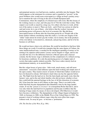and perpetual anxiety over bad harvests, markets, and debts into the bargain. That which appears as the minimum for existence and is regarded as "poverty" in the great Northern cities would seem extravagant in a village an hour's journey away not to mention the style of living in the area of South-European land-Communism, where the simplicity of coloured races still exists. But this luxury of the working classes is a fact, and who pays for it? Not the work that is done. Their output is not worth so much by a long way. It is others who have to work, all the rest of the nation, to meet it. There are fools - and if Ford was serious in what he said and wrote, he is one of them - who believe that the workers' increased purchasing-power will preserve the level of economic life. But did those unoccupied masses in Rome after the Gracchan period do so? People talk of the home market without considering what this really is. Let this new dogma of the "white" trade unions be tested: pay the worker, not in money, but in the products of his own labour: in locomotives, chemicals, and paving-stones, and let it be his business to sell them.

He would not know what to do with them. He would be horrified to find how little these things are worth. It would also transpire that the same degree of Culture, the same intellectualized taste, is needed for the intelligent spending of money as for earning it by superior achievement. Luxury can be elegant or vulgar, and no one can alter the fact. It is the difference between a Mozart opera and a musical comedy, but the luxury wage is definitely not the complement of a refined craving for luxurious conditions. It is only the purchasing power of a higher rank of society that makes quality industry possible. The lower orders merely feed an entertainment industry, as in ancient Rome.

But this vulgar luxury of great cities - little work, much money, and still more amusement - exercised a fatal influence upon the hard-working and simple men of the open country. They learnt to know of needs of which their fathers would never have let themselves dream. Self-denial is hard when one has the opposite before one. The flight from the land set in: first the farm-hands and maids went, then the farmers' sons, and in the end whole families who did not know whether or how they could hold the paternal heritage in the face of all this distortion of economic life. It has been the same in all Cultures at that stage. There is no truth in the belief that Italy became depopulated after Hannibal's time by the large landed estates. It was the "*panem et circenses*" of cosmopolitan Rome that did it, and it was only when the land had lost its population and became worthless that the farming of large estates by means of slaves developed. [58] Otherwise it would have become a wilderness. The depopulation of the villages began in England in 1840, in Germany in 1880, in the Middle West of the United States in 1920. The peasant is tired of working without wages when the town offers him wages without work. So away he goes - to become a "proletarian."

(58. *The Decline of the West*, II, p. 106.)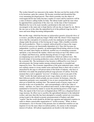The worker himself was innocent in the matter. He does not feel his mode of life to be luxurious; quite the contrary. He became wretched and dissatisfied like every unearning privileged person. That which yesterday was the object of extravagant desires has today become a matter of course and by tomorrow will be a state of distress calling loudly for help. The labour leader spoilt his man when he appointed him a praetorian of the class war. At the time of the Communist Manifesto he was to be *made* morally a proletarian to this end; now he is encouraged, to the same end, to hope that he will one day no longer be one. But in the one case as in the other the unjustified level of the political wage has led to more and more things becoming indispensable.

But can this wage, which has become *an independent quantity alongside those of economics*, possibly be paid any longer? What with? By whom? Close inspection shows that the conception of economic *profits* has undergone an imperceptible change under the pressure of the forcing up of wages. Only a healthy economic life can be productive. There is a natural, unforced profit as long as the wages involved in a process are functionally dependent on it. Once this becomes an independent, a *political*, quantity, an uninterrupted blood-letting which no living body can stand, there begins an artificial, morbid way of estimating economic operation, a race between the market, which *must* keep on top if the whole is not to collapse and bleed away, and the hurrying advance of wages with the accompanying taxes and the social contributions which are indirect taxes. The feverish tempo of increasing production comes chiefly from this secret wound in the economic life. The incitement to buy luxuries is diffused by every form of advertisement; the foreign market among coloured peoples is extended and imposed by force. The economic imperialism of the great industrial states, which uses military means to secure market areas and keeps them to their role as such, is intensified by the urge to self-preservation of the heads of industry, who have to hold their own under the perpetual political-wage pressure of Labour. From the moment that a real or apparent "recovery" of industry occurs in any part of the "white" world, the trade unions put in new wage-claims in order to secure for their followers profits which actually are non-existent. In Germany, when the reparations payments were suspended, it was at once assumed that these "savings" must go to benefit the working class. The natural result of luxury wages was an increase in the cost of production - and correspondingly a fall in the value of money - and here, too, there was political intervention, in that selling-prices were maintained or lowered by statute to secure the purchasing-power of the wages. Thus, the repeal of the Corn Laws in England about 1850 was a disguised form of wage-increase. Its effect was to sacrifice the agricultural labourer to the industrial worker, and since then this has been attempted or actually carried out everywhere, owing in part to the absurd economic pronouncement of bankers and other "experts" that the world should be divided into agrarian and industrial countries in order to obtain a practicable organization of "world economy." What, in these circumstances, was to become of the peasant class in industrial countries no one inquired. It was the mere object in Labour politics, *the* enemy to the monopoly interest of Labour. All Labour organizations are hostile to the land-workers,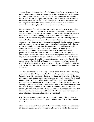whether they admit it or contest it. Similarly the price of coal and iron was fixed under parliamentary pressure without regard to the cost of extraction, though this is bound up with these very wages; all sorts of special prices for the working classes were also insisted upon, and these had then to be made good by a rise in the normal prices for "the rest." If this damaged or even ruined the market, that was the private affair of the entrepreneurs, and the more their position was shaken, the more triumphant the trade unions felt themselves.

One result of the effects of this class war was the increasing need of productive industry for "credit," for "capital" - that is to say, for imaginary money values, which are there only as long as one believes in their existence and when the least doubt arises dissolve into nothingness in the form of a crash on the stock exchange. It was a despairing attempt to replace the lost real values by phantom values. The hey-day of a new and wily banking method had set in, by which enterprises were financed and at the same time controlled by the banks, which not only gave credit, but *created* it on paper, a ghostlike, homeless, and airy financecapital. Old family properties have been more and more rapidly converted into joint-stock companies, made fluid, so that the money thus raised might fill the gaps in the circulation of expenditure and receipts. The indebtedness of productive industry - for shares are at bottom nothing but a debt - grew to fabulous proportions, and when the necessity of paying interest on it, as well as wages, began to look threatening for the latter, the final weapon of the class war was brought out: the demand for expropriation of the works by the State. By this means wages to be definitely withdrawn from the economic balance-sheet and regarded as State salaries, which will be fixed by the governing Labour parties at will and for which the means of the rest of nation will be commandeered by fiscal Bolshevism.

The final, decisive results of this folly of luxury wages have become increasingly apparent since 1900. The growing desolation of the agricultural countryside brought ever greater crowds into the sphere of the *panem et circenses* of the cities and tempted industry to enlarge its undertakings - no misgivings as to the disposal of the products having yet arisen. Between 1900 and 1914 fifteen million of countryfolk from South and East Europe migrated to the United States, where the farming population was already on the decrease. [59] In the North of Europe there was internal migration to the same amount. In the mining area of Briey, for instance, there were in 1914 more Polish and Italian than French miners. And then Nemesis overtook this development from a side which the class-war leaders had never taken into account, and had indeed never noticed.

(59. The pure farming population came to a standstill about 1900, declined by 100,000 from about 1910 onward, by half a million from 1920, and by a million from 1925.)

Marx both admired and hated the industrial system of the "white" countries of the North as the masterpiece of the bourgeoisie. He had eyes only for the home of it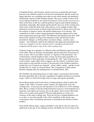in England, France, and Germany, and his successors accepted this provincial horizon as the orthodox premiss of all tactical considerations. But the world was bigger than that, was something more than an area which meekly and obediently absorbed the exports of little Northern Europe. The mass of white workers lived not by industry itself but *by the industrial monopoly of the Northern great powers*. Only on the basis of this fact could the political wage be paid without leading to immediate catastrophe. But outside and beyond the class war of the working class with society within the field of the white nations, a race struggle of quite other dimensions raised its head; no labour leader had foreseen it, and no one to this day has realized, or dared to realize, the fateful relentlessness of its advance. The competition of white workers among themselves had been suppressed by tradeunion organization and wage-tariffs. The difference that had grown up since 1840 between the standard of living of the industrial worker and the land-worker presented no dangers, as all the politico-economic rulings - customs, taxes, statutes - were unilateral, made by the industrial side against the agricultural. *But in the new struggle it was the coloured worker's standard of living which competed with the luxury wage of the white working-class*.

Coloured wages are a quantity of a different order and different origin from those of the white. They are dictated, not demanded, and are kept down if necessary by force of arms. This is not called "reaction" or "injustice to the proletariat," but colonial policy; and the English worker, at least, has been quite agreeable to it, having learned to think imperially. In demanding the "full" value of the proceeds as the workers' wages, Marx tried to suppress one fact which it would have been more honest to note and take account of: the proceeds of the Northern industries include the cost of tropical raw materials - cotton, rubber, metals - and this in turn includes the *low* wages of coloured labour. The overpayment of white labour therefore depends upon the underpayment of coloured labour. [60]

(60. Similarly, the purchasing-power of white wages is increased by the fact that the home agriculture has to face the competition of supplies produced on coloured wages, while it is itself tied to high scales of wages and expense generally.)

Soviet Russia prides itself on the tactics of undercutting by which it attacks the vitality of the "white" economic system: namely, the setting back of its own working-class - if necessary by starving them or (as in Moscow in 1923) shelling them. But as a matter of fact the method had been in process of development for a long time, and without any forcing, all over the globe. And it struck with terrific effect, not so much on the quality of Western industrialism as on the very existence of the white working-class. Were the Soviets so dogma-blinded as not to see this, or were they heralds of the will-to-annihilate of the Asiatic raceconsciousness that is awakening and means to exterminate the Western Culturepeoples?

In the South African mines, whites and Kaffirs work side by side: the whites for eight hours at the rate of two shillings an hour, the Kaffirs for twelve hours at the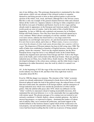rate of one shilling a day. This grotesque disproportion is maintained by the white trade-unions, which veto any attempt of the coloured workers to organize themselves and bring pressure to bear on their political parties to prevent the ejection of the whites, lock, stock, and barrel, although this is the obvious course. But this is only one example of the general situation between white and coloured labour all the world over. Japanese industry is driving its white competitors out of the field in every part of Southern and Eastern Asia by its low wages and has already made its appearance on the European and American market. [61] Indian textile goods are seen in London. And in the midst of this a fearful thing is happening. As late as 1880 the only exploited coal measures lay in Northern Europe and North America. Now they have been discovered and opened up in every continent. White Labour's monopoly of coal has vanished. And what is even more serious, industry has freed itself to a very large extent from dependence on coal through water-power, oil, and electrical power-transmission. It is now free to move about, and it does so. What is more, *it moves everywhere away from the domain of white trade-union dictatorships into countries with low wages*. The dispersion of Western industry has been in full swing since 1900. The mills of India were established as branches of English factories, with the idea of getting "nearer the consumer." Such was the original intention, but the West-European luxury wage has led to a very different result. In the United States industry has migrated more and more from Chicago and New York to the Negro areas in the South, and it will not halt at the Mexican frontier. There are growing industrial areas in China, Java, South Africa, South America. The flight of highly developed techniques to the colour areas continues, and the white luxury-wage is beginning to be rather theoretical, since the work by which it is earned is no longer wanted.

(61. At the beginning of 1933 the wage of the sixty-hour week in the Japanese textile industry was about \$1.68, and that of the forty-eight hour week in Lancashire about \$8.50.)

Even by 1900 the danger was immense. The structure of the "white" economic system was already undermined. It threatened to break down at the first worldhistorical upheaval under the load of the political wage, the reduced hours of work that men would stand, the saturation of all foreign markets, and the emergence of foreign industrial areas which were outside the jurisdiction of white Labourparties. Only the unbelievable peace after 1870, which was diffused over the "white" world by its statesmen's dread of making incalculable decisions, [62] maintained the universal delusion *vis-à-vis* the catastrophe that was approaching with sinister speed. The gloomy presages of its coming were not noticed or not seriously considered. A fateful, shallow, almost criminal optimism - the faith in unswerving progress, as expressed in figures - dominated the leaders of Labour and of industry alike, not to mention the politicians, and found support in the morbid inflation of the fictitious finance-capital which all the world took to be real property, real and indestructible money value. But even by 1910 individual voices had been heard recalling that the world was in process of being satiated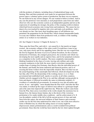with the products of industry, including those of industrialized large-scale farming. Here and there proposals were made for an agreement between the powers upon a voluntary quota system of production, but there was no response. No one believed in any serious dangers. No one wanted to believe in them. And in any case the premisses were unsound, as such propositions came from one-sided observers who saw the economic system as an independent quantity and not as the expression of something far stronger, the policy of the creeping world-revolution which had forced economics into wrong forms and tendencies. The causes lay too deep to be even touched by inquiries into crisis and trade-cycle problems. And it was already too late. One more short breathing-space of self-delusion was permitted: the preparation for the World War, which claimed innumerable hands, or at any rate withdrew them from production work, as soldiers of the standing armies or as workers in war industries.

#### (62. See Chapter I, Section 3; Chapter II, Section 7.)

Then came the Great War, and with it - not caused by it, but merely no longer averted - the economic collapse of the white world. It would have come in any case, only more slowly and in less appalling forms. But this war was waged from the first by England, the home of *practical* Labour-Socialism, for the economic destruction of Germany, the youngest great power, the economic unit which was developing the most rapidly and on superior lines, and for her perpetual exclusion as a competitor in the world's markets. The more completely statesmanlike thinking foundered in the chaos of events, leaving only military and crude economic tendencies in the field, the more clearly everywhere emerged the sombre hope of ruining first Germany, then Russia, then the individual powers of the Entente, and finally the home industrial and financial position, and so of rescuing the home workers from the impossible situation. But even that was not the actual beginning of the catastrophe that followed, which developed out of the fact that, after 1916, the dictatorship of the working classes *vis-à-vis* State government had established itself, openly or secretly, in all white countries, whether actively engaged in the War or no, and that, although varying greatly in form and degree, it followed invariably the same revolutionary tendency. It overthrew or controlled all governments. It wormed its way into all armies and navies. It was - and rightly - more dreaded than the War itself. And after the War was ended, it worked up the wages of inferior mass-labour to a grotesque height and at the same time imposed the eight-hour day. When the workers came home from the War, there arose everywhere in the world, despite the enormous loss in human lives, the famous house-famine, due to the desire of the victorious proletarian to live under middle-class conditions - and his achievement of it. It was the pathetic symbol of the fall of all the ancient powers of class and rank. Seen from this aspect, the universal inflation of State finances and economic credits was for the first time understood for what it was: one of the most effective forms of Bolshevism, by which the ruling classes of society might be dispossessed, ruined, proletarianized, and as a result excluded from political government. Since then the world has been ruled by the low short-sighted thought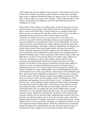of the vulgar man who has suddenly come into power. *That* was the victory! The destruction is complete, the future is almost hopeless, but the spirit of revenge upon society is appeased. Meanwhile things now appear as they *are*. The pitiless logic of history takes its revenge on the avengers - on the vulgar mentality, on the envious, the dreamers, the enthusiasts, who have been blind to the great and chilling facts of reality.

Thirty million white workers are workless today, in spite of the great war-losses and leaving out of account those other millions who are only partially occupied. This is *not* the result of the War, for half of them live in countries which took barely any part, or no part at all, in the War; neither is it the result of war debts or misguided currency manoeuvres, such as other countries can show. *Unemployment stands everywhere in exact proportion to the height of the political wage-tariffs*. It hits the individual countries in exact proportion to the respective numbers of *white* industrial workers. In the United States it is first the Anglo-Americans, whose labour is no longer required, then the East and South-East European immigrants, and finally, a long way behind them, the Negroes. It is just the same in Latin America and South America. In France the number is smaller, primarily because her Socialistic deputies know the difference between theory and practice and sell themselves with all speed to the reigning financiers instead of extorting wages for their constituents. But in Russia, Japan, China, and India there is no lack of work, because there are no luxury wages. Industry has fled to the coloured races, and in white countries only the labour-saving inventions and methods pay for themselves, because they relieve the wagepressure. For decades now the increase of production with the same number of workers by means of technical refinements has been the ultimate means of enduring this pressure. Now it can no longer be borne, because the markets are lacking. Formerly the wages of Birmingham, Essen, and Pittsburgh provided the world standard, but now this is given by the coloured wage of Java, Rhodesia, and Peru. And to that must be added the levelling down of the aristocratic society of the white nations with their inherited wealth, their gradually acquired taste, their need of *real* luxury, which sets the example to others. The Bolshevism of the death duties and supertaxes levied at the dictates of envy - in England even before the War [63] - and the inflations which transformed whole fortunes into nothing have done their work thoroughly. But it is this genuine luxury that had created and maintained quality work, had allowed entire quality-industries to grow up, and had kept them alive. It tempted and *educated* the middle strata to greater refinement in its own demands. The greater this luxury, the more flourishing the economic system. Napoleon of old knew this. He did not concern himself with economic theories and was the better able to understand the economic life. It was from his *court* that the impulse came to revive the economic system which the Jacobins had destroyed, for a higher social order was again being formed - on the English model, it is true, because the old régime was murdered or ruined, save for some jejune and impoverished remnants. When the wealth that has accumulated among the ruling class is annihilated by the mob, when it becomes an object of suspicion and scorn, a danger to the owner, then the Nordic will to acquire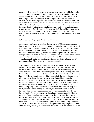property, will-to-power through property, ceases to create that wealth. Economic spiritual - ambition dies out. Competition no longer pays. We sit in corners, go without things, and save - and this "saving," which always means the saving of other people's work, inevitably drives every highly developed economy to disaster. All this works together. Low-grade white labour is worthless, the labour mass in the Northern coal areas has become superfluous. It is the first great defeat of the white nations by the mass of the coloured nations - which embraces Russians, South Spaniards and South Italians, and peoples of Islam just as much as the Negroes of English-speaking America and the Indians of Latin America. It is the first menacing sign that the white world-supremacy is faced with the possibility of an overthrow by the forces of colour, as the result of the class war in its rear.

### (63. *Politische Schriften*, pp. 264 et seq., 307 et seq.)

And no one withal dares to look into the real causes of this catastrophe, or down into its abysses. The white world is governed primarily by idiots - if it is governed at all, which one is entitled to doubt. Around the sick-bed of the white economic system stand ridiculous authorities who can see no further ahead than next year and from their narrow and long obsolete economic "capitalistic," "Socialistic" standpoints discuss minor palliatives. And finally: cowardice makes blind. No one speaks of the consequences of this century and more of the world revolution which has risen from the depths of our great cities and destroyed economic life and not that alone. No one sees it, no one dares to see it.

The "working man" is, now as before, the idol of the world, and the "labour leader" is placed above criticism in deference to the tendency for which his existence stands. For all the loud abuse of Marxism, Marxism itself speaks in every word of it. Its most whole-hearted opponents are, all unwittingly, obsessed by it. And every one of us is a bit of a Socialist or Communist in the bottom of his heart. [64] Hence the universal unwillingness to admit the *fact* of the prevailing class-war and to deduce its consequences. Instead of ruthlessly opposing the causes of the catastrophe, so far as that is at all possible, we try to suppress the results, the symptoms - and not even to suppress them, but to whitewash, conceal, and deny them. There is not the beginning of any reconsideration of the revolutionary wage-level, but the *new revolutionary* demand for the forty-hour week, a further step on the way to Marxism, a further curtailment of white labour's output without reduction of income, a further rise in the cost of white labour, that is - for it is axiomatic that the political wage must not fall. No one dares to tell the mass of the workers that their victory has been their heaviest defeat; that labour leaders and Labour parties have led them to it for the sake of appeasing their own hunger for popularity, power, and well-paid posts; and that these are still far from the idea of releasing their victims and effacing themselves. But all the time the coloured races are working long and cheaply right to the limit of their working-capacity; in Russia under the knout, but elsewhere with the silent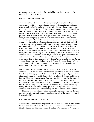conviction that already they hold the hated white men, their masters of today - *or of yesterday?* - in their power.

(64. See Chapter III, Section 10.)

Then there is that catchword of "abolishing" unemployment, "providing" employment - that is to say, superfluous, useless work, since there is no longer any essential, profitable, useful work to be had in these conditions - and no one admits to himself that the cost of this production without a market, of these faked Potemkin villages in an economic wilderness, must some time be made good by means of "fiscal Bolshevism" (which includes provision of fictitious means of payment) from the relics of the healthy peasant class and urban society. Then, again, there is dumping, by means of systematic depreciation of the currency, whereby one particular country seeks to maintain a market for its products at the expense of others. This is at bottom a false and too easy miscalculation of real wages and real costs of production by which the buyer is deceived and of which, once more, what is left of the property of the rest of the nation has to bear the costs in the form of depreciation of values. But the fall of the pound, a huge sacrifice for England's pride, did not diminish the number of the unemployed - no, not by one man. There is only one form of dumping which has its natural roots in economic life and is therefore successful, the form of cheaper wages and greater output of labour. This is the basic reason for the destructive influence of Russian exports and of the factual superiority of "coloured" areas of production like Japan, whether they are engaged in industry or agriculture and whether they are killing white production by their own exports or by exporting themselves or by keeping home products so cheap as to exclude imports.

Finally there is the last desperate measure resorted to by the mortally stricken economies of nations: *autarchy* - or whatever big word may be chosen to describe this attitude of the dying animal. It manifests itself in the reciprocal putting down of economic barrages by political methods, by hostile tariffs, import prohibitions, boycotts, blockage of currency transfers, and everything else that has been or will be invented to establish a "state of siege" that almost represents actual war conditions and may one day put it into the heads of the militarily stronger powers that such gates may possibly be opened and economic capitulation enforced by a timely allusion to tanks and bombing squadrons. For, again be it said: the economic system is no self-contained kingdom; it is inseparably bound up with world politics; it is unthinkable without a strong foreign policy, and therefore, in the last resort, it is dependent upon the military strength of the country in which it lives or dies. [65]

# (65. *Politische Schriften*, pp. 325 et seq.)

But what is the sense of defending a fortress if the enemy is *within* it, if *treason* in the form of class war leaves it doubtful whom and what one is really defending? Here lie the real and difficult problems of our time. But the *raison d'être* of grave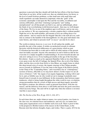questions is precisely that they should call forth the best efforts of the best brains. And when we see how, all the world over, they are whittled down, *lied* down, to the level of small fictitious problems, so that small men with small ideas and small expedients can make themselves important; when the "guilt" of the economic catastrophe is laid upon the War and the war debts, on inflation and currency difficulties, and when "returning to prosperity" and "ending unemployment" are all that people can find to say, and say unblushingly, about the finale of an overwhelming world-historical epoch - then may we well despair of the future. We live in one of the mightiest ages in all history, and no one sees, no one realizes it. We are experiencing a volcanic eruption that is without parallel. Night has set in, the earth trembles, and streams of lava are rolling down over entire nations - and we send for the fire-brigade! But this is the mob all over, mob rule in contrast to the handful of the thoroughbreds. It is the great individuals who *make* history, and whatever presents itself "*en masse*" can only be its *object*.

The world-revolution, however, is *not* over. It will outlast the middle, and possibly the end, of the century. It strides on unchecked towards its ultimate decisions with the historical ruthlessness of a great destiny which no past Civilization has been able to evade and to which all white nations of the present must inevitably succumb. Anyone who announces its end or believes that he has overcome it is simply incapable of understanding it. Its most forceful decades are only now setting in on us. Every leading personality in the age of the Gracchan Revolution - Scipio as much as his opponent Hannibal, Sulla no less than Marius every great event, the fall of Carthage, the Spanish Wars, the revolt of the Italian allies, and the slave-revolts from Sicily to Asia Minor, are simply forms in which this deep inward crisis of society, the organic structure of the Culture-peoples, moves towards its fulfilment. It was the same in the Egypt of the Hyksos period, in the China of the "Contending States," and everywhere else in "contemporary" sections of history, [66] little as we may know about it. In this respect we are all slaves of history's "will," the organs of an organic happening, working with it and for it; and, as Schiller says, he who would set out to manage it prudently must himself train it towards its non-fulfilment. In this tremendous duel between major tendencies, which is being fought throughout the white world in wars, revolutions, strong personalities that are vessels of high success and deep tragedy, powerful but fugitive creations, the offensive comes at present from below, from the city masses, and the defensive from above is still feeble and lacks the good conscience which necessity brings. The end will be in sight only when the relation is inverted. And this is near at hand.

#### (66. *The Decline of the West*, II, pp. 410-11, 416, 427.)

In such times there are, under whatever names, two *natural* parties, two fronts in the class war, two internal forces and tendencies, and *only* two, no matter how many party organizations exist or whether such exist at all. There is proof of this in the progressive Bolshevization of the masses in the United States, in the Russian style that informs thoughts, hopes, and wishes. That *is* a party. [67] So far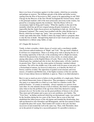there is no focus of resistance against it in that country, which has no yesterday and perhaps no morrow. The brilliant episode of the dollar and dollar society, starting from the War of Secession in 1865, seems to be approaching its end. Will Chicago be the Moscow of the New World? In England the Oxford Union, which is the principal students' club of the most aristocratic university in the country, has passed by a sweeping majority the resolution: "that this House will in no circumstance fight for King and Country." What this signifies is the end of the mentality which has up till now reigned among all party-formations. It is not impossible that the Anglo-Saxon powers are beginning to fade out. And the West-European Continent? The country least troubled with this white Bolshevism is - Russia, which has no longer any "party," but a governing "horde" of the old Asiatic type under that name. Neither is there any longer faith in a program; there is only the fear of death - through being deprived of one's food-card or one's pass, banishment to a labour camp, bullet, or rope.

#### (67. Chapter III, Section 9.)

Vainly, in their cowardice, whole classes of society seek a conciliatory middle class between radical tendencies of "Right" and "Left." The age itself is Radical. It will have no compromises. There is no doing away with or denying the *fact* of the existing superiority of the Left, or the awakening will to a Right movement, which for the present has a footing only in close circles, in certain armies, and, among other places, in the English House of Lords. That is why the English Liberal party has vanished and why its heir, the Labour party, will also vanish in its present form. That is why the centre parties in Germany vanished without resistance. The will to the middle way is the senile wish for peace at any price, for a Switzerland of nations, for *historical abdication*, as if thereby the blows of history could be avoided. The opposition of graded social structure and town masses, of tradition and Bolshevism, of the higher existence of the few and the lower of mass labour (however labelled), is upon us. There is no third alternative.

But it is just as much an error to believe in the possibility of a single party. Parties are Liberal-Democratic forms of *Opposition*. They presuppose a counter-party. *One* party is as impossible in a State as is one State in a stateless world. The political frontier - of country or mentality - always separates *two* powers from each other. It is the infantile disease of all revolutions, this belief in a triumphant unity when in fact the problem of the age from which they themselves spring *demands discord*. Not in this wise are the great problems of history to be solved. They must and will mature and so pass on to new problems, new battles. The "*Total State*," an Italian catchword which has an international vogue, was realized by the Jacobins during the two years of the Terror. But as soon as they had annihilated the fallen powers of the old régime and founded the dictatorship, they split up themselves into Girondists and Montagnards, and the first-named of these occupied the place left vacant. Their leaders fell victims to the Left, but their successors in turn treated the Left in the same way. Then, with Thermidor, there set in the period of waiting for a successful general. It is possible to destroy a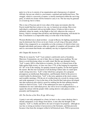party in so far as it consists of an organization and a bureaucracy of salaried officials, but not one which is a movement, a spiritual and intellectual force. The struggle, which is a necessity of nature, is merely transferred within the surviving party, in which two fronts will be formed to carry it on. The fact may be gainsaid or covered up, but it is there.

This is true of Fascism and of every other of the many movements after the Fascist model that have arisen or (as, say, in America) are arising. Here every individual is confronted with an inevitable choice. It behoves him to know definitely where he stands, on the Right or the Left; otherwise the course of history, which is stronger than all theory and ideological dreaming, will decide for him. Conciliation is as impossible today as in the time of the Gracchi.

Western Bolshevism is dead nowhere - except in Russia. Its fighting organizations may be destroyed, but it lives on in new forms: as Left wing of the party which thinks it has conquered it; as a mentality as to the existence of which in their own thought individuals and masses alike are capable of complete self-deception; [68] and as a movement that breaks out suddenly one day in organized forms.

#### (68. Chapter III, Section 10.)

What do we mean by "Left"? Last century's catchwords such as Socialism, Marxism, Communism, are out of date; they no longer mean anything. We use them to avoid disclosing where we really stand. But the age demands clarity. "Left" is party, [69] is what believes in parties, for this is a Liberal form of the fight against high society, of class war since 1770, of the longing for majorities, for "all" to be in the running, for quantity instead of quality, for the herd against the master. But the true Caesarism of all declining Culture takes its stand upon small, strong *minorities*. "Left" is that which has a program, for a program presupposes an intellectual, Rationalistic, and Romantic belief in the power to control reality by abstractions. "Left" is the noisy agitation at the street corners and in public meetings, [70] the art of overthrowing city crowds by strong words and weak arguments: it was in the time of the Gracchi that Latin prose developed into that oratorical style which is good for nothing but the hair-splitting rhetoric which we find in Cicero. "Left" is the enthusiasm for mass in general as a foundation for one's individual power, the will to level everything distinctive, to equate the artisan with the people while casting derisive side-glances at the peasantry and bourgeoisie.

# (69. *The Decline of the West*, II, pp. 449 et seq.)

A party is not only antiquated as a form; its basis is also a mass ideology that is already antiquated, it sees things from below, it runs after the thought of the majority. "Left" is, finally and above all, lack of respect for property - although no race has so strong an instinct of possession as the Germanic, and that precisely because it has been the strongest-willed of all historical races. Will-to-possession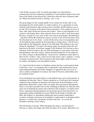is the Nordic *meaning of life*. It controls and shapes our whole history, commencing from the conquering expeditions of semi-mythical kings down to the form of the family at the present day, which dies when the idea of property fades out. Where the instinct for this is lacking, "race" is not.

The great danger for the coming middle of our century lies in this, that we are prolonging the life of that which we could overthrow. It is a generation of semisolutions and transitions. But as long as this is possible, the Revolution is *not* at an end. The Caesarism of the future will not persuade, it will conquer by force of arms. Only when all this has become self-evident - when we feel majorities to be a pretext, and despise them; when someone arises who is able to look down upon the mass, on party in every sense of the word, and on all programs and ideologies - only then will the Revolution have been overcome. Even in Fascism there exists the Gracchan fact of two fronts - on the left the lower-class town population and on the right the nation graded up from peasantry to ruling classes - but the fact is kept under by the Napoleonic vigour of one individual. This polarity is not, and cannot be, liquidated, [71] and it will emerge again, the moment when this iron hand leaves the helm, in the bitter struggle of his Diadochi. For Fascism is also a transition. It had its origin in the city mobs and began as a mass party with noise and disturbance and mass oratory. Labour-Socialist tendencies are not unknown to it. But so long as a dictatorship has "social service" ambitions, asserts that it is there for the "worker's" sake, courts favour in the streets, and is "popular," so long it remains an interim form. The Caesarism of the future fights solely for power, for empire, and against every description of party.

(71. Apart from the fact that in a Southern country that has a semi-tropical mode of life and a "race" to correspond, that is industrially weak and therefore has an undeveloped proletariat, the Nordic sharpness of opposition does not exist. In such a country as England, for instance, this kind of Fascism could neither arise nor maintain itself.)

Every ideological movement believes in the definitiveness of its achievements. It repudiates the idea that "after it" history should go on. It still lacks the Caesarian scepticism and contempt for humanity, the deep sense of the fleetingness of all phenomena. Mussolini's creative idea was grand, and it has had an international effect: it revealed a possible form for the combating of Bolshevism. But this form arose out of imitating the enemy and is therefore full of dangers: revolution from below, organized and participated in for the greater part by men from below; an armed party-militia, paralleled in Caesar's Rome by the bands of Clodius and Milo; the tendency to subordinate intellectuals and economic leadership to executive working-out because of an inability to understand it; to disregard other's property, to confuse the conceptions of nation and mass - in a word, the Socialistic ideology of last century.

This all belongs to the past. What anticipates the future is not the being of Fascism as a party, but simply and solely the figure of its creator. Mussolini is no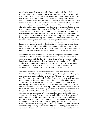party leader, although he was formerly a labour leader; he is the *lord* of his country. Probably his prototype Lenin would also have arrived at that point had he lived longer, for he certainly had a cool ruthlessness *vis-à-vis* his party and he had also the courage to lead the retreat from ideologies of every kind. Mussolini is first and foremost a statesman, ice-cold and sceptical, realist, diplomat. He does in very truth rule alone. He sees *everything* - and that is the rarest gift in an absolute ruler. Even Napoleon was isolated by his entourage. The most difficult victories of a ruler, and the most *essential*, are not those won over enemies, but those won over his own supporters, the praetorians, the "Ras," as they are called in Italy. That is the best of the born ruler. He who does not know this and has neither the power nor the courage for it swims like a cork on the waves, on the summit and yet impotent. The perfection of Caesarism is dictatorship - not the dictatorship of a party, but that of one man against all parties, and, most of all, above his own. Every revolutionary movement reaches its victory with a vanguard of praetorians - who are henceforth of no more use, but merely dangerous. The *real* master is known by the manner in which he dismisses them, ruthlessly and without thanks, intent only on his goal, to reach which he must first pick his men - and this he knows how to do. The French Revolution ran contrary to this in the beginning: no one had the power, everyone wanted it; everyone commanded, no one obeyed.

Mussolini is a master-man with the Southern cunning of the race in him, like the condottieri of the Renaissance, and is therefore able to stage his movement in entire consonance with the character of Italy - home of opera - without ever being intoxicated by it himself, though even Napoleon was not quite free from this weakness, and in the case of Rienzi, for instance, it was fatal. When Mussolini appeals to the Prussian archetype, he is right: he is far less closely related to Napoleon than to Frederick the Great, and even to Frederick's father.

I have now reached the point when the definitive word must be said about "Prussianism" and "Socialism." In 1919 I compared the two, the one a living *idea* and the other the catchword of a whole century, [72] and was - I am tempted to add: "of course" - not understood. People no longer know how to read - this great art, still known in the age of Goethe, has died out. They skim printed pages "mass-wise," and, as a result, the reader demoralizes the book. I showed that in the working class, as Bebel welded it into a powerful army, in its discipline and loyal subordination, its good comradeship, its readiness for the ultimate sacrifice, there still lived that Old-Prussian "style" which first proved itself in the battles of the Seven Years' War. What mattered then was the *individual* Socialist as a character, his "moral imperative," not the Socialism hammered into his head, which was a wholly un-Prussian mixture of foolish ideology and vulgar greed. I pointed out also that this type of *being "in form" for a task* was a tradition going back to the Teutonic Order, by which in the Gothic centuries - as again today - the frontier guard of the Faustian Culture was kept up against Asia. This ethical attitude, unconscious as is every genuine life-style, and therefore to be awakened and trained only by living example and not by talk and writing, stood forth in its splendour in August 1914 - the army had trained Germany - and was betrayed by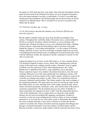the parties in 1918 when the *State* went under. Since then this disciplined will has again raised its head in the National movement; not in its programs and parties, but in the ethical attitude of an élite, as individuals; [73] and it is possible that, starting from this foundation, the German people may by perseverance be slowly trained for its difficult future. This is essential if we are not to succumb in the battles that lie ahead.

# (72. *Politische Schriften*, pp. 1 et seq.)

# (73. In 1924 I tried to describe this attitude in my *Politische Pflichten der deutschen Jugend*.)

But the shallow-minded cannot get away from the Marxian thought of last century. Throughout the world they think of Socialism not as a moral attitude of life but as economic Socialism, Labour Socialism, as a mass ideology with material aims. Program Socialism of every sort is thinking from below, building on base instincts, canonizing the herd-feeling which everywhere today lurks behind the slogan of "overcoming individualism"; it is the contrary of Prussian feeling, which has *livingly experienced* through exemplary leaders the necessity of disciplined devotion and possesses accordingly the inward freedom that comes with the fulfilment of duty, the ordering of oneself, command of oneself, for the sake of a great aim.

Labour-Socialism in every form, on the other hand, is, as I have already shown, [74] definitely English in origin. It arose, about 1840, simultaneously with the victory of the joint-stock company and the rootless "financial" form of capital. [75] Both were the expression of Free Trade Manchesterism: this "white" Bolshevism is capitalism from below, wage-capitalism, just as speculative finance-capital in respect of its method is Socialism from above, from the stock exchange. Both grew out of the same intellectual root: thinking in money, [76] trading in money on the pavements of the world's capitals, whether as wage-levels or profits on exchange rates makes no odds. There is no contradiction between economic Liberalism and Socialism. The Labour market is the stock exchange of the organized proletariat. The trade unions are trusts for forcing up wages on the lines followed by oil, steel, and bank trusts of the Anglo-American type, whose finance-Socialism penetrates, dominates, sucks, and controls them to the point of systematic expropriation. The devastating *dispossessing* effect of bundles of shares and bonds, the separation of mere "credit" from the responsible directive work of the entrepreneur, who no longer knows to whom his work actually belongs, has not received anything like adequate consideration. Productive economy is in the last resort nothing but the will-less object of stock-exchange manoeuvres. It was only the rise of the share system to domination that enabled the stock exchange (formerly a mere aid to economy) to assume the decisive control of economic life. Finance-Socialists and trust magnates like Morgan and Kreuger correspond absolutely to the mass-leaders of Labour parties and the Russian economic commissars: dealer-natures with the same parvenu tastes. From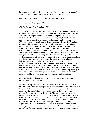both sides, today as in the days of the Gracchi, the conservative forces of the State - army, property, peasant, and manager - are being attacked.

(74. Chapter III, Section 13; *Politische Schriften*, pp. 75 et seq.)

(75. *Politische Schriften*, pp. 139 et seq., 269.)

(76. *The Decline of the West*, II, p. 456.)

But the Prussian style demands not only a mere precedence of higher policy over economics; it demands that the economic life should be *disciplined* by a powerful State, which is the precondition of free initiative in private enterprise - for, whatever else it may be, it is *not* a mere super-party, complete with program and ready to press organization to the point of abolishing the idea of property (*Eigentum*); which, precisely among Germanic peoples, denotes *freedom* of the economic will, and lordship over that which is one's own. [77] "Disciplining" is the training of a racehorse by an experienced rider and not the forcing of the living economic body into the strait-jacket of an economic plan or its transformation into a press-the-button machine. "Prussian" is also the *aristocratic* ordering of life according to the grade of achievement. Prussian is, above all, the undisputed precedence of foreign policy, the successful steering of the State in a world of states, over internal policy, which exists solely to keep the nation in form for this task and becomes mischievous and criminal as soon as it begins to follow independently its own ideological aims. Herein lies the weakness of most revolutions, whose leaders, having risen through demagogy and learnt nothing else, are unable to find their way from thinking on party lines to thinking in terms of statesmanship. This was the case with Danton and Robespierre. Mirabeau and Lenin died too soon, Mussolini was successful. But the future belongs to the great fact-men, now that the world-improvers, who have preened themselves on the stage of world history since Rousseau, have vanished and left no trace.

(77. The Old-Germanic word *eigan* means *to rule*; not only to *have* something, but to be in absolute control of it.)

Prussian is, lastly, a character which disciplines itself, such as that of Frederick the Great, which he himself paraphrased as consisting in being the First Servant of the State. Such a servant is no lackey, but when Bebel opined that the German people had the soul of a lackey, he was right as far as the majority were concerned. His own party proved it in 1918. The lackeys of success are more numerous with us than elsewhere, although they have in all ages and all nations crowded the herd of humanity. It is a matter of indifference whether Byzantinism performs its orgies before money-bags, political success, a title, or merely Gessler's hat. When Charles II landed in England, there were suddenly no Republicans left. To be a servant of the State is an *aristocratic* virtue, of which few are possessed. If this is "Socialistic," it is a proud and exclusive Socialism for men of race, for the elect of life. Prussianism is a very superior thing which sets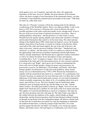itself against every sort of majority- and mob-rule; above all, against the dominance of the mass *character*. Moltke, the great educator of the German officer, the finest example of true Prussianism in the nineteenth century, was thus constituted. Count Schlieffen summed up his personality in the motto: "Talk little, do much, be, rather than seem."

This idea of a "Prussian" existence will be the starting-point for the ultimate overthrowing of the World Revolution. There is no other possibility. I said, as far back as 1919: Not everyone is a Prussian who is born in Prussia; the type is possible anywhere in the white world and actually occurs, though rarely. It lies at the root of the *provisional* form of national movements everywhere - there is nothing definitive about them - and the question is to what extent it can be liberated from the quickly ageing, popular, party-democratic elements of Liberal and Socialist Nationalism that control it, for the time being. The silent national feeling of the English about 1900, which today has begun to waver, the boastful, shallow chauvinism of the French, so noisily in evidence in the Dreyfus Affair, were both of this order and found support, the one in the cult of the navy, the other in the army. America possesses nothing of this kind - "hundred-per-cent American" is a phrase - but she needs it if she is to endure as a nation at all after the approaching crash between crouching Communism and the high finance which is already undermined. The Prussian idea is opposed to finance-Liberalism as well as to Labour-Socialism. Every description of mass and majority, everything that is "Left," it regards as suspect. Above all, it is opposed to any weakening of the State and to the desecrating misuse of it for economic interests. It is conservative and "Right," and it grows out of whatever fundamental lifeforces still exist in Nordic peoples: instinct for power and possessions; for possessions *as* power; for inheritance, [78] fecundity, and family, which three belong together; for distinctions of rank and social gradation, whose mortal enemy was (or is) Rationalism from 1750 to 1950. Present-day Nationalism is, together with the monarchical idea latent in it, a transition. It is a preliminary step towards Caesarism, no matter how far away that may seem. It is there that we find abhorrence of all Liberal and Socialist party systems, of every kind of popularity (which invariably compromises the object of it), of everything which rises up in masses and will have its say. This trait, though it may be buried deep under tendencies more in keeping with the age, has the future on its side - and the future's leaders. All really great leaders in history go "Right," however low the depths from which they have climbed. It is the mark of the *born* master and ruler. This applies to Cromwell and Mirabeau as much as to Napoleon. The riper the age, the more prospects does this road open up. The elder Scipio went under in the conflict between the traditions of his origins, which forbade an illegal dictatorship, and the historical position which he had obtained (without desiring it) through saving Rome from the Carthaginian danger. He died in a distant land. At that time the revolutionary movement was only just beginning to undermine the tradition-bound forms, so that the younger Scipio had still a very weak position against the Gracchi, but Sulla's was already a very strong one against Marius, and finally Caesar, who had begun as a Catilinarian, met with no more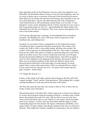party opposition at all, for the Pompeians were not a party, but supporters of an individual. The World Revolution, strong as it may be at the beginning, ends, not in victory or defeat, but in *resignation* on the part of the forward-driven masses. Their ideals are not refuted, but merely become boring, and eventually no one can be excited about them. Anyone who talks about the end of the "bourgeoisie" writes himself down as still a proletarian, and the future is not for him. A "nonbourgeois" society can be maintained only by a Terror, and only for a few years at that, for presently people are sick of it - and incidentally the labour leaders will meanwhile have become new bourgeois. This is not a process that appeals to the taste of true leader-natures.

(78. From the inherited farm, workshop, or old-established firm to hereditary monarchy. The Republic has, from 1789, been a form of *opposition* to the hereditary idea, and nothing more.)

Socialism of every kind is today as antiquated as its first Liberal form and as everything else that is connected with party and program. The century of the worker cult, 1840 to 1940, is irrevocably ending, and those who acclaim "the worker" at this stage have no understanding of the time. This worker is stepping back into the whole of the nation, no longer its spoilt nurseling, but as the lowest grade in an urban society. The *contrasts* worked up in the class war will again become the permanent differences [79] of high and low, and will be accepted as such. It is the resignation of the Imperial period in Rome, the period in which there were no economic problems of this nature left. But how much can be destroyed and levelled down in the final stages of world anarchy! So much, indeed, that in certain white nations there will be no material left from which a Caesar could create his structure, his *army* - for armies will in future take the place of parties - and his State.

(79. Chapter III, Section 11.)

Is there, in that which in all white countries that took part in the War calls itself (vaguely enough) "Youth" and the "front-generation," [80] anything like a weightcarrying foundation for such men and for the tasks of the future?

(80. Does this mean the men who were twenty to fifty in 1918, or those who are twenty or thirty years old today?)

The profound shock of the Great War, which swept away everyone's lazy illusions of security and of progress being the meaning of history, is nowhere more evident than in the spiritual chaos left in its wake. The fact that we are not in the least aware of this and believe that we carry within us a new order is the best possible proof of its existence. To those who were born about 1890 the sight of a really commanding figure has been denied. The figures of Bismarck and Moltke, not to speak of those of other countries, had already vanished in the mists of a historical literature. They might have formed a standard for real greatness, but not without a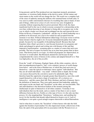living present; and the War produced not one important monarch, prominent statesman, or victorious battle-thinker at the decisive point. All the statues and street-names in the world will not change the fact. The result was a complete lack of the sense of authority among the millions who returned home on both sides. It was seen in youth's unrestrained criticism of everything that came to hand, of men and of things, while never a trace of *self-criticism* was seen. It laughed at yesterday without suspecting that its power persisted. Most of all, the chaos manifested itself in the way in which everyone screamed for a dictatorship on his own lines without knowing of any dictator or being able to recognize one, in the way in which a leader was chosen and worshipped one day and rejected the next - Primo de Rivera, d'Annunzio, Ludendorff - and the way in which leadership was a problem to be discussed, not a fact to be waited for and accepted from the moment it was there. Political dilettantism talked large. Everyone wrote to tell his future dictator what he ought to do. Everyone demanded discipline from other people, because he was incapable of disciplining himself. Because they had forgotten what a State's governor is, men became hysterical over programs and ideals and plunged in speech and writing into wild dreams of this and that imperative transformation - assuming quite as a matter of course that such were possible. The lack of respect for history has at no time been greater than in these years. That history had its *own* logic, on which all programs are shipwrecked, no one knew or would admit. But Bismarck attained his end because he had comprehended the course of history in his century and adapted himself to it. That was high policy, the art of the *possible*.

From the "youth" of Germany, England, Spain, all the white countries, who in their incomprehension hoped to "end" a two centuries' process of world change from below - and in the form of Bolshevism, of which they had such store in themselves - came the typical revolutionary outcry against "individualism." But they are all small individuals - very small - without talent or depth, but for that very reason obsessed by the convulsive need to be admittedly right. They therefore hated the superiority of people greater than themselves, men who could regard themselves with at least a tinge of scepticism. *All revolutions are humourless* - and this causes their fall. Petty obstinacy and lack of humour: that is the definition of fanaticism. They were quite unaware that leadership, authority, and respect on the one hand, and "Socialism" on the other, are irreconcilable. This anti-individualism is the theoretical fashion of the moment among the intellectuals-in-spite-of-themselves of all white countries. Yesterday it was individualism that was the mode, and as a matter of fact there is not so much difference between the two. Feeble as is this type of *Geist*, it is the only one they possess. It is the megalopolitan "literariness," nothing more, and anything but novel; for the Jacobins had already talked themselves hoarse over it. Lack of intelligence is not quite a good enough weapon wherewith to defeat Rationalism.

And in what does it consist, the "Socialism" of these heroes who take the field against the freedom of personality? It is the impersonal Asiatic collectivism of the East, the spirit of the great plains [81] in association with the Western *levée en*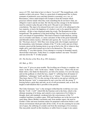*masse* of 1792. And what in fact is it that is "in revolt"? The insignificant, with number as their sole power. There is a great deal of underground Slav in them; remnants of prehistoric races and their primitive reasoning; *envy*, too, of Russianness, whose undeveloped will exempts it from the torment which possesses inferior minds when they want something but do not know what, are obliged to want it and do not dare. He who has not the courage to be the hammer must be content to play the part of the anvil. The part is not without its consolations. The urge to be released from one's own will, to be submerged in the lazy majority, to know the happiness of a lackey's soul, to be spared the master's anxieties - all this is here disguised under big words. The Romanticism of the insignificant! The apotheosis of the herd-feeling! The last final way to idealize one's own dread of responsibility! This kind of hatred of individualism, arising out of cowardice and shame, is a mere caricature of that of the great fourteenthand fifteenth-century mystics, with their anti-egoism, the "*Lassen der Ichheit*" of the "*Theologie deutsch*." [82] They were strong souls who livingly experienced the tremendous, truly Germanic solitude of the "I" in the world, and out of their torment conceived the burning desire to go up in God or the All or whatever they might call it, and which turned out in fact to be themselves. The *strong, unbending* "I" was their destiny. Every attempt to overstep its boundary merely showed that it had none. Today there is a simpler method: one turns "Socialist" and runs down the "I" of other people.

(81. *The Decline of the West*, II, p. 295, footnote.)

(82. Ibid., p. 292.)

One's own "I" gives no more trouble. The levelling out of brains is complete: one meets "in the mass," wills "in the mass," thinks "in the mass." Those who do not think with it, who think for themselves, are felt to be enemies. It is now the mass, and not the godhead, in which the lazy, stupid "I," suffering from all manner of inhibitions, "submerges" itself: and that, too, is "release." It is almost mystical. They knew that in 1792. It is the craving of the mob to run and act with the rest. But the Prussian "style" is renunciation by one's own free will, the strong "I" bowing before a great duty and task, an act of self-government, and, as such, the height in individualism that is possible in the present.

The Celtic-Germanic "race" is the strongest-willed that the world has ever seen. But this "I will - I will!" which fills the Faustian soul to the brim, which is the ultimate meaning of its being, and controls every expression of its Culture in thought, deed, and standards, awakened also the consciousness of the "I's" complete loneliness in endless space. Will and loneliness are in the last resort the same thing. Hence Moltke's taciturnity and, from another aspect, the need in Goethe's softer and more feminine nature for perpetual confessions before a selfchosen environment which pervades all his works. It was the yearning for an echo out of space, the suffering of a tender soul from the monologue of its existence. One may pride oneself on this loneliness or suffer from it; escape it one cannot.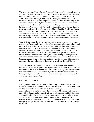The religious man of "eternal truths," such as Luther, sighs for grace and salvation from this fate, fights it, even defies it. But the political man of the North develops out of it a gigantic *defiance of reality*: "Thy trust is in thy sword more than in Thor," says an Icelandic saga. If there is such a thing as individualism in the world, it is this of an individual defying the whole universe, his knowledge of his own unbending will, his delight in ultimate decisions and love of destiny itself even at the moment when it is breaking him. And being "Prussian" consists in bending of one's own *free* will. The worth of the sacrifice lies in the fact that it is *hard*. If a man has no "I" to offer up, he should not talk of loyalty. He merely runs along behind someone on to whom he has shifted the responsibility. If there is anything that *should* amaze us today, it is the poverty of the Socialist ideal by which it is hoped to save the world. This is no release from the forces of the past; it is the continuation of their worst tendencies. It is *cowardice* in the face of life.

True - truly *Prussian* - loyalty is what the world most needs in this age of great catastrophes. We can only lean on what offers resistance. It is on the realization of this that the true leader takes his stand. A leader who has risen from the masses must know, better than most, that masses, majorities, parties, are no genuine liegemen. They merely want advantages. They leave their leader in the lurch as soon as he demands sacrifices. If he thinks and feels as a product of the mass, history will treat him as a mere demagogue. It is the parting of the ways to Left and Right: the demagogue lives with the masses always as one of themselves; the born ruler can use them, but he despises them. He fights his most difficult battles, not against the enemy, but against the swarm of his all-too-devoted friends.

This is why *armies*, and not parties, are the future form of power; unselfish, devoted armies, such as Napoleon never possessed after Wagram. His old soldiers were reliable; not so his senior officers - and the value of any army depends in the first place on these. [83] They came to regard him not as the commander but as the perpetual giver. Once the required sacrifices outweighed the advantages, it was all up with the Grand Army.

(83. Chapter II, Section 7.)

It is high time that the "white" world, and Germany in the first place, should consider these facts. For behind the world wars and the still unfinished proletarian world-revolution there looms the greatest of all dangers, the *coloured* menace, and it will require every bit of "race" that is still available among white nations to deal with it. Germany, of all countries, is not an island, as the political ideologues who would make it the object of their programs seem to imagine. It is but a small spot in a great, fermenting world, though undoubtedly a spot in a decisive position. But it alone has Prussianism as a fact within itself. With this treasure of exemplary Being it may become the "educator" of the "white" world, and perhaps its saviour.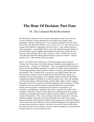# **The Hour Of Decision: Part Four**

# IV. The Coloured World-Revolution

The Western Civilization of this century is threatened, not by one, but by two world revolutions of major dimensions. In *both* their real compass, their profundity, and their workings have so far escaped recognition. The one comes from below, the other from without: *class war and race war*. The one now lies to a large extent behind us, although its decisive blows - in the Anglo-American zone, for instance - are probably still to come. The other first became definite in the World War, and it is rapidly acquiring direction and form. In the next few centuries both will fight side by side, *possibly as allies*: it will be the severest crisis through which the white peoples will have to pass in common - whether united or not - if they intend to have any future.

Such a "revolution from without" has set itself up against each of the past Cultures also. It has arisen invariably among the hopeless downtrodden races of the outer ring - "savages" or "barbarians" - who were exploited without means of redress by the unassailable superiority of a group of Culture-nations which had reached high maturity in their political, military, economic, and intellectual forms and methods. This "colonial style" is present in every High Culture. But such hatred did not exclude a secret contempt for the alien life-form, which, as it gradually became more familiar, was scoffingly analysed and in the end boldly evaluated according to the limits of its efficacy and no more. They, the outsiders, saw that many things could be imitated, and that others either could be rendered innocuous or were not so potent as had been supposed in the first panic. [1] They looked on at the wars and revolutions occurring within this world of ruling nations and were perforce initiated into the mysteries of armaments, [2] economics, and diplomacy, and thus came at last to question the reality of the foreigners' superiority. And once they detected a weakening in those foreigners' resolution to command, they began to reflect on the possibilities of attack and victory for themselves. Thus it was in China in the third century B.C., when the barbarous peoples north and west of the Hwang Ho and south of the Yangtzekiang were drawn into the decisive battles of the great powers, and in the Arabian world of the time of the Abbassids, where Turkish-Mongolian races appeared first as mercenaries and then as masters. And thus it was in the Classical Age above all, where we have an exact picture of events, which resemble at every point those towards which we are irrevocably moving.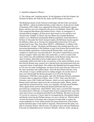### (1. Jugurtha's judgment of Rome.)

(2. The Libyans and "seafaring nations" by the Egyptians of the New Empire, the Germans by Rome, the Turks by the Arabs, and the Negroes by France.)

The Barbarian attacks on the Classical world begin with the Celtic movements after 300 B.C., which invariably had Italy as their objective. In the decisive battle of Sentinum (295), Gallic races supported the Etruscans and Samnites against Rome, and they were also employed with success by Hannibal. About 280, other Celts conquered Macedonia and northern Greece, where, in consequence of internal political struggles, all State power had ceased to exist, and they were checked only at Delphi. In Thrace and Asia Minor they founded Barbarian empires over a Hellenized and partially Hellenic population. Somewhat later in the East of Alexander the Great's decayed empire, the Barbarian reaction against the Hellenic culture set in, forcing it by innumerable insurrections [3] to give ground step by step. Thus, from about 100 B.C. a Mithridrates, in alliance with South Russian "savages" (Scythians and Bastarnae) and counting upon the everincreasing determination of the Parthians to push from Eastern Iran towards Syria, had reasonable expectations of destroying the Roman State, in the chaotic condition to which class wars had reduced it. Not until it reached Greece was his advance stopped. Athens and other cities joined him, as well as certain Celtic races which were still established in Macedonia. In the Roman armies there was open revolution. Individual sections fought against each other, and the commanders killed each other in the very presence of the enemy (Fimbria). It was then that the Roman army ceased to be a national body and transformed itself into a personal retinue of individuals. The soldiers that Hannibal had led against Rome in 218 were not really Carthaginians, but drawn in the main from the wild races of the Atlas mountains and southern Spain. And with those Rome had later, from 146 onward, to wage a terrible and never-ending struggle. (It was the losses of these wars that brought the Roman peasantry to revolt in the Gracchan disturbances.) With these same peoples, later still, the Roman Sertorius attempted to found a State in opposition to Rome. After 113 B.C. there came the Celtic-Germanic onset of the Cimbri and Teutones, which was only repulsed after whole Roman armies had been wiped out by the revolutionary leader, Marius, and he again had just returned from his victory over Jugurtha, who had armed Northern Africa against Rome and by bribing the Roman politicians had for years prevented any counteraction. About 60 B.C. there came a second Celtic-Germanic movement (Suevi, Helvetii), to forestall which Caesar conquered Gaul, and at the same time Crassus was defeated and killed by the Parthians. But that was the end of *reaction by expansion*. Caesar's plan for reconquering the Alexandrian Empire and thereby removing the Parthian menace was never carried out. Tiberius had to set back the frontier in Germany after it had proved impossible to replace the troops annihilated in Varus' defeat and the first great insurrection of the frontier legions had taken place on the death of Augustus. Thenceforward the policy was that of systematic defence. But the army was taking in more and more Barbarians. It became an independent power. Germans, Illyrians, Africans, Arabs, sprang up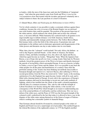as leaders, while the men of the *Imperium* sank into the Fellahdom of "perpetual peace." And when the great attacks came from North and West, it was *not the civil population alone* that treated with the invaders and passed voluntarily into a subject relation to them: the Late pacifism of a tired Civilization.

### (3. Eduard Meyer, *Blüte und Niedergang des Hellenismus in Asien* (1925).)

Yet for whole centuries it was possible to make a systematic defence against these conditions, because the *orbis terrarum* of the Roman Empire was an enclosed area with frontiers that could be guarded. The position of the present *Imperium* of the white nations, which embraces the whole globe and *includes* the coloured races, is far more difficult. White humanity has scattered itself to all quarters in its ungovernable urge to infinite distance: over both Americas, South Africa, Australia, and innumerable strategic points between. The Yellow-Brown-Black-Red menace lurks *within* the field of the white power. It penetrates into and participates in the military and revolutionary agreements and disagreements of the white powers and threatens one day to take matters into its own hands.

What, then, does the "coloured" world include? Not only Africa, the Indians - as well as the Negroes and half-breeds - of the whole of America, the Islamic nations, China, and India extending to Java, but, above all, Japan and *Russia*, which has again become an Asiatic, "Mongolian" State. When the Japanese beat Russia, a ray of hope shot up all over Asia: a young Asiatic State had, by Western methods, forced the greatest power of the West to its knees and thereby destroyed the aureole of invincibility which surrounded Europe. It was as a beacon, in India, in Turkey, even in Cape Colony and the Sahara. So it *was* possible to pay back the white peoples for all the pains and humiliations of a century! Since then the profound cunning of the Asiatics has been thinking out methods inaccessible to European thought and superior to it. And now Russia, after suffering in 1916 its second great defeat, from the West, has removed its "white" mask, to the mocking satisfaction of its ally England, has again become Asiatic with all its soul, and is filled with a burning hatred of Europe. It took with it the experiences of Europe's internal weakness and used its knowledge to invent new and crafty methods of fighting, which it has instilled into the whole of the earth's coloured population, with the idea of a common resistance. This, side by side with the triumph of Labour-Socialism over Society among the white nations, is the second *real* consequence of the World War which brought us no nearer to understanding any one of the actual problems of world policy and has settled none. This war was a defeat of the white races, and the Peace of 1918 was the first great triumph of the coloured world: symbolized by the fact that today it is allowed to have a say in the disputes of the white states among themselves in the Geneva League of Nations which is nothing but a miserable symbol of shameful things.

That Germans abroad should be ill-treated by coloured people at the orders of English and French was not a surprisingly novel procedure. This method began in the Liberal Revolution of the eighteenth century: in 1775 the English enrolled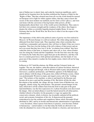men of Indian race to attack, burn, and scalp the American republicans, and it should not be forgotten how the Jacobins mobilized the Negroes of Haiti for the "Rights of Man." But that coloured men from all over the world should be massed on European soil to fight for whites against whites, that they came to know the secrets of the most modern war-methods *and the limits of their efficacy*, and were sent home with the conviction of having beaten white powers, all this fundamentally altered their view of the world's power-distribution. They came to feel their own common strength and the weakness of the others; they began to despise the whites as erstwhile Jugurtha despised mighty Rome. It was not Germany that lost the World War; the West lost it when it lost the respect of the coloured races.

The importance of this shift in the political centre of gravity was first realized in Moscow. In Western Europe it is still not realized. The white ruling nations have abdicated from their former rank. They negotiate today where yesterday they would have commanded, and tomorrow they will have to flatter if they are even to negotiate. They have lost the feeling of the self-evidence of their power and are not even aware that they have lost it. In the "revolution from without" they have ceded the choice of the hour, to America and, above all, to Asia, whose frontier now lies along the Vistula and the Carpathians. For the first time since the siege of Vienna by the Turks they have again been put on the defensive, and they will have to commit great forces, both spiritual and military, into the hands of very great men if they intend to weather the first mighty storm, which will not be long in coming.

In Russia in 1917 both Revolutions, the White and the Coloured, broke out together. The one, the shallow, urban Revolution of Labour-Socialism, rhetorical and literary through and through, with its Western faith in party and program, its *littérateurs*, academic proletarians, and Nihilistic agitators of the Bakunin type, and its alliance with the dregs of the great cities, killed off Petrine society, which was predominantly Western in origin, and staged a noisy cult of the "working man." The technics of the machine, so alien to and hated by the Russian soul, became all at once a god and the meaning of life. But below all this the other Revolution of the muzhik, the village, the true Asiatic form of Bolshevism, was doggedly, silently rising, big with promise. The peasant's eternal hunger for the land, which drove all the soldiers back from the front to take part in the great land-distribution, was the first expression of it. Labour-Socialism soon discovered the danger. After an initial alliance it used the hatred nursed by all urban parties, whether Liberal or Socialist, for the peasantry to wage war against this conservative element, which, in history, has invariably outlasted all the political, social, and economic formations of the city. It dispossessed the peasants, reintroduced in fact the serfdom and compulsory labour which Alexander II had abolished in 1862, and by its hostile and bureaucratic administration of agriculture - every Socialism, when it passes from theory to practice, soon becomes choked in bureaucracy - carried matters so far that today the fields are allowed to run wild, the abundant live-stock of the past has shrunk to a fraction, and starvation of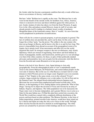the Asiatic order has become a permanent condition that only a weak-willed race, born to an existence of slavery, could endure.

But here "white" Bolshevism is rapidly on the wane. The Marxian face is only worn for the benefit of the outside world, for Southern Asia, Africa, America, where it is desired to let loose and direct rebellion against the white powers. A new Asiatic stratum of rulers has taken over from the Semi-Westerns. It again lives in the villas and palaces around Moscow, keeps its staff of servants, and already permits itself to indulge in a barbaric luxury worthy of predatory Mongolian khans of the fourteenth century. Here is "wealth," in a new form that can be paraphrased in proletarian circumlocutions.

There will also be a return to peasant property, to private property in general. The fact of serfdom does not preclude this, and it can be done; for the *army*, and no longer the civilian "party," has the power. The soldier is the one creature who does not go hungry in Russia, and he knows why this is so and for how long. This power is unassailable from abroad on account of the geographical extent of its empire, but it attacks itself. It has mercenaries and allies all over the world, disguised like itself. Its strongest weapon is the new revolutionary, truly Asiatic diplomacy which acts instead of negotiating, from below and from behind, by means of propaganda, murder, and insurrection, and this gives it a vast advantage over that of the white countries; for these, in spite of their politically-minded advocates and journalists, have not yet quite lost the aristocratic style that derives from the Escorial and counts Bismarck as its last great master.

Russia is the lord of Asia. Russia *is* Asia. Japan belongs to Asia only geographically. From the ethnographical point of view it undoubtedly stands closer to the eastern Malayans, the Polynesians, and certain Indian peoples on the west side of America. But on the sea it is what Russia is on land: lord of a wide domain in which Western powers no longer count. England is not even remotely master of "her" Empire to the same extent, even in the coloured "Crown" colonies. Japan extends her influence over a wide radius. It is felt in Peru and on the Panama Canal. The alleged blood-relationship between Japanese and Mexicans has on occasion been emphasized and toasted on both sides. [4] In Mexico, in the beginning of 1914, leading Indian circles plotted the "Plan of San Diego," having for its object the invasion of Texas and Arizona by an army of Indians, Negroes, and Japanese. The white population was to be massacred, the Negro states were to become independent, and a greater Mexico was to arise as a State for the pure Indian race. [5] Had this plan been carried into execution, the World War would have started with a completely different distribution of the powers and been based on other problems. The Monroe Doctrine, in the form of dollar-imperialism, pointed towards Latin America, would have been wiped out by it. Russia and Japan are today the only *active* forces in the world. Through them Asia has become the decisive element in world happenings. The white powers are actuated by its pressure in their dealings and do not even know it.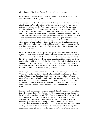## (4. L. Stoddard, *The Rising Tide of Color* (1920), pp. 131 et seq.)

(5. In Mexico City there stands a statue of the last Aztec emperor, Guatemozin. No one would dare to put up one of Cortez.)

This pressure consists in the activity of the Coloured, racial Revolution, which is already using the White Revolution of the class war as its tool. We have already referred to the backgrounds of the economic catastrophe. After the revolution from below in the form of Labour-Socialism had with its weapon, the political wage, made the breach, coloured economy, headed by Russia and Japan, pressed in with the lower wage, and it is now proceeding to complete the destruction. [6] To this must be added political-social propaganda in enormous quantities, the true Asiatic diplomacy of our day. It pervades all India and Japan. It has led in Java and Sumatra to the erection of a race front against the Dutch and the disintegration of army and navy. It pays court, all the way from Eastern Asia, to the highly gifted Indian race living from Mexico to Chili, and it inculcates for the first time in the Negroes a community-feeling that is being directed against the white ruling nations.

(6. When we hear that in Java Japan sells bicycles for less than \$3 and electric light bulbs for less than two cents, while white countries have to ask four times as much even to cover the cost to themselves; when the little Javanese peasant with his wife and family offer the self-harvested sack of rice at half the cost which the modern planter with his white officials is obliged to demand, then indeed we get a glimpse into the abysses of this struggle. Since Western technique is no longer secret and can be copied to perfection, the contrast is no longer in the method of construction, but only in the cost of that production.)

Here, too, the White Revolution has since 1770 been preparing the soil for the Coloured one. The literature of English Liberals like Mill and Spencer, whose trains of thought reach back into the eighteenth century, supplied the "world outlook" to the higher schools in India. And thence the way to Marx was easy for the young reformers themselves to find. Sun-Yat-Sen, the leader of the Chinese Revolution, found it in America. And out of it all there arose a revolutionary literature of which the Radicalism puts that of Marx and Borodin far into the shade.

Like the North American revolt against England, the independence movement in Spanish America, dating from Bolivar (1811), is unthinkable without the Anglo-French revolutionary literature of 1770 - plus the example of Napoleon. At first it was exclusively a struggle between whites, between the landowning Creole aristocracy, which had lived in the country for generations, and the Spanish bureaucracy, which kept up the lordly principle of colonial subordination. Bolivar, a pure-blooded white like Miranda and San Martín, conceived the plan of erecting a monarchy that would be supported by a purely white oligarchy. The Argentinian dictator, Rosas, a powerful figure in the "Prussian" style, also stood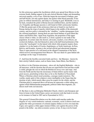for this aristocracy against the Jacobinism which soon spread from Mexico to the extreme South, finding support in the anti-clerical Masonic lodges and demanding universal equality, even of race. With this began the movement of Indians, pure and half-breeds, not only against Spain, but against white blood generally. It has gone on without intermission, and today it is nearing its goal. Humboldt, even so far back, remarked the pride in Iberian descent exhibited there, and the tradition of a Visigothic and Basque ancestry is still found in Chili's aristocratic families. [7] But the greater part of this aristocracy died out or found its way back to Europe during the reign of anarchy which began in the middle of the nineteenth century, and now policy is dictated by the "caudillos," warlike demagogues from the coloured population. Among them are pure-breed Indians of great talent like Juárez and Porfirio Díaz. Apart from Argentina, the proportion of the upper classes which is white, or calls itself so, is from a quarter to one tenth of the population. In certain states the doctors, advocates, teachers, even officers, are exclusively Indians, who feel themselves akin to the half-breed proletariat of the towns (the "mechopelo") in the hatred with which white property inspires them, whether it is in the hands of Creoles, Englishmen, or North Americans. In Peru, Bolivia, and Ecuador, Aymara is the second official and educational language. There is open practice of a cult based on the alleged Communism of the Incas, which receives encouragement from Moscow. The race ideal of a pure Indian rule is perhaps on the verge of realization.

(7. And from the forcibly converted Arabs and Jews - the Marranos - known by their strictly Catholic names, such as Santa Anna, Santa Maria, San Martín.)

In Africa it is the Christian missionary - above all, the English Methodist - who in all innocence, with his doctrine that all men are equal before God and that wealth is sinful, ploughs the soil on which the Bolshevist envoy sows and reaps. And from the North and the East the missionary of Islam follows up his tracks with great success, penetrating in these days as far as the Zambesi in Nyassaland. Where a Christian school stood yesterday, a mosque stands tomorrow. The warlike, manly spirit of this religion is more intelligible to the Negro than the doctrine of pity, which merely takes away his respect for the whites; and the Christian priest is suspected above all because he represents a white ruling race, against which Mohammedan propaganda, political rather than dogmatic, [8] directs itself with cool decision.

(8. But there is also an Ethiopian Methodist Church, which is anti-European and from its home in the United States carries out mission work that leads to revolts, as for instance in Natal in 1907 and in Nyassaland in 1915.)

This general Coloured Revolution over the whole earth marches under the disguise of very varied tendencies: national, economic, social. It directs itself now against the white governments of colonial empires (India) or of its own land (the Cape), now against a white upper stratum (Chile), now against the power of the pound or the dollar - any alien economic system, in fact. It may even be found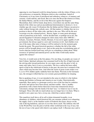opposing its own financial world for doing business with the whites (China), or its own aristocracy or monarchy. Religious motives also contribute: hatred of Christianity or of any form of priesthood and orthodoxy whatever, of manners and customs, world outlook, and moral. But ever since the Boxer Revolution in China, the Indian Mutiny, and the revolt of the Mexicans against the Emperor Maximilian, there will be found, deep down, everywhere one and the same thing: hatred of the white race and an unconditional determination to destroy it. As to whether age-old, weary Civilizations like the Indian and the Chinese can preserve order without foreign rule, nobody cares. All that matters is whether they are in a position to throw off the white yoke, and that is the case. Who will be the next sovereign over the coloured powers - Russia, Japan, or some great adventurer with an armed host at his back - will be decided later, or perhaps not at all. The ancient Egyptian Civilization changed its rulers many times after 1000 B.C. - Libyans, Assyrians, Persians, Greeks, Romans. It was never again capable of selfgovernment, but always equal to a new and victorious revolt. And whether even one of the many other aims is being or will be realized is for the moment quite beside the point. The great historical question is whether the fall of the white powers will be brought about or not. And on this point the overwhelming unity of resolve that has formed itself may well give us something to think about. What resources of spiritual and material power can the white world really muster against this menace?

Very few, it would seem at the first glance. For one thing, its peoples are weary of their Culture. Spiritual substance has consumed itself in the fire of high form and the striving after inward perfection. In very many cases only the glow is left, in many only ashes, but it is not so everywhere. The less a nation has been called upon to lead in the whirlwind of history in the past, the more has it retained of the chaos which may become form. And when the storm of great events rushes over it, as in 1914, hidden sparks suddenly burst into flame. Precisely in the Germanic race, the strongest-willed that has ever existed, great possibilities lie sleeping.

But in speaking of race, it is not intended in the sense in which it is the fashion among anti-Semites in Europe and America to use it today: Darwinistically, materially. Race purity is a grotesque word in view of the fact that for centuries all stocks and species have been mixed, and that warlike - that is, healthy generations with a future before them have from time immemorial always welcomed a stranger into the family if he had "race," to whatever race it was he belonged. Those who talk too much about race no longer have it in them. What is needed is not a pure race, but a *strong* one, which has a nation within it.

This manifests itself above all in self-evident elemental fecundity, in an abundance of children, which historical life can consume without ever exhausting the supply. God is, in the familiar words of Frederick the Great, always on the side of the big battalions, and now if ever this shows itself. The millions who fell in the World War were the pick of all the white world had in the way of race, but the test of race is the speed with which it can replace itself. A Russian once said to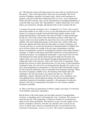me: "The Russian woman will make good in ten years what we sacrificed in the Revolution." *That* is the right instinct. Such races are irresistible. The trivial doctrine of Malthus, preached everywhere today, which extols barrenness as progress, only proves that these intellectuals have no "race," not to mention the idiotic idea that economic crises can be surmounted by an atrophied population. It is just the other way round. The "big battalions," without which there is no world policy, give protection, strength, and internal riches to the economic life also.

A woman of race does not desire to be a "companion" or a "lover," but a *mother*; and not the mother of *one* child, to serve as a toy and distraction, but of many: the instinct of a strong race speaks in the pride that large families inspire, in the feeling that barrenness is the hardest curse that can befall a woman and through her the race. Out of this instinct arises the primitive jealousy which leads one woman to take away from another the man whom she covets as the father of her children. The more intellectual jealousy of the great cities, which is little more than erotic appetite and looks upon the other party as a means of pleasure, and even the mere fact of *considering* the desired or dreaded number of children who are to be born, betrays the waning of the race urge to permanence; and that instinct for permanence cannot be reawakened by speeches and writing. Primitive marriage, or whatever other deep-rooted folk-custom has ever been practised to sanctify procreation, was anything but sentimental. A man wants stout sons who will perpetuate his name and his deeds beyond his death into the future and enhance them, just as he has done himself through feeling himself heir to the calling and works of his ancestors. That is the *Nordic* idea of immortality. These peoples have known no other and desired none. It is the source of that tremendous yearning for fame, the wish to live on among posterity through one's work, to see one's name perpetuated on monuments or at the least held in honourable memory. For this reason the inheritance idea is inseparable from Germanic marriage. When the notion of property crumbles away, the meaning of the family fades into nothingness. He who lays hand on one attacks the other too. The idea of inheritance, which is inherent in the life of every farm, every workshop, every old-established firm, and all inherited callings, [9] and has found its highest symbolical expression in hereditary monarchy, is the guarantee of strong raceinstincts. Not only is it untouched by Socialism; its very existence signifies Socialism's downfall.

(9. That is why there are generations of officers, judges, and clergy. It is the basis of all nobilities, patriciates, and guilds.)

But the decay of the white family, the inevitable outcome of megalopolitan existence, is spreading, and it is devouring the "race" of nations. The *meaning* of man and wife, the will to perpetuity, is being lost. People live for themselves alone, not for future generations. The nation as society, once the organic web of *families*, threatens to dissolve, from the city outwards, into a sum of *private atoms*, of which each is intent on extracting from his own and other lives the maximum of amusement - *panem et circenses*. The women's emancipation of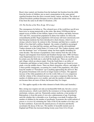Ibsen's time wanted, not freedom from the husband, but freedom from the child, from the *burden* of children, just as men's emancipation in the same period signified freedom from the *duties* towards family, nation, and State. The whole of Liberal-Socialistic problem-literature revolves about this suicide of the white race. It has been the same in all other Civilizations. [10]

# (10. *The Decline of the West*, II, pp. 103 et seq.)

The consequences lie before us. The coloured races of the world have up till now been twice as strong numerically as the white. But about 1930 Russia had an annual excess of births of four million, Japan of two million; and India, between 1921 and 1931, increased her population by thirty-four million. In Africa the extraordinarily prolific Negro population will increase still more enormously now that European medicine has been introduced to check disease, which was so strong a selective factor. In contrast to this, Germany and Italy have a surplus of births of less than half a million, England - the country of publicly encouraged birth control - less than half this amount, and France and the old-established Yankee element in the United States [11] none at all. This Yankee element, until now the dominant "race" of Germanic stamp, has been rapidly dwindling for some decades. The increase of population comes entirely from the side of the Negroes and emigrants from Eastern and Southern Europe since 1900. In France some Departments have lost over a third of their population in the last fifty years. In certain cases the birth-rate is only half the death-rate. There are small towns and villages which are almost empty. From the South there is an influx of Catalonians and Italians as land-workers. Poles and Negroes are found in every grade, even the middle classes. There are black clergymen, officers, and judges. It is these prolific immigrants, accounting for a tenth of the population, who alone keep the number of "Frenchmen" up to anything approaching the old level. But the genuine Frenchman will soon be no longer master in France. The apparent increase of the white population all over the world, little as it is in comparison with the volume of the coloured increase, rests upon a temporary illusion: the number of children grows ever smaller, and only the number of adults increases, not because there are more of them, but because they live longer.

### (11. This applies equally to the white element in South Africa and Australia.)

But a strong race requires not only an inexhaustible birth-rate, but also a severe selection process, which is provided by the resistances to living represented by misfortune, sickness, and war. Nineteenth-century medicine, a true product of Rationalism, is from this point of view also a phenomenon of age. It prolongs each life whether this is desirable or no. It prolongs even death. It replaces the number of children by the number of greybeards. It promotes the world outlook of *panem et circenses* by estimating the value of life by the number of its days, not by their usefulness. It prevents the natural process of selection and thereby accentuates the decay of the race. The number of incurable mental cases in England and Wales has increased during twenty years from 4.6 to 8.6 per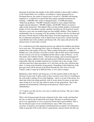thousand. In Germany the number of the feeble-minded is almost half a million, in the United States over a million. According to a report sponsored by ex-President Hoover, the youth of America has a record of 1,360,000 with hearing impaired or "so defective in speech that they require remedial treatment and training," 1,000,000 with "weak or damaged hearts," 675,000 presenting "behaviour problems," 450,000 "mentally retarded to such a degree that they require special education," 300,000 cripples, and 60,000 "blind or in need of sight-saving instruction." But added to these are the terrible numbers of abnormal people of every description, mental, spiritual, and physical, the hysterical, moral, and nerve cases who can neither beget nor bear healthy children. Their number is unobtainable, but we can gauge it by the number of doctors who live by them and the mass of books that are written about them. From this degenerate crop comes the revolutionary proletariat, with its hatred born of grievances, and the drawingroom Bolshevism of the aesthetes and literary folk, who enjoy and advertise the attractiveness of such states of mind.

It is a well-known fact that important persons are seldom first children and almost never only ones. The marriage that is poor in offspring is a menace not only to the quantity but to the quality of the race. What a nation needs quite as badly as a healthy race is the existence of an élite to lead it. But an élite such as that formed by the overseas civil service in England and the officer-corps in Prussia - or, for that matter, the Catholic Church - which unwaveringly, and in total disregard of money or origins, upheld its ethic and made good in difficult situations, becomes impossible when the available material rises nowhere above the average. Life's selection must have taken precedence of it; only then can the class selection take place. A strong stock demands strong parents. Something of the barbarism of the past ages must still be present in the blood beneath the strict form of an old Culture, ready to surge up in difficult times, to save and to conquer.

Barbarism is that which I call strong race, [12] the eternal warlike in the type of the beast-of-prey man. It often seems to have ceased to exist, but it is crouching in the soul ready to spring. Given a big challenge - and it is on top of the enemy. It is dead only when Late urban pacifism, with its weary desire for peace at any price, short of that of its own life, has rolled its mud over the generations. That is the spiritual self-disarmament, following on the physical, which comes of unfruitfulness.

(12. I repeat: race that one *has*, not a race to which one *belongs*. The one is ethos, the other - zoology.)

Why is the German people the least exhausted of the white world, and therefore the one on which may be placed the most hope? Because its political past has given it no opportunity to *waste* its precious blood and its great abilities. This is the one blessed aspect of our wretched history since 1500: it has used us *sparingly*. It turned us into dreamers and theoreticians in matters of world policy, made us ignorant of the world, narrow, quarrelsome, and provincial; but that can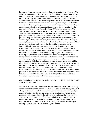be got over. It was no organic defect, no inherent lack of ability - the days of the Holy Roman Empire are there to show that. Good blood, the foundation of every kind of intellectual as well as physical superiority, there was and still is. Great history is exacting. It devours the racially best elements. It devoured ancient Rome in a few centuries. The Nordic migrations, which had come to standstill in Southern Europe a thousand years before, set in again on the grand scale on the discovery of America, taking oceans in their stride. Vigorous Spanish families, of predominantly Nordic origin, migrated in numbers to the new continent, where they could fight, explore, and rule. By about 1800 the best aristocracy of the Spanish stamp was there and vigorous life had died out in the mother country. Similarly the class in France whose vocation was to rule was used up by high policy from Louis XIII onwards - and not by that alone, for high Culture must be paid for dearly too. And the Anglo-Saxon has been used up even more by the British Empire. What there was of higher material there did not find its way into counting-houses and minor official posts, but followed the Viking urge to a life of danger and wandered to all parts of the globe, either meeting its end in innumerable adventures and wars or succumbing to the effects of climate, or remaining abroad to establish, as in North America, the foundation of a new ruling class. What was left became "conservative," by which in this case is meant uncreative, full of unproductive hatred of everything new and unforeseen. Germany, too, has lost a great deal of its best blood in foreign armies and to foreign nations. But the provincialism of its political conditions tuned down the ambitions of young talent to service at small courts, in small armies and administrations. [13] These settled down to form a healthy and prolific middle class. The nobility remained for the most part a superior peasantry. There was no high society and no fullness of life. "Race," in the people, was asleep, waiting for the call of a great age. But in this people there lies, notwithstanding the devastation of the last decades, a store of excellent blood such as no other nation possesses. It *can* be roused and *must* be spiritualized to meet the stupendous tasks before it. The battle for the planet has begun. The pacifism of the century of Liberalism must be overcome if we are to go on living.

(13. Except in the Habsburg State, which likewise diluted and wasted the German stock within its boundaries.)

How far in fact have the white nations advanced towards pacifism? Is the outcry against war an intellectual gesture or a serious abdication from history at the cost of dignity, honour, liberty? Yet life *is* war. Can we dismiss its meaning and yet retain it? That is what the craving for the peace of fellahdom, for protection against everything that disturbs the daily routine, against destiny in every form, would seem to intimate: a sort of protective mimicry *vis-à-vis* world history, human insects feigning death in the face of danger, the "happy ending" of an empty existence, the boredom of which has brought in jazz music and Negro dancing to perform the Dead March for a great Culture.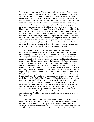But this cannot, must not, be. The hare may perhaps deceive the fox, but human beings can *not* deceive each other. The coloured man sees through the white man when he talks about "humanity" and everlasting peace. He scents the other's unfitness and lack of will to defend himself. This is why a great educational effort is essential: what I have called "Prussian," but which may, for all I care, call itself "Socialist" - what's in a word? It must be education which rouses the sleeping energy not by schooling, science, or culture, but by living example, by *soul discipline*, which fetches up what is still there, strengthens it, and causes it to blossom anew. We cannot permit ourselves to be tired. Danger is knocking at the door. The coloured races are *not* pacifists. They do *not* cling to a life whose length is its sole value. *They take up the sword when we lay it down*. Once they feared the white man; now they despise him. Our judgment stands written in their eyes when men and women comport themselves in their presence as we do, at home or in the lands of colour themselves. Once they were filled with terror at our power as were the Germanic people before the first Roman legions. Today, when they are themselves a power, their mysterious soul - which we shall never understand rises up and looks down upon the whites as on a thing of yesterday.

But the greatest danger has not yet been even named. What if, one day, class war and race war joined forces to make an end of the white world? This lies in the nature of things, and neither of the two Revolutions will disdain the aid of the other simply because it despises its supporters. A common hate extinguishes mutual contempt. And what if some *white* adventurer - and there have been many such - whose wild soul cannot breathe in the hothouse of civilization and seeks to satiate its love of danger in fantastic colonial ventures, among pirates, in the Foreign Legion - should suddenly see this grand goal staring him in the face? It is through such natures that history springs her great surprises. The loathing of deep and strong men for our conditions and the hatred of profoundly disillusioned men might well grow into a revolt that meant to annihilate. This was not unknown in Caesar's time. In any case: when the white proletariat breaks loose in the United States, the Negro will be on the spot, and behind him Indians and Japanese will await their hour. Similarly a black France would have little hesitation in outdoing the Parisian horrors of 1792 and 1871. And would the white leaders of the class war ever hesitate if coloured outbreaks opened up a way for them? They have never been fastidious in the means they use. It would make no difference if the voice of Moscow ceased to dictate. It has done its work, and the work goes forward of itself. We have waged our wars and class wars before the eyes of colour, have humiliated and betrayed each other; we have even summoned it to take part in them. Would it be anything to wonder if at last colour were to act on its own account?

At this point advancing history towers high over economic distress and internal political ideals. The elemental forces of life are themselves entering the fight, which is for all or nothing. The prefiguration of Caesarism will soon become clearer, more conscious and unconcealed. The masks will fall completely from the age of the parliamentary interlude. All attempts to gather up the content of the